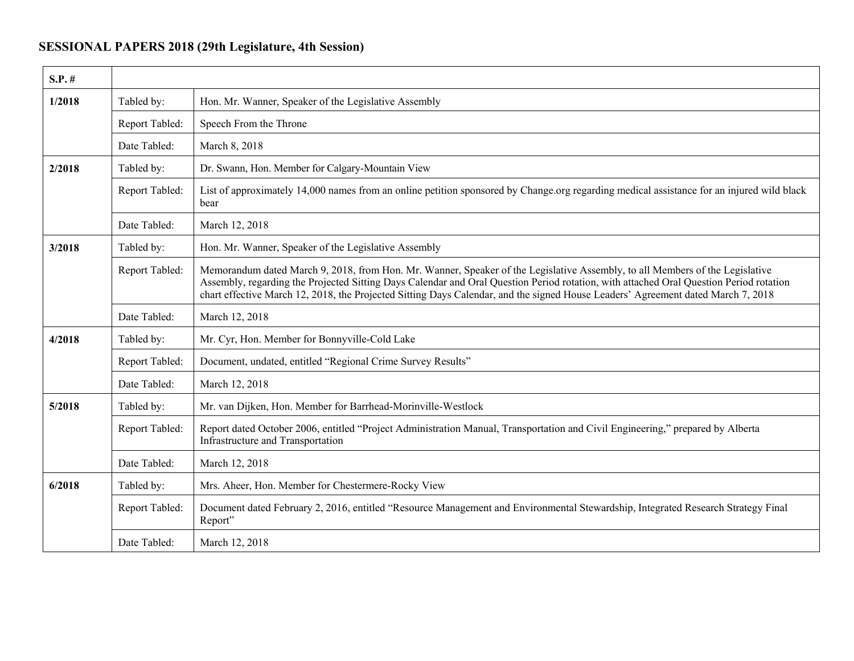## **SESSIONAL PAPERS 2018 (29th Legislature, 4th Session)**

| $S.P.$ # |                |                                                                                                                                                                                                                                                                                                                                                                                                            |
|----------|----------------|------------------------------------------------------------------------------------------------------------------------------------------------------------------------------------------------------------------------------------------------------------------------------------------------------------------------------------------------------------------------------------------------------------|
| 1/2018   | Tabled by:     | Hon. Mr. Wanner, Speaker of the Legislative Assembly                                                                                                                                                                                                                                                                                                                                                       |
|          | Report Tabled: | Speech From the Throne                                                                                                                                                                                                                                                                                                                                                                                     |
|          | Date Tabled:   | March 8, 2018                                                                                                                                                                                                                                                                                                                                                                                              |
| 2/2018   | Tabled by:     | Dr. Swann, Hon. Member for Calgary-Mountain View                                                                                                                                                                                                                                                                                                                                                           |
|          | Report Tabled: | List of approximately 14,000 names from an online petition sponsored by Change.org regarding medical assistance for an injured wild black<br>bear                                                                                                                                                                                                                                                          |
|          | Date Tabled:   | March 12, 2018                                                                                                                                                                                                                                                                                                                                                                                             |
| 3/2018   | Tabled by:     | Hon. Mr. Wanner, Speaker of the Legislative Assembly                                                                                                                                                                                                                                                                                                                                                       |
|          | Report Tabled: | Memorandum dated March 9, 2018, from Hon. Mr. Wanner, Speaker of the Legislative Assembly, to all Members of the Legislative<br>Assembly, regarding the Projected Sitting Days Calendar and Oral Question Period rotation, with attached Oral Question Period rotation<br>chart effective March 12, 2018, the Projected Sitting Days Calendar, and the signed House Leaders' Agreement dated March 7, 2018 |
|          | Date Tabled:   | March 12, 2018                                                                                                                                                                                                                                                                                                                                                                                             |
| 4/2018   | Tabled by:     | Mr. Cyr, Hon. Member for Bonnyville-Cold Lake                                                                                                                                                                                                                                                                                                                                                              |
|          | Report Tabled: | Document, undated, entitled "Regional Crime Survey Results"                                                                                                                                                                                                                                                                                                                                                |
|          | Date Tabled:   | March 12, 2018                                                                                                                                                                                                                                                                                                                                                                                             |
| 5/2018   | Tabled by:     | Mr. van Dijken, Hon. Member for Barrhead-Morinville-Westlock                                                                                                                                                                                                                                                                                                                                               |
|          | Report Tabled: | Report dated October 2006, entitled "Project Administration Manual, Transportation and Civil Engineering," prepared by Alberta<br>Infrastructure and Transportation                                                                                                                                                                                                                                        |
|          | Date Tabled:   | March 12, 2018                                                                                                                                                                                                                                                                                                                                                                                             |
| 6/2018   | Tabled by:     | Mrs. Aheer, Hon. Member for Chestermere-Rocky View                                                                                                                                                                                                                                                                                                                                                         |
|          | Report Tabled: | Document dated February 2, 2016, entitled "Resource Management and Environmental Stewardship, Integrated Research Strategy Final<br>Report"                                                                                                                                                                                                                                                                |
|          | Date Tabled:   | March 12, 2018                                                                                                                                                                                                                                                                                                                                                                                             |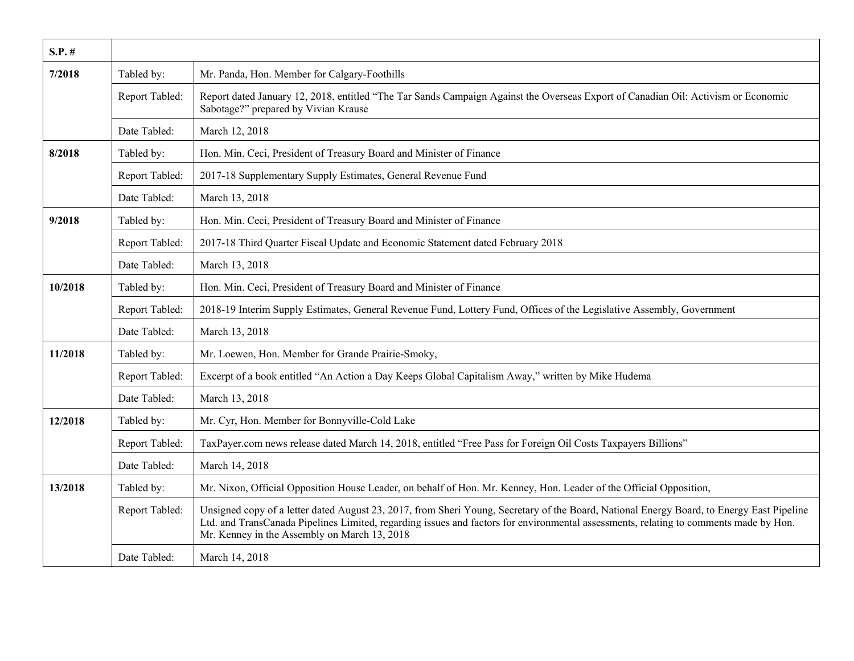| $S.P.$ # |                |                                                                                                                                                                                                                                                                                                                                    |
|----------|----------------|------------------------------------------------------------------------------------------------------------------------------------------------------------------------------------------------------------------------------------------------------------------------------------------------------------------------------------|
| 7/2018   | Tabled by:     | Mr. Panda, Hon. Member for Calgary-Foothills                                                                                                                                                                                                                                                                                       |
|          | Report Tabled: | Report dated January 12, 2018, entitled "The Tar Sands Campaign Against the Overseas Export of Canadian Oil: Activism or Economic<br>Sabotage?" prepared by Vivian Krause                                                                                                                                                          |
|          | Date Tabled:   | March 12, 2018                                                                                                                                                                                                                                                                                                                     |
| 8/2018   | Tabled by:     | Hon. Min. Ceci, President of Treasury Board and Minister of Finance                                                                                                                                                                                                                                                                |
|          | Report Tabled: | 2017-18 Supplementary Supply Estimates, General Revenue Fund                                                                                                                                                                                                                                                                       |
|          | Date Tabled:   | March 13, 2018                                                                                                                                                                                                                                                                                                                     |
| 9/2018   | Tabled by:     | Hon. Min. Ceci, President of Treasury Board and Minister of Finance                                                                                                                                                                                                                                                                |
|          | Report Tabled: | 2017-18 Third Quarter Fiscal Update and Economic Statement dated February 2018                                                                                                                                                                                                                                                     |
|          | Date Tabled:   | March 13, 2018                                                                                                                                                                                                                                                                                                                     |
| 10/2018  | Tabled by:     | Hon. Min. Ceci, President of Treasury Board and Minister of Finance                                                                                                                                                                                                                                                                |
|          | Report Tabled: | 2018-19 Interim Supply Estimates, General Revenue Fund, Lottery Fund, Offices of the Legislative Assembly, Government                                                                                                                                                                                                              |
|          | Date Tabled:   | March 13, 2018                                                                                                                                                                                                                                                                                                                     |
| 11/2018  | Tabled by:     | Mr. Loewen, Hon. Member for Grande Prairie-Smoky,                                                                                                                                                                                                                                                                                  |
|          | Report Tabled: | Excerpt of a book entitled "An Action a Day Keeps Global Capitalism Away," written by Mike Hudema                                                                                                                                                                                                                                  |
|          | Date Tabled:   | March 13, 2018                                                                                                                                                                                                                                                                                                                     |
| 12/2018  | Tabled by:     | Mr. Cyr, Hon. Member for Bonnyville-Cold Lake                                                                                                                                                                                                                                                                                      |
|          | Report Tabled: | TaxPayer.com news release dated March 14, 2018, entitled "Free Pass for Foreign Oil Costs Taxpayers Billions"                                                                                                                                                                                                                      |
|          | Date Tabled:   | March 14, 2018                                                                                                                                                                                                                                                                                                                     |
| 13/2018  | Tabled by:     | Mr. Nixon, Official Opposition House Leader, on behalf of Hon. Mr. Kenney, Hon. Leader of the Official Opposition,                                                                                                                                                                                                                 |
|          | Report Tabled: | Unsigned copy of a letter dated August 23, 2017, from Sheri Young, Secretary of the Board, National Energy Board, to Energy East Pipeline<br>Ltd. and TransCanada Pipelines Limited, regarding issues and factors for environmental assessments, relating to comments made by Hon.<br>Mr. Kenney in the Assembly on March 13, 2018 |
|          | Date Tabled:   | March 14, 2018                                                                                                                                                                                                                                                                                                                     |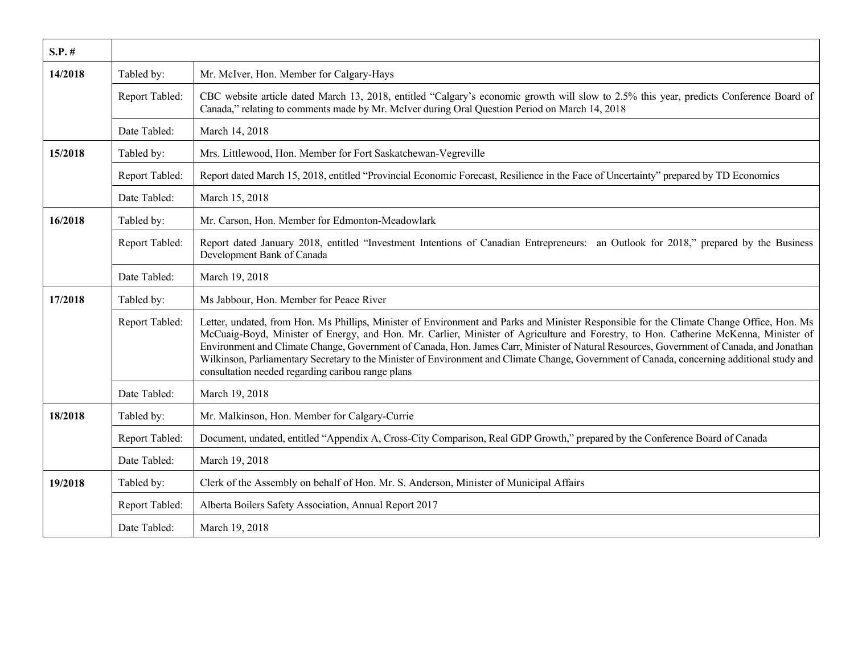| $S.P.$ # |                |                                                                                                                                                                                                                                                                                                                                                                                                                                                                                                                                                                                                                                   |
|----------|----------------|-----------------------------------------------------------------------------------------------------------------------------------------------------------------------------------------------------------------------------------------------------------------------------------------------------------------------------------------------------------------------------------------------------------------------------------------------------------------------------------------------------------------------------------------------------------------------------------------------------------------------------------|
| 14/2018  | Tabled by:     | Mr. McIver, Hon. Member for Calgary-Hays                                                                                                                                                                                                                                                                                                                                                                                                                                                                                                                                                                                          |
|          | Report Tabled: | CBC website article dated March 13, 2018, entitled "Calgary's economic growth will slow to 2.5% this year, predicts Conference Board of<br>Canada," relating to comments made by Mr. McIver during Oral Question Period on March 14, 2018                                                                                                                                                                                                                                                                                                                                                                                         |
|          | Date Tabled:   | March 14, 2018                                                                                                                                                                                                                                                                                                                                                                                                                                                                                                                                                                                                                    |
| 15/2018  | Tabled by:     | Mrs. Littlewood, Hon. Member for Fort Saskatchewan-Vegreville                                                                                                                                                                                                                                                                                                                                                                                                                                                                                                                                                                     |
|          | Report Tabled: | Report dated March 15, 2018, entitled "Provincial Economic Forecast, Resilience in the Face of Uncertainty" prepared by TD Economics                                                                                                                                                                                                                                                                                                                                                                                                                                                                                              |
|          | Date Tabled:   | March 15, 2018                                                                                                                                                                                                                                                                                                                                                                                                                                                                                                                                                                                                                    |
| 16/2018  | Tabled by:     | Mr. Carson, Hon. Member for Edmonton-Meadowlark                                                                                                                                                                                                                                                                                                                                                                                                                                                                                                                                                                                   |
|          | Report Tabled: | Report dated January 2018, entitled "Investment Intentions of Canadian Entrepreneurs: an Outlook for 2018," prepared by the Business<br>Development Bank of Canada                                                                                                                                                                                                                                                                                                                                                                                                                                                                |
|          | Date Tabled:   | March 19, 2018                                                                                                                                                                                                                                                                                                                                                                                                                                                                                                                                                                                                                    |
| 17/2018  | Tabled by:     | Ms Jabbour, Hon. Member for Peace River                                                                                                                                                                                                                                                                                                                                                                                                                                                                                                                                                                                           |
|          | Report Tabled: | Letter, undated, from Hon. Ms Phillips, Minister of Environment and Parks and Minister Responsible for the Climate Change Office, Hon. Ms<br>McCuaig-Boyd, Minister of Energy, and Hon. Mr. Carlier, Minister of Agriculture and Forestry, to Hon. Catherine McKenna, Minister of<br>Environment and Climate Change, Government of Canada, Hon. James Carr, Minister of Natural Resources, Government of Canada, and Jonathan<br>Wilkinson, Parliamentary Secretary to the Minister of Environment and Climate Change, Government of Canada, concerning additional study and<br>consultation needed regarding caribou range plans |
|          | Date Tabled:   | March 19, 2018                                                                                                                                                                                                                                                                                                                                                                                                                                                                                                                                                                                                                    |
| 18/2018  | Tabled by:     | Mr. Malkinson, Hon. Member for Calgary-Currie                                                                                                                                                                                                                                                                                                                                                                                                                                                                                                                                                                                     |
|          | Report Tabled: | Document, undated, entitled "Appendix A, Cross-City Comparison, Real GDP Growth," prepared by the Conference Board of Canada                                                                                                                                                                                                                                                                                                                                                                                                                                                                                                      |
|          | Date Tabled:   | March 19, 2018                                                                                                                                                                                                                                                                                                                                                                                                                                                                                                                                                                                                                    |
| 19/2018  | Tabled by:     | Clerk of the Assembly on behalf of Hon. Mr. S. Anderson, Minister of Municipal Affairs                                                                                                                                                                                                                                                                                                                                                                                                                                                                                                                                            |
|          | Report Tabled: | Alberta Boilers Safety Association, Annual Report 2017                                                                                                                                                                                                                                                                                                                                                                                                                                                                                                                                                                            |
|          | Date Tabled:   | March 19, 2018                                                                                                                                                                                                                                                                                                                                                                                                                                                                                                                                                                                                                    |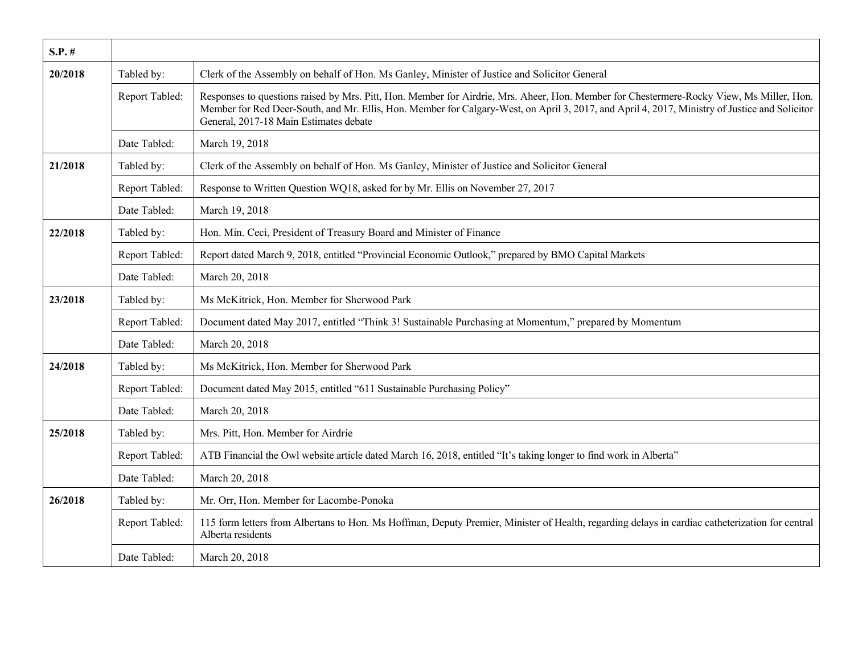| $S.P.$ # |                |                                                                                                                                                                                                                                                                                                                                      |
|----------|----------------|--------------------------------------------------------------------------------------------------------------------------------------------------------------------------------------------------------------------------------------------------------------------------------------------------------------------------------------|
| 20/2018  | Tabled by:     | Clerk of the Assembly on behalf of Hon. Ms Ganley, Minister of Justice and Solicitor General                                                                                                                                                                                                                                         |
|          | Report Tabled: | Responses to questions raised by Mrs. Pitt, Hon. Member for Airdrie, Mrs. Aheer, Hon. Member for Chestermere-Rocky View, Ms Miller, Hon.<br>Member for Red Deer-South, and Mr. Ellis, Hon. Member for Calgary-West, on April 3, 2017, and April 4, 2017, Ministry of Justice and Solicitor<br>General, 2017-18 Main Estimates debate |
|          | Date Tabled:   | March 19, 2018                                                                                                                                                                                                                                                                                                                       |
| 21/2018  | Tabled by:     | Clerk of the Assembly on behalf of Hon. Ms Ganley, Minister of Justice and Solicitor General                                                                                                                                                                                                                                         |
|          | Report Tabled: | Response to Written Question WQ18, asked for by Mr. Ellis on November 27, 2017                                                                                                                                                                                                                                                       |
|          | Date Tabled:   | March 19, 2018                                                                                                                                                                                                                                                                                                                       |
| 22/2018  | Tabled by:     | Hon. Min. Ceci, President of Treasury Board and Minister of Finance                                                                                                                                                                                                                                                                  |
|          | Report Tabled: | Report dated March 9, 2018, entitled "Provincial Economic Outlook," prepared by BMO Capital Markets                                                                                                                                                                                                                                  |
|          | Date Tabled:   | March 20, 2018                                                                                                                                                                                                                                                                                                                       |
| 23/2018  | Tabled by:     | Ms McKitrick, Hon. Member for Sherwood Park                                                                                                                                                                                                                                                                                          |
|          | Report Tabled: | Document dated May 2017, entitled "Think 3! Sustainable Purchasing at Momentum," prepared by Momentum                                                                                                                                                                                                                                |
|          | Date Tabled:   | March 20, 2018                                                                                                                                                                                                                                                                                                                       |
| 24/2018  | Tabled by:     | Ms McKitrick, Hon. Member for Sherwood Park                                                                                                                                                                                                                                                                                          |
|          | Report Tabled: | Document dated May 2015, entitled "611 Sustainable Purchasing Policy"                                                                                                                                                                                                                                                                |
|          | Date Tabled:   | March 20, 2018                                                                                                                                                                                                                                                                                                                       |
| 25/2018  | Tabled by:     | Mrs. Pitt, Hon. Member for Airdrie                                                                                                                                                                                                                                                                                                   |
|          | Report Tabled: | ATB Financial the Owl website article dated March 16, 2018, entitled "It's taking longer to find work in Alberta"                                                                                                                                                                                                                    |
|          | Date Tabled:   | March 20, 2018                                                                                                                                                                                                                                                                                                                       |
| 26/2018  | Tabled by:     | Mr. Orr, Hon. Member for Lacombe-Ponoka                                                                                                                                                                                                                                                                                              |
|          | Report Tabled: | 115 form letters from Albertans to Hon. Ms Hoffman, Deputy Premier, Minister of Health, regarding delays in cardiac catheterization for central<br>Alberta residents                                                                                                                                                                 |
|          | Date Tabled:   | March 20, 2018                                                                                                                                                                                                                                                                                                                       |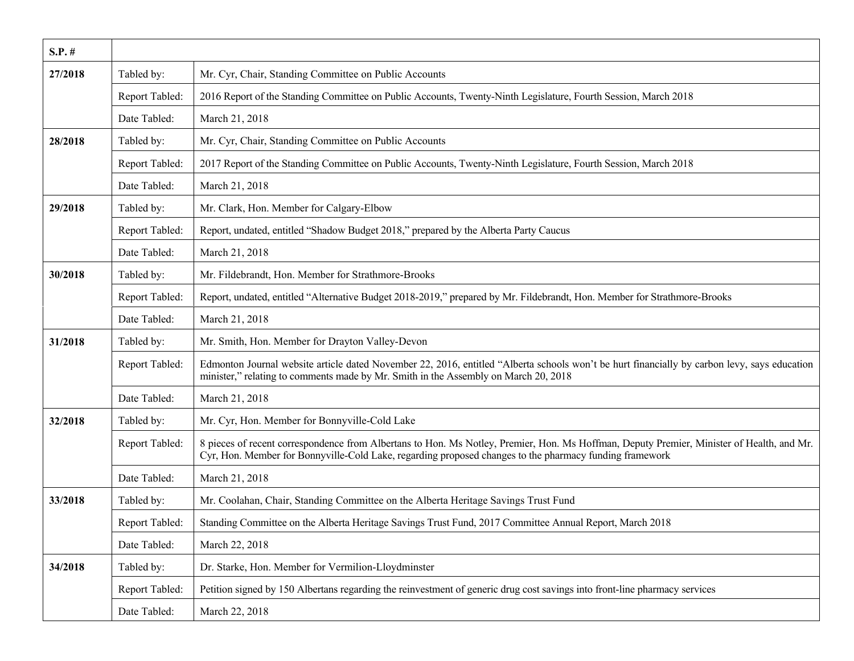| $S.P.$ # |                |                                                                                                                                                                                                                                                      |
|----------|----------------|------------------------------------------------------------------------------------------------------------------------------------------------------------------------------------------------------------------------------------------------------|
| 27/2018  | Tabled by:     | Mr. Cyr, Chair, Standing Committee on Public Accounts                                                                                                                                                                                                |
|          | Report Tabled: | 2016 Report of the Standing Committee on Public Accounts, Twenty-Ninth Legislature, Fourth Session, March 2018                                                                                                                                       |
|          | Date Tabled:   | March 21, 2018                                                                                                                                                                                                                                       |
| 28/2018  | Tabled by:     | Mr. Cyr, Chair, Standing Committee on Public Accounts                                                                                                                                                                                                |
|          | Report Tabled: | 2017 Report of the Standing Committee on Public Accounts, Twenty-Ninth Legislature, Fourth Session, March 2018                                                                                                                                       |
|          | Date Tabled:   | March 21, 2018                                                                                                                                                                                                                                       |
| 29/2018  | Tabled by:     | Mr. Clark, Hon. Member for Calgary-Elbow                                                                                                                                                                                                             |
|          | Report Tabled: | Report, undated, entitled "Shadow Budget 2018," prepared by the Alberta Party Caucus                                                                                                                                                                 |
|          | Date Tabled:   | March 21, 2018                                                                                                                                                                                                                                       |
| 30/2018  | Tabled by:     | Mr. Fildebrandt, Hon. Member for Strathmore-Brooks                                                                                                                                                                                                   |
|          | Report Tabled: | Report, undated, entitled "Alternative Budget 2018-2019," prepared by Mr. Fildebrandt, Hon. Member for Strathmore-Brooks                                                                                                                             |
|          | Date Tabled:   | March 21, 2018                                                                                                                                                                                                                                       |
| 31/2018  | Tabled by:     | Mr. Smith, Hon. Member for Drayton Valley-Devon                                                                                                                                                                                                      |
|          | Report Tabled: | Edmonton Journal website article dated November 22, 2016, entitled "Alberta schools won't be hurt financially by carbon levy, says education<br>minister," relating to comments made by Mr. Smith in the Assembly on March 20, 2018                  |
|          | Date Tabled:   | March 21, 2018                                                                                                                                                                                                                                       |
| 32/2018  | Tabled by:     | Mr. Cyr, Hon. Member for Bonnyville-Cold Lake                                                                                                                                                                                                        |
|          | Report Tabled: | 8 pieces of recent correspondence from Albertans to Hon. Ms Notley, Premier, Hon. Ms Hoffman, Deputy Premier, Minister of Health, and Mr.<br>Cyr, Hon. Member for Bonnyville-Cold Lake, regarding proposed changes to the pharmacy funding framework |
|          | Date Tabled:   | March 21, 2018                                                                                                                                                                                                                                       |
| 33/2018  | Tabled by:     | Mr. Coolahan, Chair, Standing Committee on the Alberta Heritage Savings Trust Fund                                                                                                                                                                   |
|          | Report Tabled: | Standing Committee on the Alberta Heritage Savings Trust Fund, 2017 Committee Annual Report, March 2018                                                                                                                                              |
|          | Date Tabled:   | March 22, 2018                                                                                                                                                                                                                                       |
| 34/2018  | Tabled by:     | Dr. Starke, Hon. Member for Vermilion-Lloydminster                                                                                                                                                                                                   |
|          | Report Tabled: | Petition signed by 150 Albertans regarding the reinvestment of generic drug cost savings into front-line pharmacy services                                                                                                                           |
|          | Date Tabled:   | March 22, 2018                                                                                                                                                                                                                                       |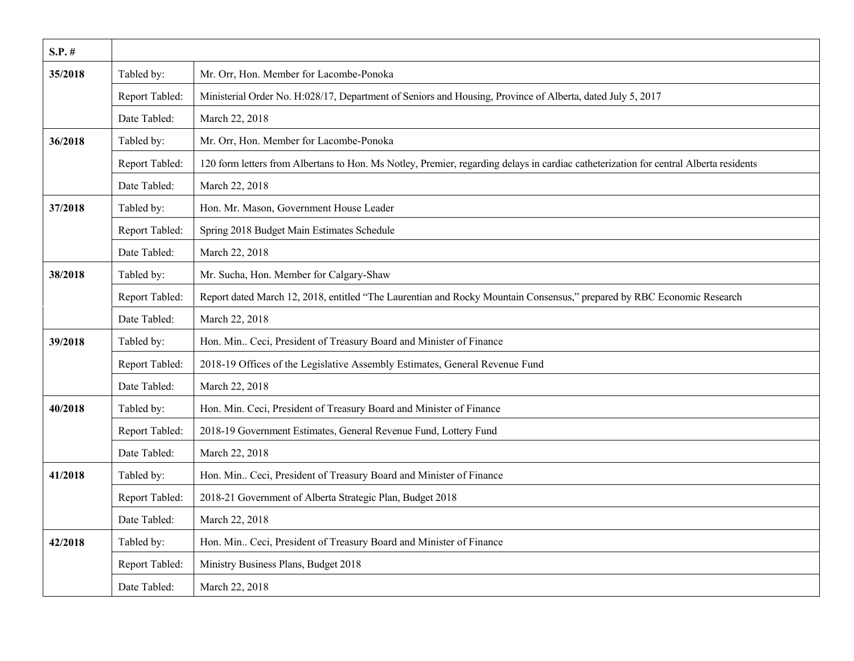| $S.P.$ # |                |                                                                                                                                       |
|----------|----------------|---------------------------------------------------------------------------------------------------------------------------------------|
| 35/2018  | Tabled by:     | Mr. Orr, Hon. Member for Lacombe-Ponoka                                                                                               |
|          | Report Tabled: | Ministerial Order No. H:028/17, Department of Seniors and Housing, Province of Alberta, dated July 5, 2017                            |
|          | Date Tabled:   | March 22, 2018                                                                                                                        |
| 36/2018  | Tabled by:     | Mr. Orr, Hon. Member for Lacombe-Ponoka                                                                                               |
|          | Report Tabled: | 120 form letters from Albertans to Hon. Ms Notley, Premier, regarding delays in cardiac catheterization for central Alberta residents |
|          | Date Tabled:   | March 22, 2018                                                                                                                        |
| 37/2018  | Tabled by:     | Hon. Mr. Mason, Government House Leader                                                                                               |
|          | Report Tabled: | Spring 2018 Budget Main Estimates Schedule                                                                                            |
|          | Date Tabled:   | March 22, 2018                                                                                                                        |
| 38/2018  | Tabled by:     | Mr. Sucha, Hon. Member for Calgary-Shaw                                                                                               |
|          | Report Tabled: | Report dated March 12, 2018, entitled "The Laurentian and Rocky Mountain Consensus," prepared by RBC Economic Research                |
|          | Date Tabled:   | March 22, 2018                                                                                                                        |
| 39/2018  | Tabled by:     | Hon. Min Ceci, President of Treasury Board and Minister of Finance                                                                    |
|          | Report Tabled: | 2018-19 Offices of the Legislative Assembly Estimates, General Revenue Fund                                                           |
|          | Date Tabled:   | March 22, 2018                                                                                                                        |
| 40/2018  | Tabled by:     | Hon. Min. Ceci, President of Treasury Board and Minister of Finance                                                                   |
|          | Report Tabled: | 2018-19 Government Estimates, General Revenue Fund, Lottery Fund                                                                      |
|          | Date Tabled:   | March 22, 2018                                                                                                                        |
| 41/2018  | Tabled by:     | Hon. Min Ceci, President of Treasury Board and Minister of Finance                                                                    |
|          | Report Tabled: | 2018-21 Government of Alberta Strategic Plan, Budget 2018                                                                             |
|          | Date Tabled:   | March 22, 2018                                                                                                                        |
| 42/2018  | Tabled by:     | Hon. Min Ceci, President of Treasury Board and Minister of Finance                                                                    |
|          | Report Tabled: | Ministry Business Plans, Budget 2018                                                                                                  |
|          | Date Tabled:   | March 22, 2018                                                                                                                        |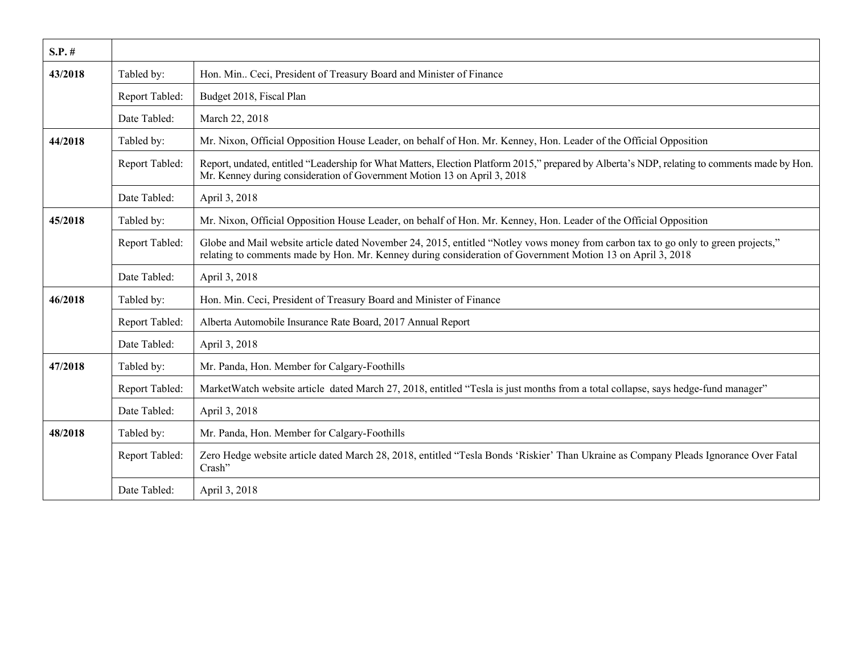| $S.P.$ # |                |                                                                                                                                                                                                                                                  |
|----------|----------------|--------------------------------------------------------------------------------------------------------------------------------------------------------------------------------------------------------------------------------------------------|
| 43/2018  | Tabled by:     | Hon. Min Ceci, President of Treasury Board and Minister of Finance                                                                                                                                                                               |
|          | Report Tabled: | Budget 2018, Fiscal Plan                                                                                                                                                                                                                         |
|          | Date Tabled:   | March 22, 2018                                                                                                                                                                                                                                   |
| 44/2018  | Tabled by:     | Mr. Nixon, Official Opposition House Leader, on behalf of Hon. Mr. Kenney, Hon. Leader of the Official Opposition                                                                                                                                |
|          | Report Tabled: | Report, undated, entitled "Leadership for What Matters, Election Platform 2015," prepared by Alberta's NDP, relating to comments made by Hon.<br>Mr. Kenney during consideration of Government Motion 13 on April 3, 2018                        |
|          | Date Tabled:   | April 3, 2018                                                                                                                                                                                                                                    |
| 45/2018  | Tabled by:     | Mr. Nixon, Official Opposition House Leader, on behalf of Hon. Mr. Kenney, Hon. Leader of the Official Opposition                                                                                                                                |
|          | Report Tabled: | Globe and Mail website article dated November 24, 2015, entitled "Notley vows money from carbon tax to go only to green projects,"<br>relating to comments made by Hon. Mr. Kenney during consideration of Government Motion 13 on April 3, 2018 |
|          | Date Tabled:   | April 3, 2018                                                                                                                                                                                                                                    |
| 46/2018  | Tabled by:     | Hon. Min. Ceci, President of Treasury Board and Minister of Finance                                                                                                                                                                              |
|          | Report Tabled: | Alberta Automobile Insurance Rate Board, 2017 Annual Report                                                                                                                                                                                      |
|          | Date Tabled:   | April 3, 2018                                                                                                                                                                                                                                    |
| 47/2018  | Tabled by:     | Mr. Panda, Hon. Member for Calgary-Foothills                                                                                                                                                                                                     |
|          | Report Tabled: | MarketWatch website article dated March 27, 2018, entitled "Tesla is just months from a total collapse, says hedge-fund manager"                                                                                                                 |
|          | Date Tabled:   | April 3, 2018                                                                                                                                                                                                                                    |
| 48/2018  | Tabled by:     | Mr. Panda, Hon. Member for Calgary-Foothills                                                                                                                                                                                                     |
|          | Report Tabled: | Zero Hedge website article dated March 28, 2018, entitled "Tesla Bonds 'Riskier' Than Ukraine as Company Pleads Ignorance Over Fatal<br>Crash"                                                                                                   |
|          | Date Tabled:   | April 3, 2018                                                                                                                                                                                                                                    |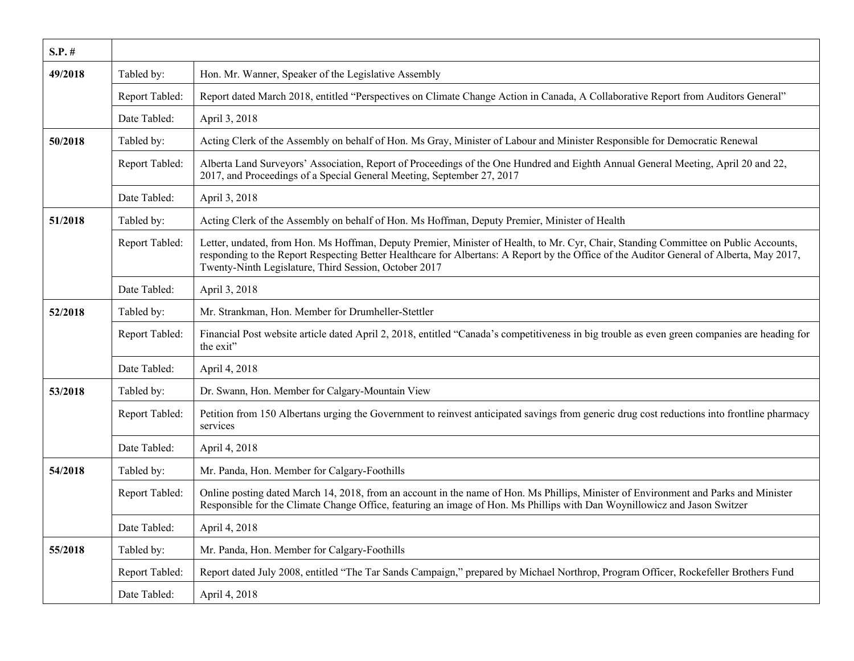| $S.P.$ # |                |                                                                                                                                                                                                                                                                                                                                           |
|----------|----------------|-------------------------------------------------------------------------------------------------------------------------------------------------------------------------------------------------------------------------------------------------------------------------------------------------------------------------------------------|
| 49/2018  | Tabled by:     | Hon. Mr. Wanner, Speaker of the Legislative Assembly                                                                                                                                                                                                                                                                                      |
|          | Report Tabled: | Report dated March 2018, entitled "Perspectives on Climate Change Action in Canada, A Collaborative Report from Auditors General"                                                                                                                                                                                                         |
|          | Date Tabled:   | April 3, 2018                                                                                                                                                                                                                                                                                                                             |
| 50/2018  | Tabled by:     | Acting Clerk of the Assembly on behalf of Hon. Ms Gray, Minister of Labour and Minister Responsible for Democratic Renewal                                                                                                                                                                                                                |
|          | Report Tabled: | Alberta Land Surveyors' Association, Report of Proceedings of the One Hundred and Eighth Annual General Meeting, April 20 and 22,<br>2017, and Proceedings of a Special General Meeting, September 27, 2017                                                                                                                               |
|          | Date Tabled:   | April 3, 2018                                                                                                                                                                                                                                                                                                                             |
| 51/2018  | Tabled by:     | Acting Clerk of the Assembly on behalf of Hon. Ms Hoffman, Deputy Premier, Minister of Health                                                                                                                                                                                                                                             |
|          | Report Tabled: | Letter, undated, from Hon. Ms Hoffman, Deputy Premier, Minister of Health, to Mr. Cyr, Chair, Standing Committee on Public Accounts,<br>responding to the Report Respecting Better Healthcare for Albertans: A Report by the Office of the Auditor General of Alberta, May 2017,<br>Twenty-Ninth Legislature, Third Session, October 2017 |
|          | Date Tabled:   | April 3, 2018                                                                                                                                                                                                                                                                                                                             |
| 52/2018  | Tabled by:     | Mr. Strankman, Hon. Member for Drumheller-Stettler                                                                                                                                                                                                                                                                                        |
|          | Report Tabled: | Financial Post website article dated April 2, 2018, entitled "Canada's competitiveness in big trouble as even green companies are heading for<br>the exit"                                                                                                                                                                                |
|          | Date Tabled:   | April 4, 2018                                                                                                                                                                                                                                                                                                                             |
| 53/2018  | Tabled by:     | Dr. Swann, Hon. Member for Calgary-Mountain View                                                                                                                                                                                                                                                                                          |
|          | Report Tabled: | Petition from 150 Albertans urging the Government to reinvest anticipated savings from generic drug cost reductions into frontline pharmacy<br>services                                                                                                                                                                                   |
|          | Date Tabled:   | April 4, 2018                                                                                                                                                                                                                                                                                                                             |
| 54/2018  | Tabled by:     | Mr. Panda, Hon. Member for Calgary-Foothills                                                                                                                                                                                                                                                                                              |
|          | Report Tabled: | Online posting dated March 14, 2018, from an account in the name of Hon. Ms Phillips, Minister of Environment and Parks and Minister<br>Responsible for the Climate Change Office, featuring an image of Hon. Ms Phillips with Dan Woynillowicz and Jason Switzer                                                                         |
|          | Date Tabled:   | April 4, 2018                                                                                                                                                                                                                                                                                                                             |
| 55/2018  | Tabled by:     | Mr. Panda, Hon. Member for Calgary-Foothills                                                                                                                                                                                                                                                                                              |
|          | Report Tabled: | Report dated July 2008, entitled "The Tar Sands Campaign," prepared by Michael Northrop, Program Officer, Rockefeller Brothers Fund                                                                                                                                                                                                       |
|          | Date Tabled:   | April 4, 2018                                                                                                                                                                                                                                                                                                                             |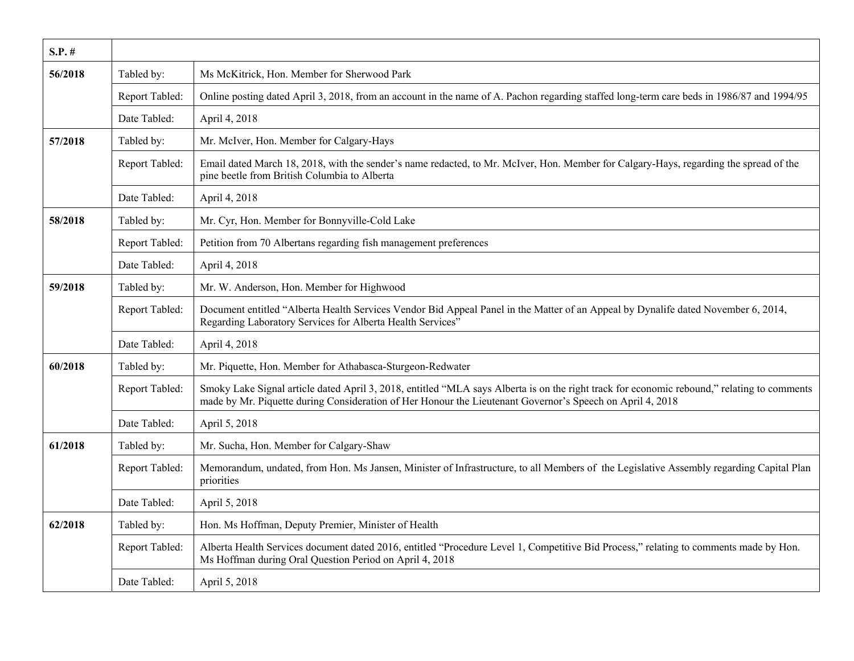| $S.P.$ # |                |                                                                                                                                                                                                                                                          |
|----------|----------------|----------------------------------------------------------------------------------------------------------------------------------------------------------------------------------------------------------------------------------------------------------|
| 56/2018  | Tabled by:     | Ms McKitrick, Hon. Member for Sherwood Park                                                                                                                                                                                                              |
|          | Report Tabled: | Online posting dated April 3, 2018, from an account in the name of A. Pachon regarding staffed long-term care beds in 1986/87 and 1994/95                                                                                                                |
|          | Date Tabled:   | April 4, 2018                                                                                                                                                                                                                                            |
| 57/2018  | Tabled by:     | Mr. McIver, Hon. Member for Calgary-Hays                                                                                                                                                                                                                 |
|          | Report Tabled: | Email dated March 18, 2018, with the sender's name redacted, to Mr. McIver, Hon. Member for Calgary-Hays, regarding the spread of the<br>pine beetle from British Columbia to Alberta                                                                    |
|          | Date Tabled:   | April 4, 2018                                                                                                                                                                                                                                            |
| 58/2018  | Tabled by:     | Mr. Cyr, Hon. Member for Bonnyville-Cold Lake                                                                                                                                                                                                            |
|          | Report Tabled: | Petition from 70 Albertans regarding fish management preferences                                                                                                                                                                                         |
|          | Date Tabled:   | April 4, 2018                                                                                                                                                                                                                                            |
| 59/2018  | Tabled by:     | Mr. W. Anderson, Hon. Member for Highwood                                                                                                                                                                                                                |
|          | Report Tabled: | Document entitled "Alberta Health Services Vendor Bid Appeal Panel in the Matter of an Appeal by Dynalife dated November 6, 2014,<br>Regarding Laboratory Services for Alberta Health Services"                                                          |
|          | Date Tabled:   | April 4, 2018                                                                                                                                                                                                                                            |
| 60/2018  | Tabled by:     | Mr. Piquette, Hon. Member for Athabasca-Sturgeon-Redwater                                                                                                                                                                                                |
|          | Report Tabled: | Smoky Lake Signal article dated April 3, 2018, entitled "MLA says Alberta is on the right track for economic rebound," relating to comments<br>made by Mr. Piquette during Consideration of Her Honour the Lieutenant Governor's Speech on April 4, 2018 |
|          | Date Tabled:   | April 5, 2018                                                                                                                                                                                                                                            |
| 61/2018  | Tabled by:     | Mr. Sucha, Hon. Member for Calgary-Shaw                                                                                                                                                                                                                  |
|          | Report Tabled: | Memorandum, undated, from Hon. Ms Jansen, Minister of Infrastructure, to all Members of the Legislative Assembly regarding Capital Plan<br>priorities                                                                                                    |
|          | Date Tabled:   | April 5, 2018                                                                                                                                                                                                                                            |
| 62/2018  | Tabled by:     | Hon. Ms Hoffman, Deputy Premier, Minister of Health                                                                                                                                                                                                      |
|          | Report Tabled: | Alberta Health Services document dated 2016, entitled "Procedure Level 1, Competitive Bid Process," relating to comments made by Hon.<br>Ms Hoffman during Oral Question Period on April 4, 2018                                                         |
|          | Date Tabled:   | April 5, 2018                                                                                                                                                                                                                                            |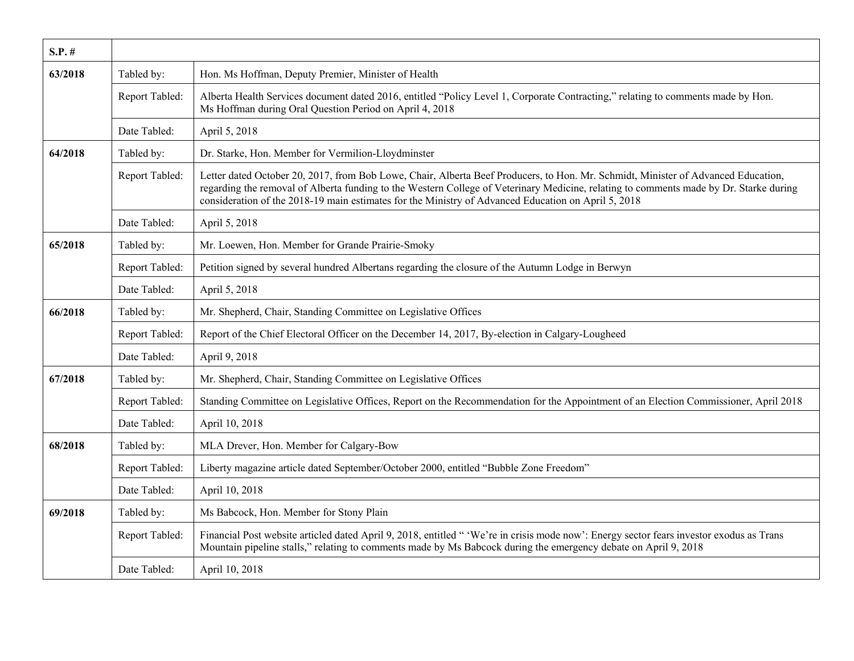| $S.P.$ # |                |                                                                                                                                                                                                                                                                                                                                                                                    |
|----------|----------------|------------------------------------------------------------------------------------------------------------------------------------------------------------------------------------------------------------------------------------------------------------------------------------------------------------------------------------------------------------------------------------|
| 63/2018  | Tabled by:     | Hon. Ms Hoffman, Deputy Premier, Minister of Health                                                                                                                                                                                                                                                                                                                                |
|          | Report Tabled: | Alberta Health Services document dated 2016, entitled "Policy Level 1, Corporate Contracting," relating to comments made by Hon.<br>Ms Hoffman during Oral Question Period on April 4, 2018                                                                                                                                                                                        |
|          | Date Tabled:   | April 5, 2018                                                                                                                                                                                                                                                                                                                                                                      |
| 64/2018  | Tabled by:     | Dr. Starke, Hon. Member for Vermilion-Lloydminster                                                                                                                                                                                                                                                                                                                                 |
|          | Report Tabled: | Letter dated October 20, 2017, from Bob Lowe, Chair, Alberta Beef Producers, to Hon. Mr. Schmidt, Minister of Advanced Education,<br>regarding the removal of Alberta funding to the Western College of Veterinary Medicine, relating to comments made by Dr. Starke during<br>consideration of the 2018-19 main estimates for the Ministry of Advanced Education on April 5, 2018 |
|          | Date Tabled:   | April 5, 2018                                                                                                                                                                                                                                                                                                                                                                      |
| 65/2018  | Tabled by:     | Mr. Loewen, Hon. Member for Grande Prairie-Smoky                                                                                                                                                                                                                                                                                                                                   |
|          | Report Tabled: | Petition signed by several hundred Albertans regarding the closure of the Autumn Lodge in Berwyn                                                                                                                                                                                                                                                                                   |
|          | Date Tabled:   | April 5, 2018                                                                                                                                                                                                                                                                                                                                                                      |
| 66/2018  | Tabled by:     | Mr. Shepherd, Chair, Standing Committee on Legislative Offices                                                                                                                                                                                                                                                                                                                     |
|          | Report Tabled: | Report of the Chief Electoral Officer on the December 14, 2017, By-election in Calgary-Lougheed                                                                                                                                                                                                                                                                                    |
|          | Date Tabled:   | April 9, 2018                                                                                                                                                                                                                                                                                                                                                                      |
| 67/2018  | Tabled by:     | Mr. Shepherd, Chair, Standing Committee on Legislative Offices                                                                                                                                                                                                                                                                                                                     |
|          | Report Tabled: | Standing Committee on Legislative Offices, Report on the Recommendation for the Appointment of an Election Commissioner, April 2018                                                                                                                                                                                                                                                |
|          | Date Tabled:   | April 10, 2018                                                                                                                                                                                                                                                                                                                                                                     |
| 68/2018  | Tabled by:     | MLA Drever, Hon. Member for Calgary-Bow                                                                                                                                                                                                                                                                                                                                            |
|          | Report Tabled: | Liberty magazine article dated September/October 2000, entitled "Bubble Zone Freedom"                                                                                                                                                                                                                                                                                              |
|          | Date Tabled:   | April 10, 2018                                                                                                                                                                                                                                                                                                                                                                     |
| 69/2018  | Tabled by:     | Ms Babcock, Hon. Member for Stony Plain                                                                                                                                                                                                                                                                                                                                            |
|          | Report Tabled: | Financial Post website articled dated April 9, 2018, entitled " 'We're in crisis mode now': Energy sector fears investor exodus as Trans<br>Mountain pipeline stalls," relating to comments made by Ms Babcock during the emergency debate on April 9, 2018                                                                                                                        |
|          | Date Tabled:   | April 10, 2018                                                                                                                                                                                                                                                                                                                                                                     |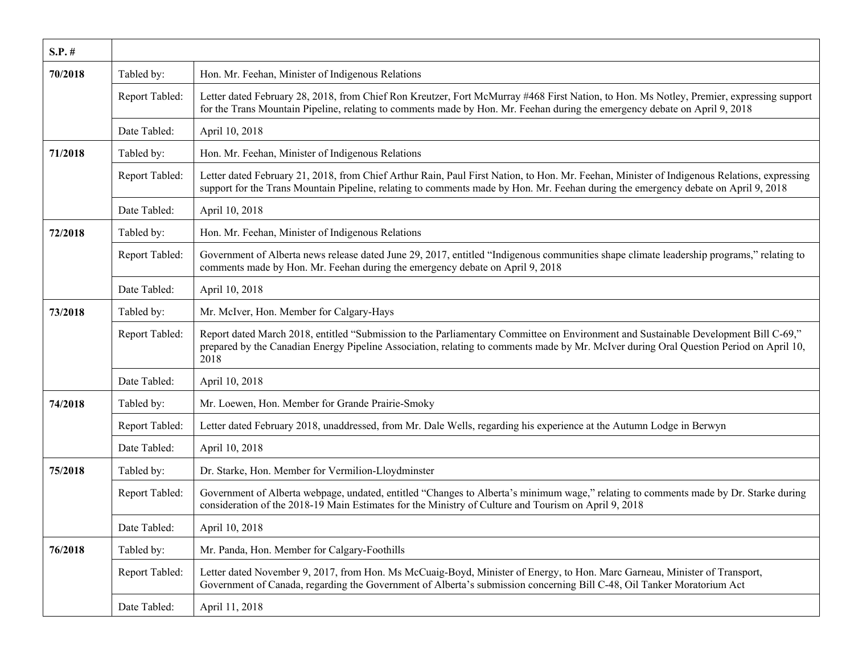| $S.P.$ # |                |                                                                                                                                                                                                                                                                                       |
|----------|----------------|---------------------------------------------------------------------------------------------------------------------------------------------------------------------------------------------------------------------------------------------------------------------------------------|
| 70/2018  | Tabled by:     | Hon. Mr. Feehan, Minister of Indigenous Relations                                                                                                                                                                                                                                     |
|          | Report Tabled: | Letter dated February 28, 2018, from Chief Ron Kreutzer, Fort McMurray #468 First Nation, to Hon. Ms Notley, Premier, expressing support<br>for the Trans Mountain Pipeline, relating to comments made by Hon. Mr. Feehan during the emergency debate on April 9, 2018                |
|          | Date Tabled:   | April 10, 2018                                                                                                                                                                                                                                                                        |
| 71/2018  | Tabled by:     | Hon. Mr. Feehan, Minister of Indigenous Relations                                                                                                                                                                                                                                     |
|          | Report Tabled: | Letter dated February 21, 2018, from Chief Arthur Rain, Paul First Nation, to Hon. Mr. Feehan, Minister of Indigenous Relations, expressing<br>support for the Trans Mountain Pipeline, relating to comments made by Hon. Mr. Feehan during the emergency debate on April 9, 2018     |
|          | Date Tabled:   | April 10, 2018                                                                                                                                                                                                                                                                        |
| 72/2018  | Tabled by:     | Hon. Mr. Feehan, Minister of Indigenous Relations                                                                                                                                                                                                                                     |
|          | Report Tabled: | Government of Alberta news release dated June 29, 2017, entitled "Indigenous communities shape climate leadership programs," relating to<br>comments made by Hon. Mr. Feehan during the emergency debate on April 9, 2018                                                             |
|          | Date Tabled:   | April 10, 2018                                                                                                                                                                                                                                                                        |
| 73/2018  | Tabled by:     | Mr. McIver, Hon. Member for Calgary-Hays                                                                                                                                                                                                                                              |
|          | Report Tabled: | Report dated March 2018, entitled "Submission to the Parliamentary Committee on Environment and Sustainable Development Bill C-69,"<br>prepared by the Canadian Energy Pipeline Association, relating to comments made by Mr. McIver during Oral Question Period on April 10,<br>2018 |
|          | Date Tabled:   | April 10, 2018                                                                                                                                                                                                                                                                        |
| 74/2018  | Tabled by:     | Mr. Loewen, Hon. Member for Grande Prairie-Smoky                                                                                                                                                                                                                                      |
|          | Report Tabled: | Letter dated February 2018, unaddressed, from Mr. Dale Wells, regarding his experience at the Autumn Lodge in Berwyn                                                                                                                                                                  |
|          | Date Tabled:   | April 10, 2018                                                                                                                                                                                                                                                                        |
| 75/2018  | Tabled by:     | Dr. Starke, Hon. Member for Vermilion-Lloydminster                                                                                                                                                                                                                                    |
|          | Report Tabled: | Government of Alberta webpage, undated, entitled "Changes to Alberta's minimum wage," relating to comments made by Dr. Starke during<br>consideration of the 2018-19 Main Estimates for the Ministry of Culture and Tourism on April 9, 2018                                          |
|          | Date Tabled:   | April 10, 2018                                                                                                                                                                                                                                                                        |
| 76/2018  | Tabled by:     | Mr. Panda, Hon. Member for Calgary-Foothills                                                                                                                                                                                                                                          |
|          | Report Tabled: | Letter dated November 9, 2017, from Hon. Ms McCuaig-Boyd, Minister of Energy, to Hon. Marc Garneau, Minister of Transport,<br>Government of Canada, regarding the Government of Alberta's submission concerning Bill C-48, Oil Tanker Moratorium Act                                  |
|          | Date Tabled:   | April 11, 2018                                                                                                                                                                                                                                                                        |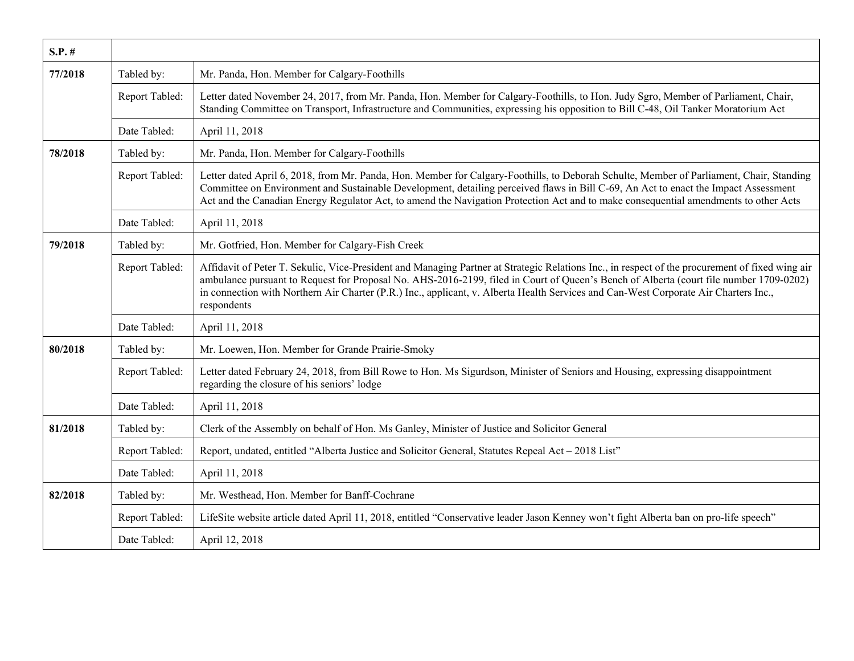| $S.P.$ # |                |                                                                                                                                                                                                                                                                                                                                                                                                                                                  |
|----------|----------------|--------------------------------------------------------------------------------------------------------------------------------------------------------------------------------------------------------------------------------------------------------------------------------------------------------------------------------------------------------------------------------------------------------------------------------------------------|
| 77/2018  | Tabled by:     | Mr. Panda, Hon. Member for Calgary-Foothills                                                                                                                                                                                                                                                                                                                                                                                                     |
|          | Report Tabled: | Letter dated November 24, 2017, from Mr. Panda, Hon. Member for Calgary-Foothills, to Hon. Judy Sgro, Member of Parliament, Chair,<br>Standing Committee on Transport, Infrastructure and Communities, expressing his opposition to Bill C-48, Oil Tanker Moratorium Act                                                                                                                                                                         |
|          | Date Tabled:   | April 11, 2018                                                                                                                                                                                                                                                                                                                                                                                                                                   |
| 78/2018  | Tabled by:     | Mr. Panda, Hon. Member for Calgary-Foothills                                                                                                                                                                                                                                                                                                                                                                                                     |
|          | Report Tabled: | Letter dated April 6, 2018, from Mr. Panda, Hon. Member for Calgary-Foothills, to Deborah Schulte, Member of Parliament, Chair, Standing<br>Committee on Environment and Sustainable Development, detailing perceived flaws in Bill C-69, An Act to enact the Impact Assessment<br>Act and the Canadian Energy Regulator Act, to amend the Navigation Protection Act and to make consequential amendments to other Acts                          |
|          | Date Tabled:   | April 11, 2018                                                                                                                                                                                                                                                                                                                                                                                                                                   |
| 79/2018  | Tabled by:     | Mr. Gotfried, Hon. Member for Calgary-Fish Creek                                                                                                                                                                                                                                                                                                                                                                                                 |
|          | Report Tabled: | Affidavit of Peter T. Sekulic, Vice-President and Managing Partner at Strategic Relations Inc., in respect of the procurement of fixed wing air<br>ambulance pursuant to Request for Proposal No. AHS-2016-2199, filed in Court of Queen's Bench of Alberta (court file number 1709-0202)<br>in connection with Northern Air Charter (P.R.) Inc., applicant, v. Alberta Health Services and Can-West Corporate Air Charters Inc.,<br>respondents |
|          | Date Tabled:   | April 11, 2018                                                                                                                                                                                                                                                                                                                                                                                                                                   |
| 80/2018  | Tabled by:     | Mr. Loewen, Hon. Member for Grande Prairie-Smoky                                                                                                                                                                                                                                                                                                                                                                                                 |
|          | Report Tabled: | Letter dated February 24, 2018, from Bill Rowe to Hon. Ms Sigurdson, Minister of Seniors and Housing, expressing disappointment<br>regarding the closure of his seniors' lodge                                                                                                                                                                                                                                                                   |
|          | Date Tabled:   | April 11, 2018                                                                                                                                                                                                                                                                                                                                                                                                                                   |
| 81/2018  | Tabled by:     | Clerk of the Assembly on behalf of Hon. Ms Ganley, Minister of Justice and Solicitor General                                                                                                                                                                                                                                                                                                                                                     |
|          | Report Tabled: | Report, undated, entitled "Alberta Justice and Solicitor General, Statutes Repeal Act - 2018 List"                                                                                                                                                                                                                                                                                                                                               |
|          | Date Tabled:   | April 11, 2018                                                                                                                                                                                                                                                                                                                                                                                                                                   |
| 82/2018  | Tabled by:     | Mr. Westhead, Hon. Member for Banff-Cochrane                                                                                                                                                                                                                                                                                                                                                                                                     |
|          | Report Tabled: | LifeSite website article dated April 11, 2018, entitled "Conservative leader Jason Kenney won't fight Alberta ban on pro-life speech"                                                                                                                                                                                                                                                                                                            |
|          | Date Tabled:   | April 12, 2018                                                                                                                                                                                                                                                                                                                                                                                                                                   |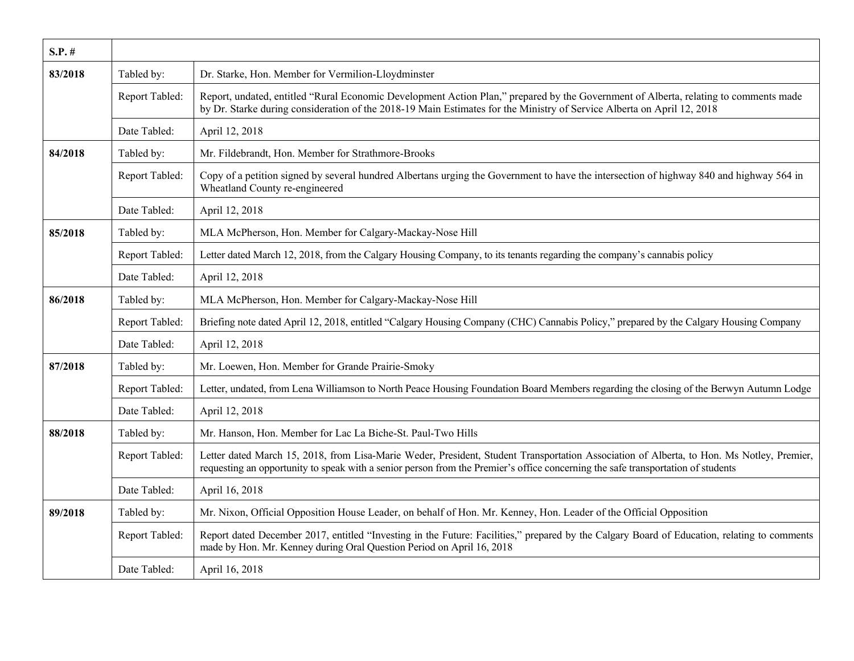| $S.P.$ # |                |                                                                                                                                                                                                                                                                               |
|----------|----------------|-------------------------------------------------------------------------------------------------------------------------------------------------------------------------------------------------------------------------------------------------------------------------------|
| 83/2018  | Tabled by:     | Dr. Starke, Hon. Member for Vermilion-Lloydminster                                                                                                                                                                                                                            |
|          | Report Tabled: | Report, undated, entitled "Rural Economic Development Action Plan," prepared by the Government of Alberta, relating to comments made<br>by Dr. Starke during consideration of the 2018-19 Main Estimates for the Ministry of Service Alberta on April 12, 2018                |
|          | Date Tabled:   | April 12, 2018                                                                                                                                                                                                                                                                |
| 84/2018  | Tabled by:     | Mr. Fildebrandt, Hon. Member for Strathmore-Brooks                                                                                                                                                                                                                            |
|          | Report Tabled: | Copy of a petition signed by several hundred Albertans urging the Government to have the intersection of highway 840 and highway 564 in<br>Wheatland County re-engineered                                                                                                     |
|          | Date Tabled:   | April 12, 2018                                                                                                                                                                                                                                                                |
| 85/2018  | Tabled by:     | MLA McPherson, Hon. Member for Calgary-Mackay-Nose Hill                                                                                                                                                                                                                       |
|          | Report Tabled: | Letter dated March 12, 2018, from the Calgary Housing Company, to its tenants regarding the company's cannabis policy                                                                                                                                                         |
|          | Date Tabled:   | April 12, 2018                                                                                                                                                                                                                                                                |
| 86/2018  | Tabled by:     | MLA McPherson, Hon. Member for Calgary-Mackay-Nose Hill                                                                                                                                                                                                                       |
|          | Report Tabled: | Briefing note dated April 12, 2018, entitled "Calgary Housing Company (CHC) Cannabis Policy," prepared by the Calgary Housing Company                                                                                                                                         |
|          | Date Tabled:   | April 12, 2018                                                                                                                                                                                                                                                                |
| 87/2018  | Tabled by:     | Mr. Loewen, Hon. Member for Grande Prairie-Smoky                                                                                                                                                                                                                              |
|          | Report Tabled: | Letter, undated, from Lena Williamson to North Peace Housing Foundation Board Members regarding the closing of the Berwyn Autumn Lodge                                                                                                                                        |
|          | Date Tabled:   | April 12, 2018                                                                                                                                                                                                                                                                |
| 88/2018  | Tabled by:     | Mr. Hanson, Hon. Member for Lac La Biche-St. Paul-Two Hills                                                                                                                                                                                                                   |
|          | Report Tabled: | Letter dated March 15, 2018, from Lisa-Marie Weder, President, Student Transportation Association of Alberta, to Hon. Ms Notley, Premier,<br>requesting an opportunity to speak with a senior person from the Premier's office concerning the safe transportation of students |
|          | Date Tabled:   | April 16, 2018                                                                                                                                                                                                                                                                |
| 89/2018  | Tabled by:     | Mr. Nixon, Official Opposition House Leader, on behalf of Hon. Mr. Kenney, Hon. Leader of the Official Opposition                                                                                                                                                             |
|          | Report Tabled: | Report dated December 2017, entitled "Investing in the Future: Facilities," prepared by the Calgary Board of Education, relating to comments<br>made by Hon. Mr. Kenney during Oral Question Period on April 16, 2018                                                         |
|          | Date Tabled:   | April 16, 2018                                                                                                                                                                                                                                                                |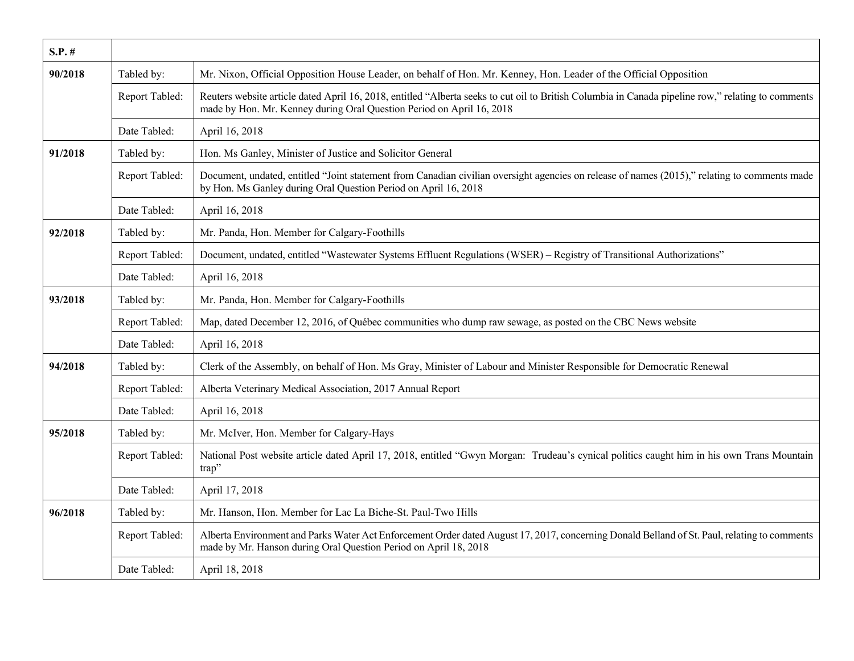| $S.P.$ # |                |                                                                                                                                                                                                                             |
|----------|----------------|-----------------------------------------------------------------------------------------------------------------------------------------------------------------------------------------------------------------------------|
| 90/2018  | Tabled by:     | Mr. Nixon, Official Opposition House Leader, on behalf of Hon. Mr. Kenney, Hon. Leader of the Official Opposition                                                                                                           |
|          | Report Tabled: | Reuters website article dated April 16, 2018, entitled "Alberta seeks to cut oil to British Columbia in Canada pipeline row," relating to comments<br>made by Hon. Mr. Kenney during Oral Question Period on April 16, 2018 |
|          | Date Tabled:   | April 16, 2018                                                                                                                                                                                                              |
| 91/2018  | Tabled by:     | Hon. Ms Ganley, Minister of Justice and Solicitor General                                                                                                                                                                   |
|          | Report Tabled: | Document, undated, entitled "Joint statement from Canadian civilian oversight agencies on release of names (2015)," relating to comments made<br>by Hon. Ms Ganley during Oral Question Period on April 16, 2018            |
|          | Date Tabled:   | April 16, 2018                                                                                                                                                                                                              |
| 92/2018  | Tabled by:     | Mr. Panda, Hon. Member for Calgary-Foothills                                                                                                                                                                                |
|          | Report Tabled: | Document, undated, entitled "Wastewater Systems Effluent Regulations (WSER) - Registry of Transitional Authorizations"                                                                                                      |
|          | Date Tabled:   | April 16, 2018                                                                                                                                                                                                              |
| 93/2018  | Tabled by:     | Mr. Panda, Hon. Member for Calgary-Foothills                                                                                                                                                                                |
|          | Report Tabled: | Map, dated December 12, 2016, of Québec communities who dump raw sewage, as posted on the CBC News website                                                                                                                  |
|          | Date Tabled:   | April 16, 2018                                                                                                                                                                                                              |
| 94/2018  | Tabled by:     | Clerk of the Assembly, on behalf of Hon. Ms Gray, Minister of Labour and Minister Responsible for Democratic Renewal                                                                                                        |
|          | Report Tabled: | Alberta Veterinary Medical Association, 2017 Annual Report                                                                                                                                                                  |
|          | Date Tabled:   | April 16, 2018                                                                                                                                                                                                              |
| 95/2018  | Tabled by:     | Mr. McIver, Hon. Member for Calgary-Hays                                                                                                                                                                                    |
|          | Report Tabled: | National Post website article dated April 17, 2018, entitled "Gwyn Morgan: Trudeau's cynical politics caught him in his own Trans Mountain<br>trap"                                                                         |
|          | Date Tabled:   | April 17, 2018                                                                                                                                                                                                              |
| 96/2018  | Tabled by:     | Mr. Hanson, Hon. Member for Lac La Biche-St. Paul-Two Hills                                                                                                                                                                 |
|          | Report Tabled: | Alberta Environment and Parks Water Act Enforcement Order dated August 17, 2017, concerning Donald Belland of St. Paul, relating to comments<br>made by Mr. Hanson during Oral Question Period on April 18, 2018            |
|          | Date Tabled:   | April 18, 2018                                                                                                                                                                                                              |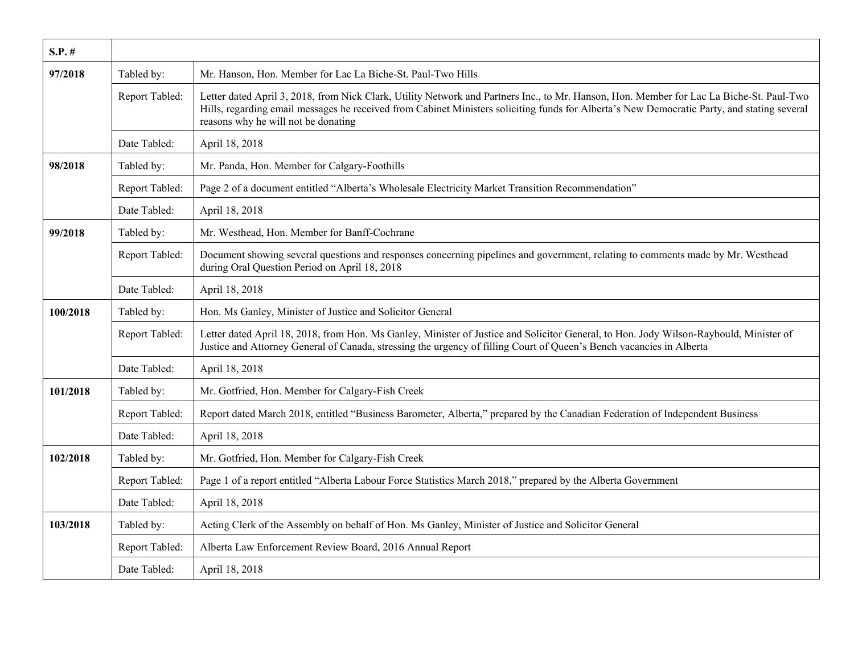| $S.P.$ # |                |                                                                                                                                                                                                                                                                                                                                |
|----------|----------------|--------------------------------------------------------------------------------------------------------------------------------------------------------------------------------------------------------------------------------------------------------------------------------------------------------------------------------|
| 97/2018  | Tabled by:     | Mr. Hanson, Hon. Member for Lac La Biche-St. Paul-Two Hills                                                                                                                                                                                                                                                                    |
|          | Report Tabled: | Letter dated April 3, 2018, from Nick Clark, Utility Network and Partners Inc., to Mr. Hanson, Hon. Member for Lac La Biche-St. Paul-Two<br>Hills, regarding email messages he received from Cabinet Ministers soliciting funds for Alberta's New Democratic Party, and stating several<br>reasons why he will not be donating |
|          | Date Tabled:   | April 18, 2018                                                                                                                                                                                                                                                                                                                 |
| 98/2018  | Tabled by:     | Mr. Panda, Hon. Member for Calgary-Foothills                                                                                                                                                                                                                                                                                   |
|          | Report Tabled: | Page 2 of a document entitled "Alberta's Wholesale Electricity Market Transition Recommendation"                                                                                                                                                                                                                               |
|          | Date Tabled:   | April 18, 2018                                                                                                                                                                                                                                                                                                                 |
| 99/2018  | Tabled by:     | Mr. Westhead, Hon. Member for Banff-Cochrane                                                                                                                                                                                                                                                                                   |
|          | Report Tabled: | Document showing several questions and responses concerning pipelines and government, relating to comments made by Mr. Westhead<br>during Oral Question Period on April 18, 2018                                                                                                                                               |
|          | Date Tabled:   | April 18, 2018                                                                                                                                                                                                                                                                                                                 |
| 100/2018 | Tabled by:     | Hon. Ms Ganley, Minister of Justice and Solicitor General                                                                                                                                                                                                                                                                      |
|          | Report Tabled: | Letter dated April 18, 2018, from Hon. Ms Ganley, Minister of Justice and Solicitor General, to Hon. Jody Wilson-Raybould, Minister of<br>Justice and Attorney General of Canada, stressing the urgency of filling Court of Queen's Bench vacancies in Alberta                                                                 |
|          | Date Tabled:   | April 18, 2018                                                                                                                                                                                                                                                                                                                 |
| 101/2018 | Tabled by:     | Mr. Gotfried, Hon. Member for Calgary-Fish Creek                                                                                                                                                                                                                                                                               |
|          | Report Tabled: | Report dated March 2018, entitled "Business Barometer, Alberta," prepared by the Canadian Federation of Independent Business                                                                                                                                                                                                   |
|          | Date Tabled:   | April 18, 2018                                                                                                                                                                                                                                                                                                                 |
| 102/2018 | Tabled by:     | Mr. Gotfried, Hon. Member for Calgary-Fish Creek                                                                                                                                                                                                                                                                               |
|          | Report Tabled: | Page 1 of a report entitled "Alberta Labour Force Statistics March 2018," prepared by the Alberta Government                                                                                                                                                                                                                   |
|          | Date Tabled:   | April 18, 2018                                                                                                                                                                                                                                                                                                                 |
| 103/2018 | Tabled by:     | Acting Clerk of the Assembly on behalf of Hon. Ms Ganley, Minister of Justice and Solicitor General                                                                                                                                                                                                                            |
|          | Report Tabled: | Alberta Law Enforcement Review Board, 2016 Annual Report                                                                                                                                                                                                                                                                       |
|          | Date Tabled:   | April 18, 2018                                                                                                                                                                                                                                                                                                                 |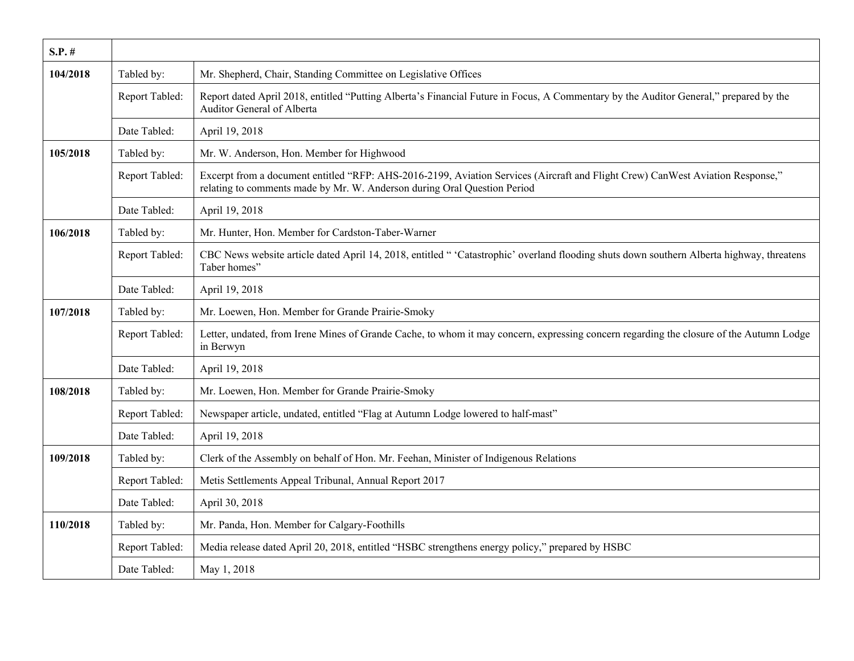| $S.P.$ # |                |                                                                                                                                                                                                            |
|----------|----------------|------------------------------------------------------------------------------------------------------------------------------------------------------------------------------------------------------------|
| 104/2018 | Tabled by:     | Mr. Shepherd, Chair, Standing Committee on Legislative Offices                                                                                                                                             |
|          | Report Tabled: | Report dated April 2018, entitled "Putting Alberta's Financial Future in Focus, A Commentary by the Auditor General," prepared by the<br>Auditor General of Alberta                                        |
|          | Date Tabled:   | April 19, 2018                                                                                                                                                                                             |
| 105/2018 | Tabled by:     | Mr. W. Anderson, Hon. Member for Highwood                                                                                                                                                                  |
|          | Report Tabled: | Excerpt from a document entitled "RFP: AHS-2016-2199, Aviation Services (Aircraft and Flight Crew) CanWest Aviation Response,"<br>relating to comments made by Mr. W. Anderson during Oral Question Period |
|          | Date Tabled:   | April 19, 2018                                                                                                                                                                                             |
| 106/2018 | Tabled by:     | Mr. Hunter, Hon. Member for Cardston-Taber-Warner                                                                                                                                                          |
|          | Report Tabled: | CBC News website article dated April 14, 2018, entitled " 'Catastrophic' overland flooding shuts down southern Alberta highway, threatens<br>Taber homes"                                                  |
|          | Date Tabled:   | April 19, 2018                                                                                                                                                                                             |
| 107/2018 | Tabled by:     | Mr. Loewen, Hon. Member for Grande Prairie-Smoky                                                                                                                                                           |
|          | Report Tabled: | Letter, undated, from Irene Mines of Grande Cache, to whom it may concern, expressing concern regarding the closure of the Autumn Lodge<br>in Berwyn                                                       |
|          | Date Tabled:   | April 19, 2018                                                                                                                                                                                             |
| 108/2018 | Tabled by:     | Mr. Loewen, Hon. Member for Grande Prairie-Smoky                                                                                                                                                           |
|          | Report Tabled: | Newspaper article, undated, entitled "Flag at Autumn Lodge lowered to half-mast"                                                                                                                           |
|          | Date Tabled:   | April 19, 2018                                                                                                                                                                                             |
| 109/2018 | Tabled by:     | Clerk of the Assembly on behalf of Hon. Mr. Feehan, Minister of Indigenous Relations                                                                                                                       |
|          | Report Tabled: | Metis Settlements Appeal Tribunal, Annual Report 2017                                                                                                                                                      |
|          | Date Tabled:   | April 30, 2018                                                                                                                                                                                             |
| 110/2018 | Tabled by:     | Mr. Panda, Hon. Member for Calgary-Foothills                                                                                                                                                               |
|          | Report Tabled: | Media release dated April 20, 2018, entitled "HSBC strengthens energy policy," prepared by HSBC                                                                                                            |
|          | Date Tabled:   | May 1, 2018                                                                                                                                                                                                |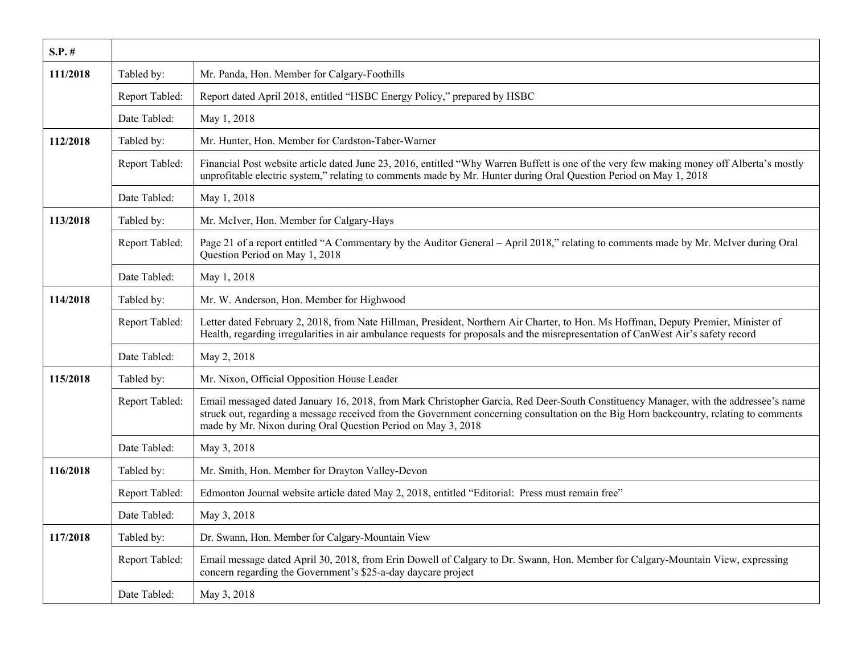| $S.P.$ # |                |                                                                                                                                                                                                                                                                                                                                               |
|----------|----------------|-----------------------------------------------------------------------------------------------------------------------------------------------------------------------------------------------------------------------------------------------------------------------------------------------------------------------------------------------|
| 111/2018 | Tabled by:     | Mr. Panda, Hon. Member for Calgary-Foothills                                                                                                                                                                                                                                                                                                  |
|          | Report Tabled: | Report dated April 2018, entitled "HSBC Energy Policy," prepared by HSBC                                                                                                                                                                                                                                                                      |
|          | Date Tabled:   | May 1, 2018                                                                                                                                                                                                                                                                                                                                   |
| 112/2018 | Tabled by:     | Mr. Hunter, Hon. Member for Cardston-Taber-Warner                                                                                                                                                                                                                                                                                             |
|          | Report Tabled: | Financial Post website article dated June 23, 2016, entitled "Why Warren Buffett is one of the very few making money off Alberta's mostly<br>unprofitable electric system," relating to comments made by Mr. Hunter during Oral Question Period on May 1, 2018                                                                                |
|          | Date Tabled:   | May 1, 2018                                                                                                                                                                                                                                                                                                                                   |
| 113/2018 | Tabled by:     | Mr. McIver, Hon. Member for Calgary-Hays                                                                                                                                                                                                                                                                                                      |
|          | Report Tabled: | Page 21 of a report entitled "A Commentary by the Auditor General – April 2018," relating to comments made by Mr. McIver during Oral<br>Question Period on May 1, 2018                                                                                                                                                                        |
|          | Date Tabled:   | May 1, 2018                                                                                                                                                                                                                                                                                                                                   |
| 114/2018 | Tabled by:     | Mr. W. Anderson, Hon. Member for Highwood                                                                                                                                                                                                                                                                                                     |
|          | Report Tabled: | Letter dated February 2, 2018, from Nate Hillman, President, Northern Air Charter, to Hon. Ms Hoffman, Deputy Premier, Minister of<br>Health, regarding irregularities in air ambulance requests for proposals and the misrepresentation of CanWest Air's safety record                                                                       |
|          | Date Tabled:   | May 2, 2018                                                                                                                                                                                                                                                                                                                                   |
| 115/2018 | Tabled by:     | Mr. Nixon, Official Opposition House Leader                                                                                                                                                                                                                                                                                                   |
|          | Report Tabled: | Email messaged dated January 16, 2018, from Mark Christopher Garcia, Red Deer-South Constituency Manager, with the addressee's name<br>struck out, regarding a message received from the Government concerning consultation on the Big Horn backcountry, relating to comments<br>made by Mr. Nixon during Oral Question Period on May 3, 2018 |
|          | Date Tabled:   | May 3, 2018                                                                                                                                                                                                                                                                                                                                   |
| 116/2018 | Tabled by:     | Mr. Smith, Hon. Member for Drayton Valley-Devon                                                                                                                                                                                                                                                                                               |
|          | Report Tabled: | Edmonton Journal website article dated May 2, 2018, entitled "Editorial: Press must remain free"                                                                                                                                                                                                                                              |
|          | Date Tabled:   | May 3, 2018                                                                                                                                                                                                                                                                                                                                   |
| 117/2018 | Tabled by:     | Dr. Swann, Hon. Member for Calgary-Mountain View                                                                                                                                                                                                                                                                                              |
|          | Report Tabled: | Email message dated April 30, 2018, from Erin Dowell of Calgary to Dr. Swann, Hon. Member for Calgary-Mountain View, expressing<br>concern regarding the Government's \$25-a-day daycare project                                                                                                                                              |
|          | Date Tabled:   | May 3, 2018                                                                                                                                                                                                                                                                                                                                   |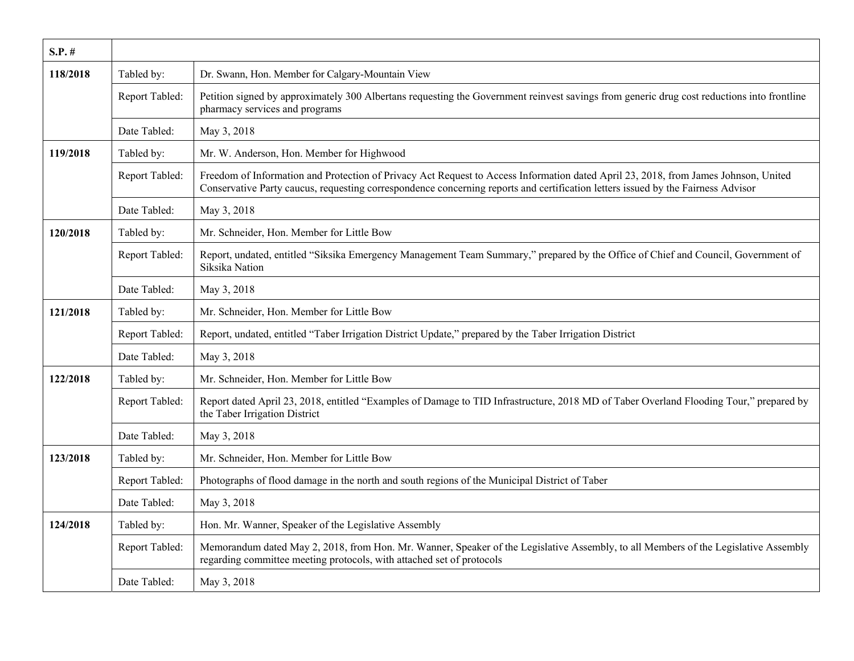| $S.P.$ # |                |                                                                                                                                                                                                                                                                         |
|----------|----------------|-------------------------------------------------------------------------------------------------------------------------------------------------------------------------------------------------------------------------------------------------------------------------|
| 118/2018 | Tabled by:     | Dr. Swann, Hon. Member for Calgary-Mountain View                                                                                                                                                                                                                        |
|          | Report Tabled: | Petition signed by approximately 300 Albertans requesting the Government reinvest savings from generic drug cost reductions into frontline<br>pharmacy services and programs                                                                                            |
|          | Date Tabled:   | May 3, 2018                                                                                                                                                                                                                                                             |
| 119/2018 | Tabled by:     | Mr. W. Anderson, Hon. Member for Highwood                                                                                                                                                                                                                               |
|          | Report Tabled: | Freedom of Information and Protection of Privacy Act Request to Access Information dated April 23, 2018, from James Johnson, United<br>Conservative Party caucus, requesting correspondence concerning reports and certification letters issued by the Fairness Advisor |
|          | Date Tabled:   | May 3, 2018                                                                                                                                                                                                                                                             |
| 120/2018 | Tabled by:     | Mr. Schneider, Hon. Member for Little Bow                                                                                                                                                                                                                               |
|          | Report Tabled: | Report, undated, entitled "Siksika Emergency Management Team Summary," prepared by the Office of Chief and Council, Government of<br>Siksika Nation                                                                                                                     |
|          | Date Tabled:   | May 3, 2018                                                                                                                                                                                                                                                             |
| 121/2018 | Tabled by:     | Mr. Schneider, Hon. Member for Little Bow                                                                                                                                                                                                                               |
|          | Report Tabled: | Report, undated, entitled "Taber Irrigation District Update," prepared by the Taber Irrigation District                                                                                                                                                                 |
|          | Date Tabled:   | May 3, 2018                                                                                                                                                                                                                                                             |
| 122/2018 | Tabled by:     | Mr. Schneider, Hon. Member for Little Bow                                                                                                                                                                                                                               |
|          | Report Tabled: | Report dated April 23, 2018, entitled "Examples of Damage to TID Infrastructure, 2018 MD of Taber Overland Flooding Tour," prepared by<br>the Taber Irrigation District                                                                                                 |
|          | Date Tabled:   | May 3, 2018                                                                                                                                                                                                                                                             |
| 123/2018 | Tabled by:     | Mr. Schneider, Hon. Member for Little Bow                                                                                                                                                                                                                               |
|          | Report Tabled: | Photographs of flood damage in the north and south regions of the Municipal District of Taber                                                                                                                                                                           |
|          | Date Tabled:   | May 3, 2018                                                                                                                                                                                                                                                             |
| 124/2018 | Tabled by:     | Hon. Mr. Wanner, Speaker of the Legislative Assembly                                                                                                                                                                                                                    |
|          | Report Tabled: | Memorandum dated May 2, 2018, from Hon. Mr. Wanner, Speaker of the Legislative Assembly, to all Members of the Legislative Assembly<br>regarding committee meeting protocols, with attached set of protocols                                                            |
|          | Date Tabled:   | May 3, 2018                                                                                                                                                                                                                                                             |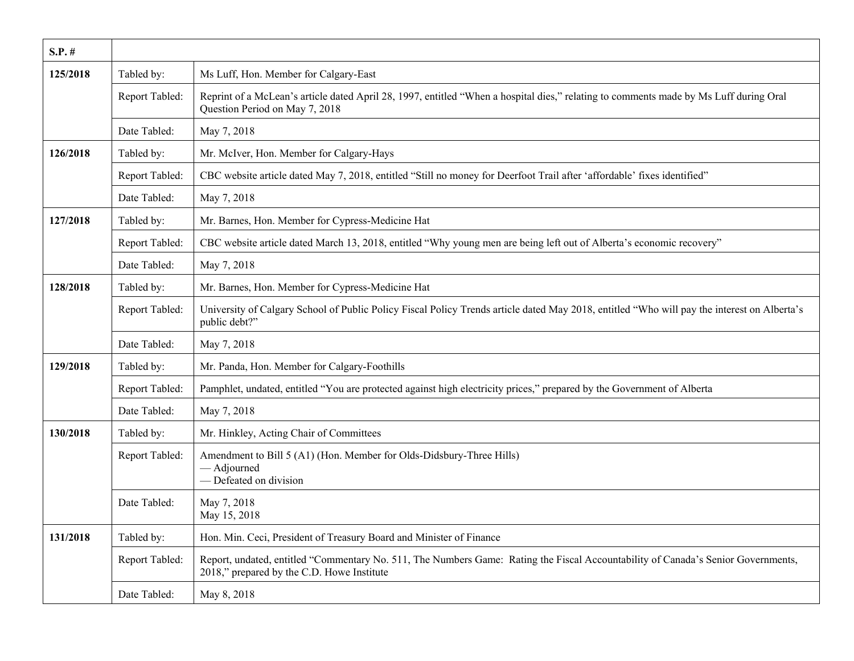| $S.P.$ # |                |                                                                                                                                                                                 |
|----------|----------------|---------------------------------------------------------------------------------------------------------------------------------------------------------------------------------|
| 125/2018 | Tabled by:     | Ms Luff, Hon. Member for Calgary-East                                                                                                                                           |
|          | Report Tabled: | Reprint of a McLean's article dated April 28, 1997, entitled "When a hospital dies," relating to comments made by Ms Luff during Oral<br>Question Period on May 7, 2018         |
|          | Date Tabled:   | May 7, 2018                                                                                                                                                                     |
| 126/2018 | Tabled by:     | Mr. McIver, Hon. Member for Calgary-Hays                                                                                                                                        |
|          | Report Tabled: | CBC website article dated May 7, 2018, entitled "Still no money for Deerfoot Trail after 'affordable' fixes identified"                                                         |
|          | Date Tabled:   | May 7, 2018                                                                                                                                                                     |
| 127/2018 | Tabled by:     | Mr. Barnes, Hon. Member for Cypress-Medicine Hat                                                                                                                                |
|          | Report Tabled: | CBC website article dated March 13, 2018, entitled "Why young men are being left out of Alberta's economic recovery"                                                            |
|          | Date Tabled:   | May 7, 2018                                                                                                                                                                     |
| 128/2018 | Tabled by:     | Mr. Barnes, Hon. Member for Cypress-Medicine Hat                                                                                                                                |
|          | Report Tabled: | University of Calgary School of Public Policy Fiscal Policy Trends article dated May 2018, entitled "Who will pay the interest on Alberta's<br>public debt?"                    |
|          | Date Tabled:   | May 7, 2018                                                                                                                                                                     |
| 129/2018 | Tabled by:     | Mr. Panda, Hon. Member for Calgary-Foothills                                                                                                                                    |
|          | Report Tabled: | Pamphlet, undated, entitled "You are protected against high electricity prices," prepared by the Government of Alberta                                                          |
|          | Date Tabled:   | May 7, 2018                                                                                                                                                                     |
| 130/2018 | Tabled by:     | Mr. Hinkley, Acting Chair of Committees                                                                                                                                         |
|          | Report Tabled: | Amendment to Bill 5 (A1) (Hon. Member for Olds-Didsbury-Three Hills)<br>- Adjourned<br>- Defeated on division                                                                   |
|          | Date Tabled:   | May 7, 2018<br>May 15, 2018                                                                                                                                                     |
| 131/2018 | Tabled by:     | Hon. Min. Ceci, President of Treasury Board and Minister of Finance                                                                                                             |
|          | Report Tabled: | Report, undated, entitled "Commentary No. 511, The Numbers Game: Rating the Fiscal Accountability of Canada's Senior Governments,<br>2018," prepared by the C.D. Howe Institute |
|          | Date Tabled:   | May 8, 2018                                                                                                                                                                     |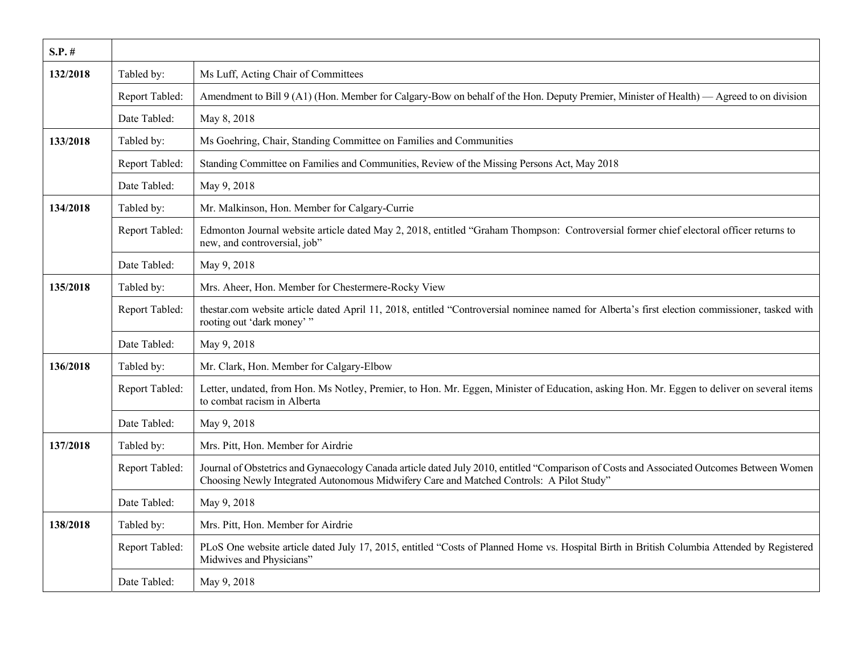| $S.P.$ # |                |                                                                                                                                                                                                                                       |
|----------|----------------|---------------------------------------------------------------------------------------------------------------------------------------------------------------------------------------------------------------------------------------|
| 132/2018 | Tabled by:     | Ms Luff, Acting Chair of Committees                                                                                                                                                                                                   |
|          | Report Tabled: | Amendment to Bill 9 (A1) (Hon. Member for Calgary-Bow on behalf of the Hon. Deputy Premier, Minister of Health) — Agreed to on division                                                                                               |
|          | Date Tabled:   | May 8, 2018                                                                                                                                                                                                                           |
| 133/2018 | Tabled by:     | Ms Goehring, Chair, Standing Committee on Families and Communities                                                                                                                                                                    |
|          | Report Tabled: | Standing Committee on Families and Communities, Review of the Missing Persons Act, May 2018                                                                                                                                           |
|          | Date Tabled:   | May 9, 2018                                                                                                                                                                                                                           |
| 134/2018 | Tabled by:     | Mr. Malkinson, Hon. Member for Calgary-Currie                                                                                                                                                                                         |
|          | Report Tabled: | Edmonton Journal website article dated May 2, 2018, entitled "Graham Thompson: Controversial former chief electoral officer returns to<br>new, and controversial, job"                                                                |
|          | Date Tabled:   | May 9, 2018                                                                                                                                                                                                                           |
| 135/2018 | Tabled by:     | Mrs. Aheer, Hon. Member for Chestermere-Rocky View                                                                                                                                                                                    |
|          | Report Tabled: | thestar.com website article dated April 11, 2018, entitled "Controversial nominee named for Alberta's first election commissioner, tasked with<br>rooting out 'dark money'"                                                           |
|          | Date Tabled:   | May 9, 2018                                                                                                                                                                                                                           |
| 136/2018 | Tabled by:     | Mr. Clark, Hon. Member for Calgary-Elbow                                                                                                                                                                                              |
|          | Report Tabled: | Letter, undated, from Hon. Ms Notley, Premier, to Hon. Mr. Eggen, Minister of Education, asking Hon. Mr. Eggen to deliver on several items<br>to combat racism in Alberta                                                             |
|          | Date Tabled:   | May 9, 2018                                                                                                                                                                                                                           |
| 137/2018 | Tabled by:     | Mrs. Pitt, Hon. Member for Airdrie                                                                                                                                                                                                    |
|          | Report Tabled: | Journal of Obstetrics and Gynaecology Canada article dated July 2010, entitled "Comparison of Costs and Associated Outcomes Between Women<br>Choosing Newly Integrated Autonomous Midwifery Care and Matched Controls: A Pilot Study" |
|          | Date Tabled:   | May 9, 2018                                                                                                                                                                                                                           |
| 138/2018 | Tabled by:     | Mrs. Pitt, Hon. Member for Airdrie                                                                                                                                                                                                    |
|          | Report Tabled: | PLoS One website article dated July 17, 2015, entitled "Costs of Planned Home vs. Hospital Birth in British Columbia Attended by Registered<br>Midwives and Physicians"                                                               |
|          | Date Tabled:   | May 9, 2018                                                                                                                                                                                                                           |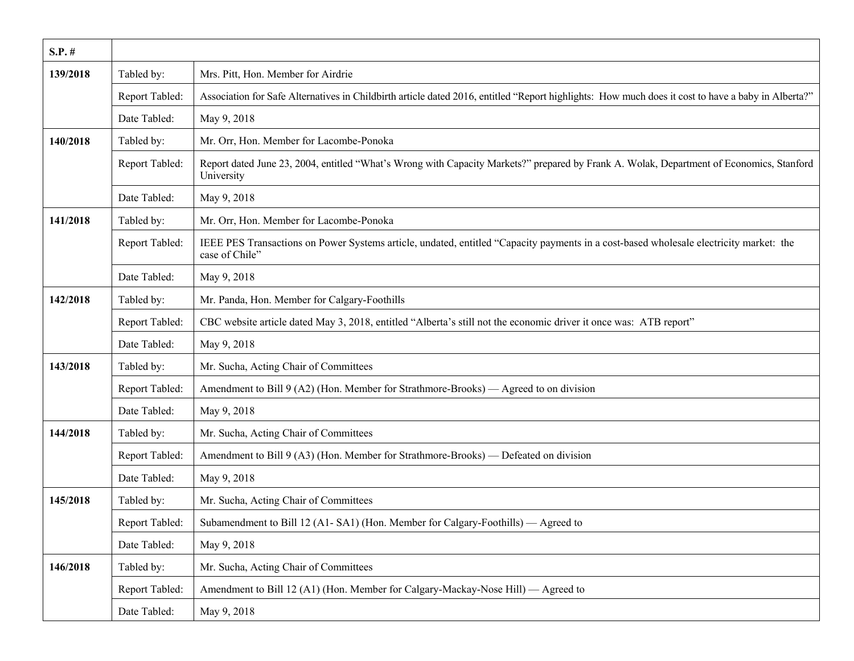| $S.P.$ # |                |                                                                                                                                                          |
|----------|----------------|----------------------------------------------------------------------------------------------------------------------------------------------------------|
| 139/2018 | Tabled by:     | Mrs. Pitt, Hon. Member for Airdrie                                                                                                                       |
|          | Report Tabled: | Association for Safe Alternatives in Childbirth article dated 2016, entitled "Report highlights: How much does it cost to have a baby in Alberta?"       |
|          | Date Tabled:   | May 9, 2018                                                                                                                                              |
| 140/2018 | Tabled by:     | Mr. Orr, Hon. Member for Lacombe-Ponoka                                                                                                                  |
|          | Report Tabled: | Report dated June 23, 2004, entitled "What's Wrong with Capacity Markets?" prepared by Frank A. Wolak, Department of Economics, Stanford<br>University   |
|          | Date Tabled:   | May 9, 2018                                                                                                                                              |
| 141/2018 | Tabled by:     | Mr. Orr, Hon. Member for Lacombe-Ponoka                                                                                                                  |
|          | Report Tabled: | IEEE PES Transactions on Power Systems article, undated, entitled "Capacity payments in a cost-based wholesale electricity market: the<br>case of Chile" |
|          | Date Tabled:   | May 9, 2018                                                                                                                                              |
| 142/2018 | Tabled by:     | Mr. Panda, Hon. Member for Calgary-Foothills                                                                                                             |
|          | Report Tabled: | CBC website article dated May 3, 2018, entitled "Alberta's still not the economic driver it once was: ATB report"                                        |
|          | Date Tabled:   | May 9, 2018                                                                                                                                              |
| 143/2018 | Tabled by:     | Mr. Sucha, Acting Chair of Committees                                                                                                                    |
|          | Report Tabled: | Amendment to Bill 9 (A2) (Hon. Member for Strathmore-Brooks) — Agreed to on division                                                                     |
|          | Date Tabled:   | May 9, 2018                                                                                                                                              |
| 144/2018 | Tabled by:     | Mr. Sucha, Acting Chair of Committees                                                                                                                    |
|          | Report Tabled: | Amendment to Bill 9 (A3) (Hon. Member for Strathmore-Brooks) — Defeated on division                                                                      |
|          | Date Tabled:   | May 9, 2018                                                                                                                                              |
| 145/2018 | Tabled by:     | Mr. Sucha, Acting Chair of Committees                                                                                                                    |
|          | Report Tabled: | Subamendment to Bill 12 (A1-SA1) (Hon. Member for Calgary-Foothills) — Agreed to                                                                         |
|          | Date Tabled:   | May 9, 2018                                                                                                                                              |
| 146/2018 | Tabled by:     | Mr. Sucha, Acting Chair of Committees                                                                                                                    |
|          | Report Tabled: | Amendment to Bill 12 (A1) (Hon. Member for Calgary-Mackay-Nose Hill) — Agreed to                                                                         |
|          | Date Tabled:   | May 9, 2018                                                                                                                                              |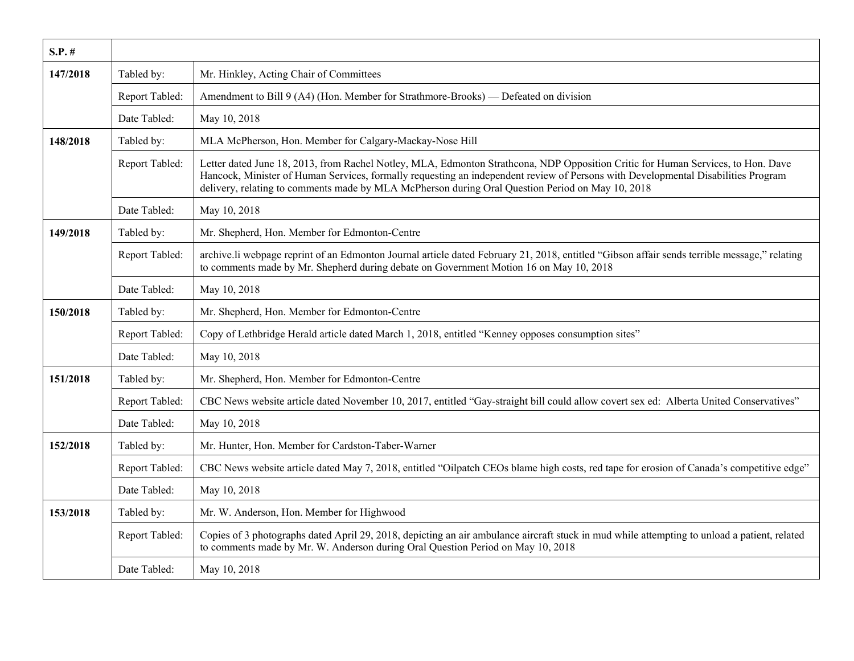| $S.P.$ # |                |                                                                                                                                                                                                                                                                                                                                                                           |
|----------|----------------|---------------------------------------------------------------------------------------------------------------------------------------------------------------------------------------------------------------------------------------------------------------------------------------------------------------------------------------------------------------------------|
| 147/2018 | Tabled by:     | Mr. Hinkley, Acting Chair of Committees                                                                                                                                                                                                                                                                                                                                   |
|          | Report Tabled: | Amendment to Bill 9 (A4) (Hon. Member for Strathmore-Brooks) — Defeated on division                                                                                                                                                                                                                                                                                       |
|          | Date Tabled:   | May 10, 2018                                                                                                                                                                                                                                                                                                                                                              |
| 148/2018 | Tabled by:     | MLA McPherson, Hon. Member for Calgary-Mackay-Nose Hill                                                                                                                                                                                                                                                                                                                   |
|          | Report Tabled: | Letter dated June 18, 2013, from Rachel Notley, MLA, Edmonton Strathcona, NDP Opposition Critic for Human Services, to Hon. Dave<br>Hancock, Minister of Human Services, formally requesting an independent review of Persons with Developmental Disabilities Program<br>delivery, relating to comments made by MLA McPherson during Oral Question Period on May 10, 2018 |
|          | Date Tabled:   | May 10, 2018                                                                                                                                                                                                                                                                                                                                                              |
| 149/2018 | Tabled by:     | Mr. Shepherd, Hon. Member for Edmonton-Centre                                                                                                                                                                                                                                                                                                                             |
|          | Report Tabled: | archive.li webpage reprint of an Edmonton Journal article dated February 21, 2018, entitled "Gibson affair sends terrible message," relating<br>to comments made by Mr. Shepherd during debate on Government Motion 16 on May 10, 2018                                                                                                                                    |
|          | Date Tabled:   | May 10, 2018                                                                                                                                                                                                                                                                                                                                                              |
| 150/2018 | Tabled by:     | Mr. Shepherd, Hon. Member for Edmonton-Centre                                                                                                                                                                                                                                                                                                                             |
|          | Report Tabled: | Copy of Lethbridge Herald article dated March 1, 2018, entitled "Kenney opposes consumption sites"                                                                                                                                                                                                                                                                        |
|          | Date Tabled:   | May 10, 2018                                                                                                                                                                                                                                                                                                                                                              |
| 151/2018 | Tabled by:     | Mr. Shepherd, Hon. Member for Edmonton-Centre                                                                                                                                                                                                                                                                                                                             |
|          | Report Tabled: | CBC News website article dated November 10, 2017, entitled "Gay-straight bill could allow covert sex ed: Alberta United Conservatives"                                                                                                                                                                                                                                    |
|          | Date Tabled:   | May 10, 2018                                                                                                                                                                                                                                                                                                                                                              |
| 152/2018 | Tabled by:     | Mr. Hunter, Hon. Member for Cardston-Taber-Warner                                                                                                                                                                                                                                                                                                                         |
|          | Report Tabled: | CBC News website article dated May 7, 2018, entitled "Oilpatch CEOs blame high costs, red tape for erosion of Canada's competitive edge"                                                                                                                                                                                                                                  |
|          | Date Tabled:   | May 10, 2018                                                                                                                                                                                                                                                                                                                                                              |
| 153/2018 | Tabled by:     | Mr. W. Anderson, Hon. Member for Highwood                                                                                                                                                                                                                                                                                                                                 |
|          | Report Tabled: | Copies of 3 photographs dated April 29, 2018, depicting an air ambulance aircraft stuck in mud while attempting to unload a patient, related<br>to comments made by Mr. W. Anderson during Oral Question Period on May 10, 2018                                                                                                                                           |
|          | Date Tabled:   | May 10, 2018                                                                                                                                                                                                                                                                                                                                                              |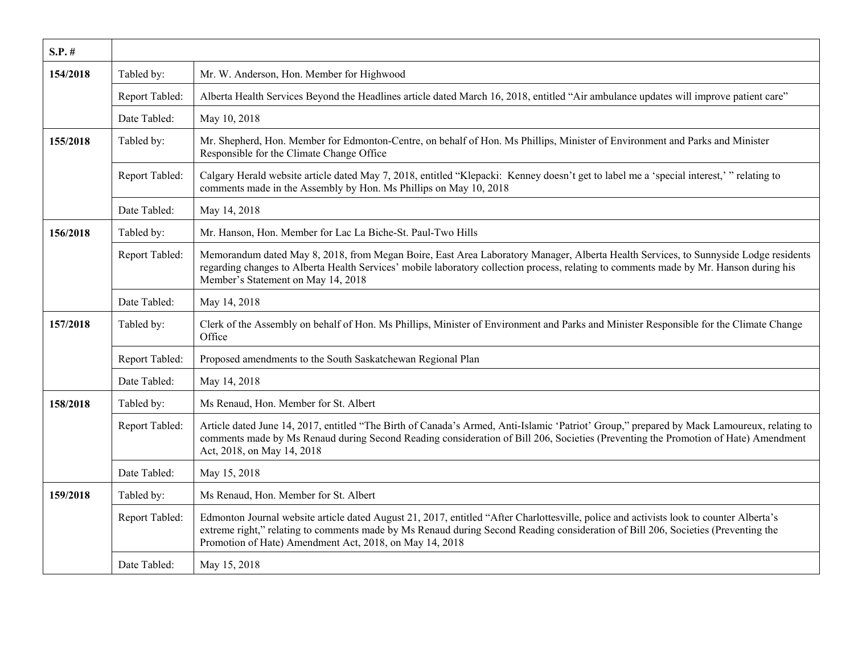| $S.P.$ # |                |                                                                                                                                                                                                                                                                                                                                         |
|----------|----------------|-----------------------------------------------------------------------------------------------------------------------------------------------------------------------------------------------------------------------------------------------------------------------------------------------------------------------------------------|
| 154/2018 | Tabled by:     | Mr. W. Anderson, Hon. Member for Highwood                                                                                                                                                                                                                                                                                               |
|          | Report Tabled: | Alberta Health Services Beyond the Headlines article dated March 16, 2018, entitled "Air ambulance updates will improve patient care"                                                                                                                                                                                                   |
|          | Date Tabled:   | May 10, 2018                                                                                                                                                                                                                                                                                                                            |
| 155/2018 | Tabled by:     | Mr. Shepherd, Hon. Member for Edmonton-Centre, on behalf of Hon. Ms Phillips, Minister of Environment and Parks and Minister<br>Responsible for the Climate Change Office                                                                                                                                                               |
|          | Report Tabled: | Calgary Herald website article dated May 7, 2018, entitled "Klepacki: Kenney doesn't get to label me a 'special interest,' " relating to<br>comments made in the Assembly by Hon. Ms Phillips on May 10, 2018                                                                                                                           |
|          | Date Tabled:   | May 14, 2018                                                                                                                                                                                                                                                                                                                            |
| 156/2018 | Tabled by:     | Mr. Hanson, Hon. Member for Lac La Biche-St. Paul-Two Hills                                                                                                                                                                                                                                                                             |
|          | Report Tabled: | Memorandum dated May 8, 2018, from Megan Boire, East Area Laboratory Manager, Alberta Health Services, to Sunnyside Lodge residents<br>regarding changes to Alberta Health Services' mobile laboratory collection process, relating to comments made by Mr. Hanson during his<br>Member's Statement on May 14, 2018                     |
|          | Date Tabled:   | May 14, 2018                                                                                                                                                                                                                                                                                                                            |
| 157/2018 | Tabled by:     | Clerk of the Assembly on behalf of Hon. Ms Phillips, Minister of Environment and Parks and Minister Responsible for the Climate Change<br>Office                                                                                                                                                                                        |
|          | Report Tabled: | Proposed amendments to the South Saskatchewan Regional Plan                                                                                                                                                                                                                                                                             |
|          | Date Tabled:   | May 14, 2018                                                                                                                                                                                                                                                                                                                            |
| 158/2018 | Tabled by:     | Ms Renaud, Hon. Member for St. Albert                                                                                                                                                                                                                                                                                                   |
|          | Report Tabled: | Article dated June 14, 2017, entitled "The Birth of Canada's Armed, Anti-Islamic 'Patriot' Group," prepared by Mack Lamoureux, relating to<br>comments made by Ms Renaud during Second Reading consideration of Bill 206, Societies (Preventing the Promotion of Hate) Amendment<br>Act, 2018, on May 14, 2018                          |
|          | Date Tabled:   | May 15, 2018                                                                                                                                                                                                                                                                                                                            |
| 159/2018 | Tabled by:     | Ms Renaud, Hon. Member for St. Albert                                                                                                                                                                                                                                                                                                   |
|          | Report Tabled: | Edmonton Journal website article dated August 21, 2017, entitled "After Charlottesville, police and activists look to counter Alberta's<br>extreme right," relating to comments made by Ms Renaud during Second Reading consideration of Bill 206, Societies (Preventing the<br>Promotion of Hate) Amendment Act, 2018, on May 14, 2018 |
|          | Date Tabled:   | May 15, 2018                                                                                                                                                                                                                                                                                                                            |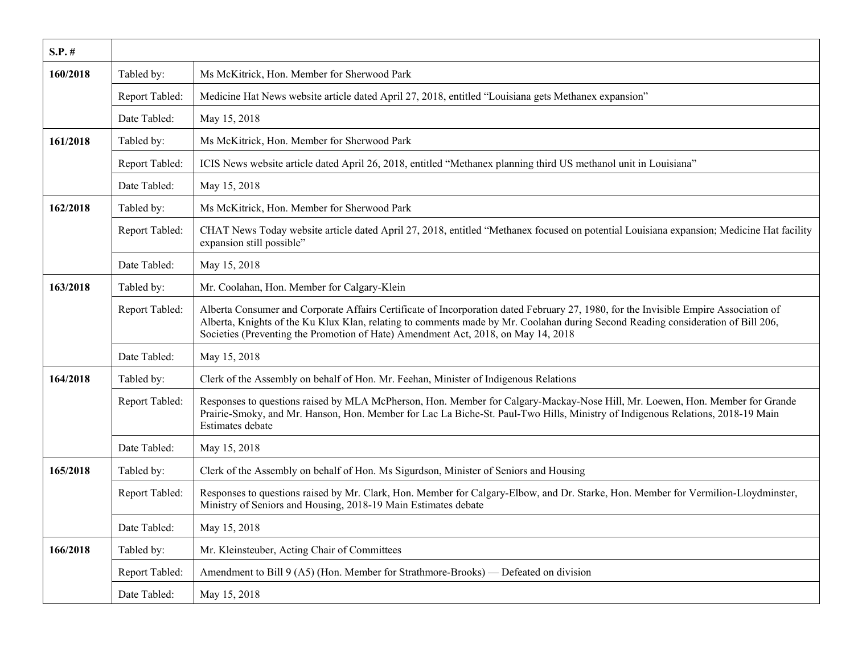| $S.P.$ # |                |                                                                                                                                                                                                                                                                                                                                                               |
|----------|----------------|---------------------------------------------------------------------------------------------------------------------------------------------------------------------------------------------------------------------------------------------------------------------------------------------------------------------------------------------------------------|
| 160/2018 | Tabled by:     | Ms McKitrick, Hon. Member for Sherwood Park                                                                                                                                                                                                                                                                                                                   |
|          | Report Tabled: | Medicine Hat News website article dated April 27, 2018, entitled "Louisiana gets Methanex expansion"                                                                                                                                                                                                                                                          |
|          | Date Tabled:   | May 15, 2018                                                                                                                                                                                                                                                                                                                                                  |
| 161/2018 | Tabled by:     | Ms McKitrick, Hon. Member for Sherwood Park                                                                                                                                                                                                                                                                                                                   |
|          | Report Tabled: | ICIS News website article dated April 26, 2018, entitled "Methanex planning third US methanol unit in Louisiana"                                                                                                                                                                                                                                              |
|          | Date Tabled:   | May 15, 2018                                                                                                                                                                                                                                                                                                                                                  |
| 162/2018 | Tabled by:     | Ms McKitrick, Hon. Member for Sherwood Park                                                                                                                                                                                                                                                                                                                   |
|          | Report Tabled: | CHAT News Today website article dated April 27, 2018, entitled "Methanex focused on potential Louisiana expansion; Medicine Hat facility<br>expansion still possible"                                                                                                                                                                                         |
|          | Date Tabled:   | May 15, 2018                                                                                                                                                                                                                                                                                                                                                  |
| 163/2018 | Tabled by:     | Mr. Coolahan, Hon. Member for Calgary-Klein                                                                                                                                                                                                                                                                                                                   |
|          | Report Tabled: | Alberta Consumer and Corporate Affairs Certificate of Incorporation dated February 27, 1980, for the Invisible Empire Association of<br>Alberta, Knights of the Ku Klux Klan, relating to comments made by Mr. Coolahan during Second Reading consideration of Bill 206,<br>Societies (Preventing the Promotion of Hate) Amendment Act, 2018, on May 14, 2018 |
|          | Date Tabled:   | May 15, 2018                                                                                                                                                                                                                                                                                                                                                  |
| 164/2018 | Tabled by:     | Clerk of the Assembly on behalf of Hon. Mr. Feehan, Minister of Indigenous Relations                                                                                                                                                                                                                                                                          |
|          | Report Tabled: | Responses to questions raised by MLA McPherson, Hon. Member for Calgary-Mackay-Nose Hill, Mr. Loewen, Hon. Member for Grande<br>Prairie-Smoky, and Mr. Hanson, Hon. Member for Lac La Biche-St. Paul-Two Hills, Ministry of Indigenous Relations, 2018-19 Main<br>Estimates debate                                                                            |
|          | Date Tabled:   | May 15, 2018                                                                                                                                                                                                                                                                                                                                                  |
| 165/2018 | Tabled by:     | Clerk of the Assembly on behalf of Hon. Ms Sigurdson, Minister of Seniors and Housing                                                                                                                                                                                                                                                                         |
|          | Report Tabled: | Responses to questions raised by Mr. Clark, Hon. Member for Calgary-Elbow, and Dr. Starke, Hon. Member for Vermilion-Lloydminster,<br>Ministry of Seniors and Housing, 2018-19 Main Estimates debate                                                                                                                                                          |
|          | Date Tabled:   | May 15, 2018                                                                                                                                                                                                                                                                                                                                                  |
| 166/2018 | Tabled by:     | Mr. Kleinsteuber, Acting Chair of Committees                                                                                                                                                                                                                                                                                                                  |
|          | Report Tabled: | Amendment to Bill 9 (A5) (Hon. Member for Strathmore-Brooks) — Defeated on division                                                                                                                                                                                                                                                                           |
|          | Date Tabled:   | May 15, 2018                                                                                                                                                                                                                                                                                                                                                  |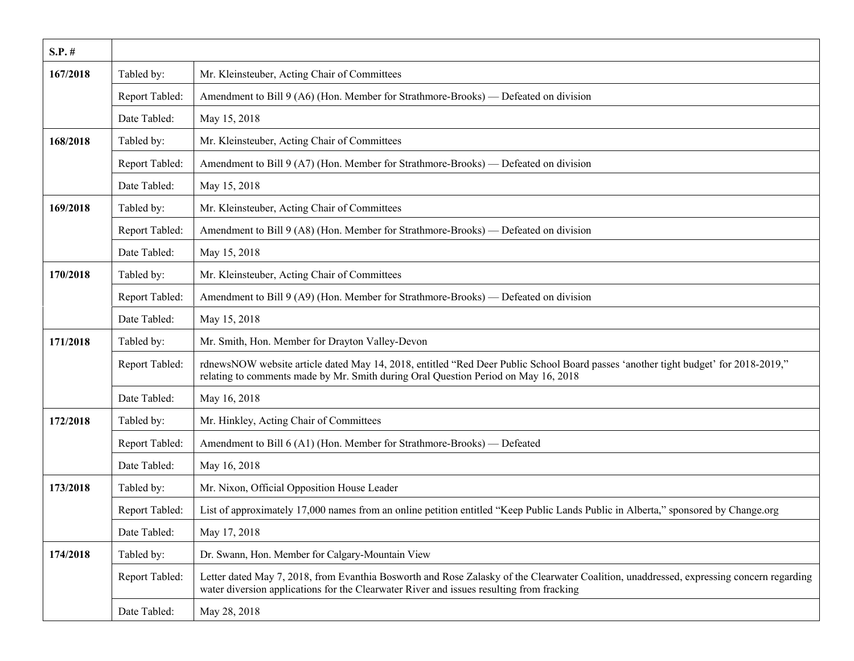| $S.P.$ # |                |                                                                                                                                                                                                                                      |
|----------|----------------|--------------------------------------------------------------------------------------------------------------------------------------------------------------------------------------------------------------------------------------|
| 167/2018 | Tabled by:     | Mr. Kleinsteuber, Acting Chair of Committees                                                                                                                                                                                         |
|          | Report Tabled: | Amendment to Bill 9 (A6) (Hon. Member for Strathmore-Brooks) — Defeated on division                                                                                                                                                  |
|          | Date Tabled:   | May 15, 2018                                                                                                                                                                                                                         |
| 168/2018 | Tabled by:     | Mr. Kleinsteuber, Acting Chair of Committees                                                                                                                                                                                         |
|          | Report Tabled: | Amendment to Bill 9 (A7) (Hon. Member for Strathmore-Brooks) — Defeated on division                                                                                                                                                  |
|          | Date Tabled:   | May 15, 2018                                                                                                                                                                                                                         |
| 169/2018 | Tabled by:     | Mr. Kleinsteuber, Acting Chair of Committees                                                                                                                                                                                         |
|          | Report Tabled: | Amendment to Bill 9 (A8) (Hon. Member for Strathmore-Brooks) — Defeated on division                                                                                                                                                  |
|          | Date Tabled:   | May 15, 2018                                                                                                                                                                                                                         |
| 170/2018 | Tabled by:     | Mr. Kleinsteuber, Acting Chair of Committees                                                                                                                                                                                         |
|          | Report Tabled: | Amendment to Bill 9 (A9) (Hon. Member for Strathmore-Brooks) — Defeated on division                                                                                                                                                  |
|          | Date Tabled:   | May 15, 2018                                                                                                                                                                                                                         |
| 171/2018 | Tabled by:     | Mr. Smith, Hon. Member for Drayton Valley-Devon                                                                                                                                                                                      |
|          | Report Tabled: | rdnewsNOW website article dated May 14, 2018, entitled "Red Deer Public School Board passes 'another tight budget' for 2018-2019,"<br>relating to comments made by Mr. Smith during Oral Question Period on May 16, 2018             |
|          | Date Tabled:   | May 16, 2018                                                                                                                                                                                                                         |
| 172/2018 | Tabled by:     | Mr. Hinkley, Acting Chair of Committees                                                                                                                                                                                              |
|          | Report Tabled: | Amendment to Bill 6 (A1) (Hon. Member for Strathmore-Brooks) - Defeated                                                                                                                                                              |
|          | Date Tabled:   | May 16, 2018                                                                                                                                                                                                                         |
| 173/2018 | Tabled by:     | Mr. Nixon, Official Opposition House Leader                                                                                                                                                                                          |
|          | Report Tabled: | List of approximately 17,000 names from an online petition entitled "Keep Public Lands Public in Alberta," sponsored by Change.org                                                                                                   |
|          | Date Tabled:   | May 17, 2018                                                                                                                                                                                                                         |
| 174/2018 | Tabled by:     | Dr. Swann, Hon. Member for Calgary-Mountain View                                                                                                                                                                                     |
|          | Report Tabled: | Letter dated May 7, 2018, from Evanthia Bosworth and Rose Zalasky of the Clearwater Coalition, unaddressed, expressing concern regarding<br>water diversion applications for the Clearwater River and issues resulting from fracking |
|          | Date Tabled:   | May 28, 2018                                                                                                                                                                                                                         |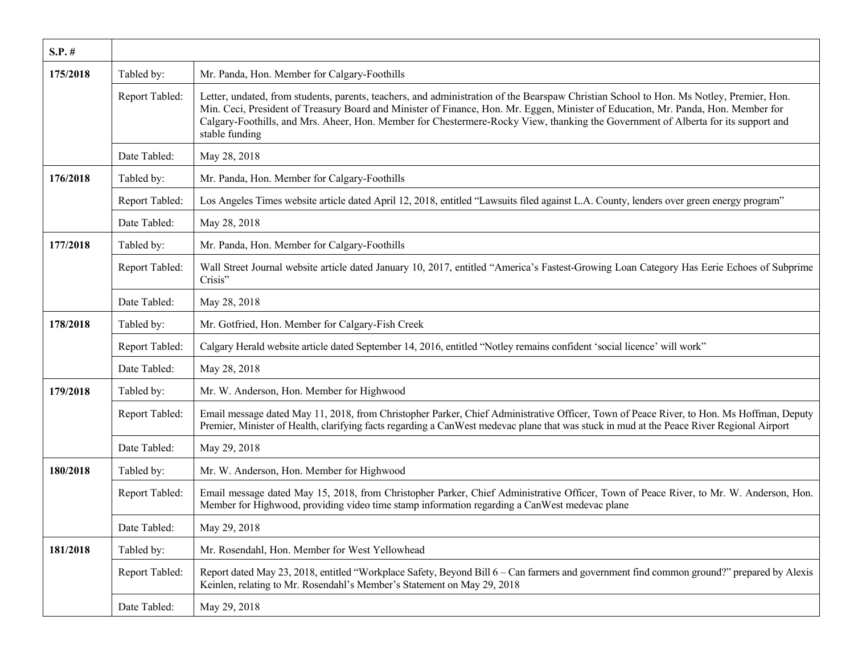| $S.P.$ # |                |                                                                                                                                                                                                                                                                                                                                                                                                                                     |
|----------|----------------|-------------------------------------------------------------------------------------------------------------------------------------------------------------------------------------------------------------------------------------------------------------------------------------------------------------------------------------------------------------------------------------------------------------------------------------|
| 175/2018 | Tabled by:     | Mr. Panda, Hon. Member for Calgary-Foothills                                                                                                                                                                                                                                                                                                                                                                                        |
|          | Report Tabled: | Letter, undated, from students, parents, teachers, and administration of the Bearspaw Christian School to Hon. Ms Notley, Premier, Hon.<br>Min. Ceci, President of Treasury Board and Minister of Finance, Hon. Mr. Eggen, Minister of Education, Mr. Panda, Hon. Member for<br>Calgary-Foothills, and Mrs. Aheer, Hon. Member for Chestermere-Rocky View, thanking the Government of Alberta for its support and<br>stable funding |
|          | Date Tabled:   | May 28, 2018                                                                                                                                                                                                                                                                                                                                                                                                                        |
| 176/2018 | Tabled by:     | Mr. Panda, Hon. Member for Calgary-Foothills                                                                                                                                                                                                                                                                                                                                                                                        |
|          | Report Tabled: | Los Angeles Times website article dated April 12, 2018, entitled "Lawsuits filed against L.A. County, lenders over green energy program"                                                                                                                                                                                                                                                                                            |
|          | Date Tabled:   | May 28, 2018                                                                                                                                                                                                                                                                                                                                                                                                                        |
| 177/2018 | Tabled by:     | Mr. Panda, Hon. Member for Calgary-Foothills                                                                                                                                                                                                                                                                                                                                                                                        |
|          | Report Tabled: | Wall Street Journal website article dated January 10, 2017, entitled "America's Fastest-Growing Loan Category Has Eerie Echoes of Subprime<br>Crisis"                                                                                                                                                                                                                                                                               |
|          | Date Tabled:   | May 28, 2018                                                                                                                                                                                                                                                                                                                                                                                                                        |
| 178/2018 | Tabled by:     | Mr. Gotfried, Hon. Member for Calgary-Fish Creek                                                                                                                                                                                                                                                                                                                                                                                    |
|          | Report Tabled: | Calgary Herald website article dated September 14, 2016, entitled "Notley remains confident 'social licence' will work"                                                                                                                                                                                                                                                                                                             |
|          | Date Tabled:   | May 28, 2018                                                                                                                                                                                                                                                                                                                                                                                                                        |
| 179/2018 | Tabled by:     | Mr. W. Anderson, Hon. Member for Highwood                                                                                                                                                                                                                                                                                                                                                                                           |
|          | Report Tabled: | Email message dated May 11, 2018, from Christopher Parker, Chief Administrative Officer, Town of Peace River, to Hon. Ms Hoffman, Deputy<br>Premier, Minister of Health, clarifying facts regarding a CanWest medevac plane that was stuck in mud at the Peace River Regional Airport                                                                                                                                               |
|          | Date Tabled:   | May 29, 2018                                                                                                                                                                                                                                                                                                                                                                                                                        |
| 180/2018 | Tabled by:     | Mr. W. Anderson, Hon. Member for Highwood                                                                                                                                                                                                                                                                                                                                                                                           |
|          | Report Tabled: | Email message dated May 15, 2018, from Christopher Parker, Chief Administrative Officer, Town of Peace River, to Mr. W. Anderson, Hon.<br>Member for Highwood, providing video time stamp information regarding a CanWest medevac plane                                                                                                                                                                                             |
|          | Date Tabled:   | May 29, 2018                                                                                                                                                                                                                                                                                                                                                                                                                        |
| 181/2018 | Tabled by:     | Mr. Rosendahl, Hon. Member for West Yellowhead                                                                                                                                                                                                                                                                                                                                                                                      |
|          | Report Tabled: | Report dated May 23, 2018, entitled "Workplace Safety, Beyond Bill 6 – Can farmers and government find common ground?" prepared by Alexis<br>Keinlen, relating to Mr. Rosendahl's Member's Statement on May 29, 2018                                                                                                                                                                                                                |
|          | Date Tabled:   | May 29, 2018                                                                                                                                                                                                                                                                                                                                                                                                                        |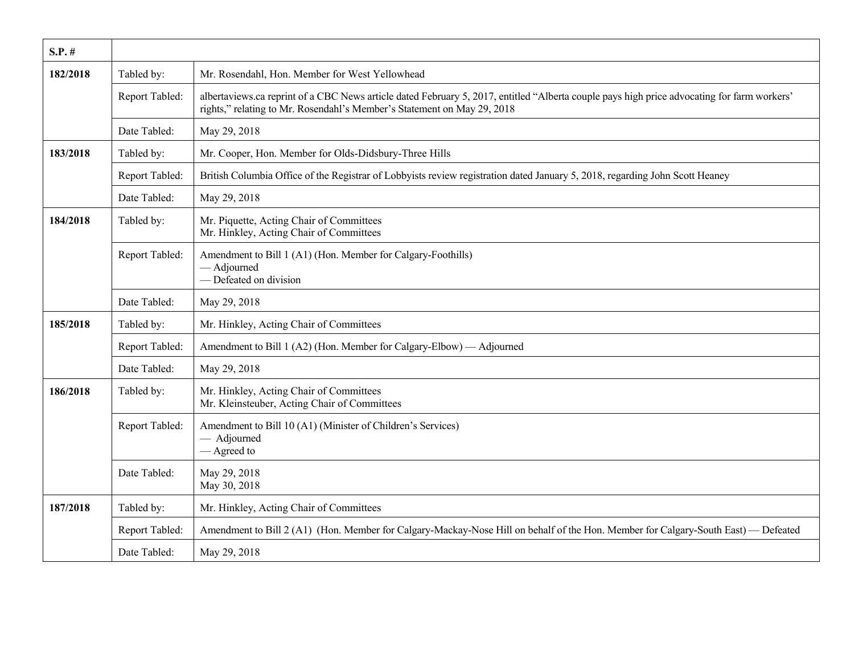| $S.P.$ # |                |                                                                                                                                                                                                                        |
|----------|----------------|------------------------------------------------------------------------------------------------------------------------------------------------------------------------------------------------------------------------|
| 182/2018 | Tabled by:     | Mr. Rosendahl, Hon. Member for West Yellowhead                                                                                                                                                                         |
|          | Report Tabled: | albertaviews.ca reprint of a CBC News article dated February 5, 2017, entitled "Alberta couple pays high price advocating for farm workers"<br>rights," relating to Mr. Rosendahl's Member's Statement on May 29, 2018 |
|          | Date Tabled:   | May 29, 2018                                                                                                                                                                                                           |
| 183/2018 | Tabled by:     | Mr. Cooper, Hon. Member for Olds-Didsbury-Three Hills                                                                                                                                                                  |
|          | Report Tabled: | British Columbia Office of the Registrar of Lobbyists review registration dated January 5, 2018, regarding John Scott Heaney                                                                                           |
|          | Date Tabled:   | May 29, 2018                                                                                                                                                                                                           |
| 184/2018 | Tabled by:     | Mr. Piquette, Acting Chair of Committees<br>Mr. Hinkley, Acting Chair of Committees                                                                                                                                    |
|          | Report Tabled: | Amendment to Bill 1 (A1) (Hon. Member for Calgary-Foothills)<br>- Adjourned<br>- Defeated on division                                                                                                                  |
|          | Date Tabled:   | May 29, 2018                                                                                                                                                                                                           |
| 185/2018 | Tabled by:     | Mr. Hinkley, Acting Chair of Committees                                                                                                                                                                                |
|          | Report Tabled: | Amendment to Bill 1 (A2) (Hon. Member for Calgary-Elbow) — Adjourned                                                                                                                                                   |
|          | Date Tabled:   | May 29, 2018                                                                                                                                                                                                           |
| 186/2018 | Tabled by:     | Mr. Hinkley, Acting Chair of Committees<br>Mr. Kleinsteuber, Acting Chair of Committees                                                                                                                                |
|          | Report Tabled: | Amendment to Bill 10 (A1) (Minister of Children's Services)<br>- Adjourned<br>— Agreed to                                                                                                                              |
|          | Date Tabled:   | May 29, 2018<br>May 30, 2018                                                                                                                                                                                           |
| 187/2018 | Tabled by:     | Mr. Hinkley, Acting Chair of Committees                                                                                                                                                                                |
|          | Report Tabled: | Amendment to Bill 2 (A1) (Hon. Member for Calgary-Mackay-Nose Hill on behalf of the Hon. Member for Calgary-South East) — Defeated                                                                                     |
|          | Date Tabled:   | May 29, 2018                                                                                                                                                                                                           |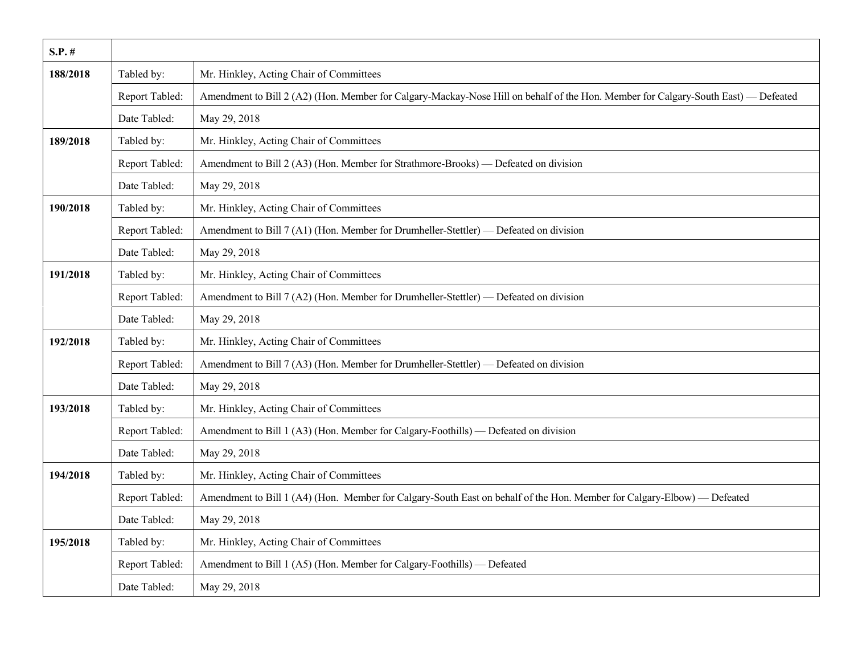| $S.P.$ # |                |                                                                                                                                    |
|----------|----------------|------------------------------------------------------------------------------------------------------------------------------------|
| 188/2018 | Tabled by:     | Mr. Hinkley, Acting Chair of Committees                                                                                            |
|          | Report Tabled: | Amendment to Bill 2 (A2) (Hon. Member for Calgary-Mackay-Nose Hill on behalf of the Hon. Member for Calgary-South East) — Defeated |
|          | Date Tabled:   | May 29, 2018                                                                                                                       |
| 189/2018 | Tabled by:     | Mr. Hinkley, Acting Chair of Committees                                                                                            |
|          | Report Tabled: | Amendment to Bill 2 (A3) (Hon. Member for Strathmore-Brooks) — Defeated on division                                                |
|          | Date Tabled:   | May 29, 2018                                                                                                                       |
| 190/2018 | Tabled by:     | Mr. Hinkley, Acting Chair of Committees                                                                                            |
|          | Report Tabled: | Amendment to Bill 7 (A1) (Hon. Member for Drumheller-Stettler) — Defeated on division                                              |
|          | Date Tabled:   | May 29, 2018                                                                                                                       |
| 191/2018 | Tabled by:     | Mr. Hinkley, Acting Chair of Committees                                                                                            |
|          | Report Tabled: | Amendment to Bill 7 (A2) (Hon. Member for Drumheller-Stettler) — Defeated on division                                              |
|          | Date Tabled:   | May 29, 2018                                                                                                                       |
| 192/2018 | Tabled by:     | Mr. Hinkley, Acting Chair of Committees                                                                                            |
|          | Report Tabled: | Amendment to Bill 7 (A3) (Hon. Member for Drumheller-Stettler) — Defeated on division                                              |
|          | Date Tabled:   | May 29, 2018                                                                                                                       |
| 193/2018 | Tabled by:     | Mr. Hinkley, Acting Chair of Committees                                                                                            |
|          | Report Tabled: | Amendment to Bill 1 (A3) (Hon. Member for Calgary-Foothills) — Defeated on division                                                |
|          | Date Tabled:   | May 29, 2018                                                                                                                       |
| 194/2018 | Tabled by:     | Mr. Hinkley, Acting Chair of Committees                                                                                            |
|          | Report Tabled: | Amendment to Bill 1 (A4) (Hon. Member for Calgary-South East on behalf of the Hon. Member for Calgary-Elbow) — Defeated            |
|          | Date Tabled:   | May 29, 2018                                                                                                                       |
| 195/2018 | Tabled by:     | Mr. Hinkley, Acting Chair of Committees                                                                                            |
|          | Report Tabled: | Amendment to Bill 1 (A5) (Hon. Member for Calgary-Foothills) — Defeated                                                            |
|          | Date Tabled:   | May 29, 2018                                                                                                                       |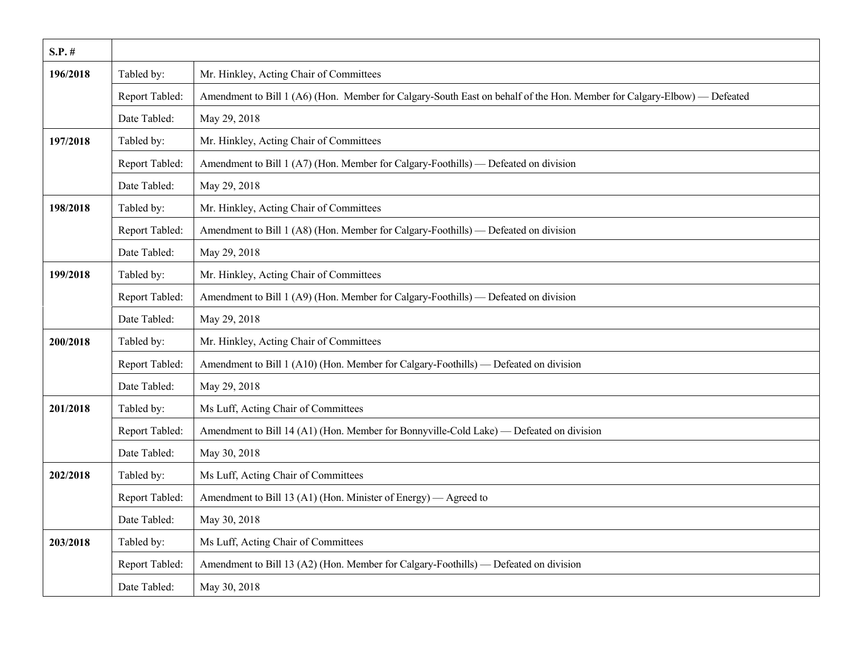| $S.P.$ # |                |                                                                                                                         |
|----------|----------------|-------------------------------------------------------------------------------------------------------------------------|
| 196/2018 | Tabled by:     | Mr. Hinkley, Acting Chair of Committees                                                                                 |
|          | Report Tabled: | Amendment to Bill 1 (A6) (Hon. Member for Calgary-South East on behalf of the Hon. Member for Calgary-Elbow) — Defeated |
|          | Date Tabled:   | May 29, 2018                                                                                                            |
| 197/2018 | Tabled by:     | Mr. Hinkley, Acting Chair of Committees                                                                                 |
|          | Report Tabled: | Amendment to Bill 1 (A7) (Hon. Member for Calgary-Foothills) — Defeated on division                                     |
|          | Date Tabled:   | May 29, 2018                                                                                                            |
| 198/2018 | Tabled by:     | Mr. Hinkley, Acting Chair of Committees                                                                                 |
|          | Report Tabled: | Amendment to Bill 1 (A8) (Hon. Member for Calgary-Foothills) — Defeated on division                                     |
|          | Date Tabled:   | May 29, 2018                                                                                                            |
| 199/2018 | Tabled by:     | Mr. Hinkley, Acting Chair of Committees                                                                                 |
|          | Report Tabled: | Amendment to Bill 1 (A9) (Hon. Member for Calgary-Foothills) — Defeated on division                                     |
|          | Date Tabled:   | May 29, 2018                                                                                                            |
| 200/2018 | Tabled by:     | Mr. Hinkley, Acting Chair of Committees                                                                                 |
|          | Report Tabled: | Amendment to Bill 1 (A10) (Hon. Member for Calgary-Foothills) — Defeated on division                                    |
|          | Date Tabled:   | May 29, 2018                                                                                                            |
| 201/2018 | Tabled by:     | Ms Luff, Acting Chair of Committees                                                                                     |
|          | Report Tabled: | Amendment to Bill 14 (A1) (Hon. Member for Bonnyville-Cold Lake) — Defeated on division                                 |
|          | Date Tabled:   | May 30, 2018                                                                                                            |
| 202/2018 | Tabled by:     | Ms Luff, Acting Chair of Committees                                                                                     |
|          | Report Tabled: | Amendment to Bill 13 (A1) (Hon. Minister of Energy) — Agreed to                                                         |
|          | Date Tabled:   | May 30, 2018                                                                                                            |
| 203/2018 | Tabled by:     | Ms Luff, Acting Chair of Committees                                                                                     |
|          | Report Tabled: | Amendment to Bill 13 (A2) (Hon. Member for Calgary-Foothills) — Defeated on division                                    |
|          | Date Tabled:   | May 30, 2018                                                                                                            |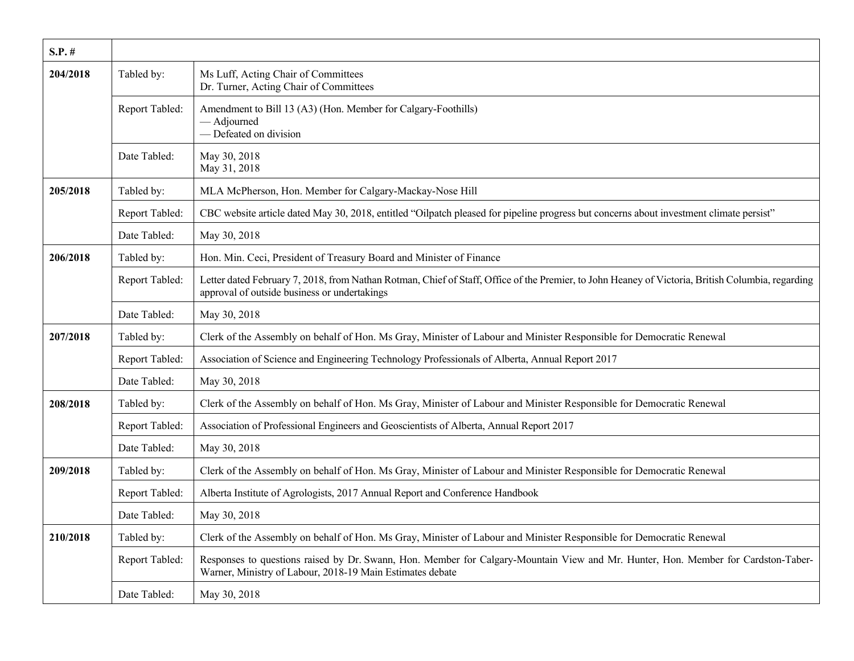| $S.P.$ # |                |                                                                                                                                                                                                   |
|----------|----------------|---------------------------------------------------------------------------------------------------------------------------------------------------------------------------------------------------|
| 204/2018 | Tabled by:     | Ms Luff, Acting Chair of Committees<br>Dr. Turner, Acting Chair of Committees                                                                                                                     |
|          | Report Tabled: | Amendment to Bill 13 (A3) (Hon. Member for Calgary-Foothills)<br>- Adjourned<br>- Defeated on division                                                                                            |
|          | Date Tabled:   | May 30, 2018<br>May 31, 2018                                                                                                                                                                      |
| 205/2018 | Tabled by:     | MLA McPherson, Hon. Member for Calgary-Mackay-Nose Hill                                                                                                                                           |
|          | Report Tabled: | CBC website article dated May 30, 2018, entitled "Oilpatch pleased for pipeline progress but concerns about investment climate persist"                                                           |
|          | Date Tabled:   | May 30, 2018                                                                                                                                                                                      |
| 206/2018 | Tabled by:     | Hon. Min. Ceci, President of Treasury Board and Minister of Finance                                                                                                                               |
|          | Report Tabled: | Letter dated February 7, 2018, from Nathan Rotman, Chief of Staff, Office of the Premier, to John Heaney of Victoria, British Columbia, regarding<br>approval of outside business or undertakings |
|          | Date Tabled:   | May 30, 2018                                                                                                                                                                                      |
| 207/2018 | Tabled by:     | Clerk of the Assembly on behalf of Hon. Ms Gray, Minister of Labour and Minister Responsible for Democratic Renewal                                                                               |
|          | Report Tabled: | Association of Science and Engineering Technology Professionals of Alberta, Annual Report 2017                                                                                                    |
|          | Date Tabled:   | May 30, 2018                                                                                                                                                                                      |
| 208/2018 | Tabled by:     | Clerk of the Assembly on behalf of Hon. Ms Gray, Minister of Labour and Minister Responsible for Democratic Renewal                                                                               |
|          | Report Tabled: | Association of Professional Engineers and Geoscientists of Alberta, Annual Report 2017                                                                                                            |
|          | Date Tabled:   | May 30, 2018                                                                                                                                                                                      |
| 209/2018 | Tabled by:     | Clerk of the Assembly on behalf of Hon. Ms Gray, Minister of Labour and Minister Responsible for Democratic Renewal                                                                               |
|          | Report Tabled: | Alberta Institute of Agrologists, 2017 Annual Report and Conference Handbook                                                                                                                      |
|          | Date Tabled:   | May 30, 2018                                                                                                                                                                                      |
| 210/2018 | Tabled by:     | Clerk of the Assembly on behalf of Hon. Ms Gray, Minister of Labour and Minister Responsible for Democratic Renewal                                                                               |
|          | Report Tabled: | Responses to questions raised by Dr. Swann, Hon. Member for Calgary-Mountain View and Mr. Hunter, Hon. Member for Cardston-Taber-<br>Warner, Ministry of Labour, 2018-19 Main Estimates debate    |
|          | Date Tabled:   | May 30, 2018                                                                                                                                                                                      |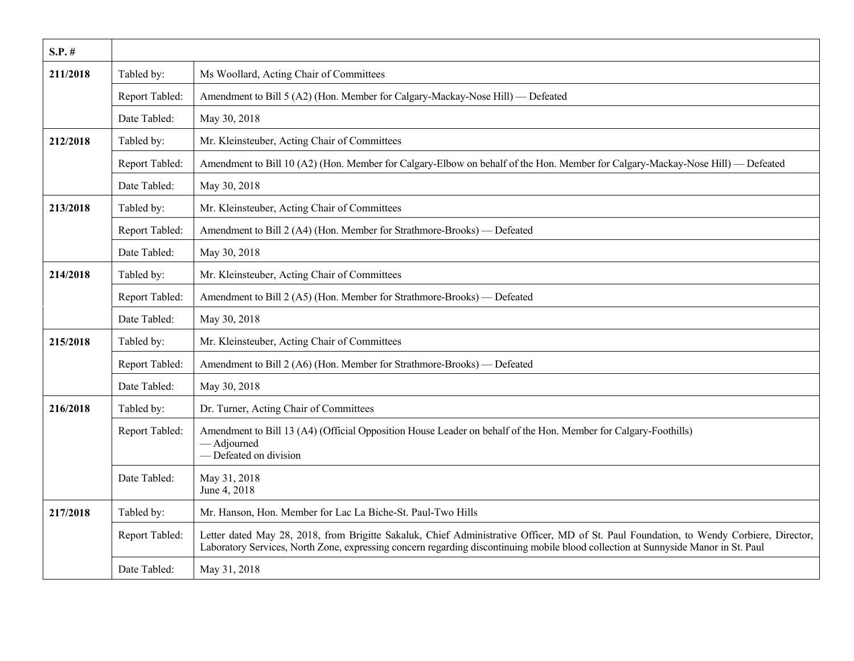| $S.P.$ # |                |                                                                                                                                                                                                                                                                               |
|----------|----------------|-------------------------------------------------------------------------------------------------------------------------------------------------------------------------------------------------------------------------------------------------------------------------------|
| 211/2018 | Tabled by:     | Ms Woollard, Acting Chair of Committees                                                                                                                                                                                                                                       |
|          | Report Tabled: | Amendment to Bill 5 (A2) (Hon. Member for Calgary-Mackay-Nose Hill) — Defeated                                                                                                                                                                                                |
|          | Date Tabled:   | May 30, 2018                                                                                                                                                                                                                                                                  |
| 212/2018 | Tabled by:     | Mr. Kleinsteuber, Acting Chair of Committees                                                                                                                                                                                                                                  |
|          | Report Tabled: | Amendment to Bill 10 (A2) (Hon. Member for Calgary-Elbow on behalf of the Hon. Member for Calgary-Mackay-Nose Hill) — Defeated                                                                                                                                                |
|          | Date Tabled:   | May 30, 2018                                                                                                                                                                                                                                                                  |
| 213/2018 | Tabled by:     | Mr. Kleinsteuber, Acting Chair of Committees                                                                                                                                                                                                                                  |
|          | Report Tabled: | Amendment to Bill 2 (A4) (Hon. Member for Strathmore-Brooks) — Defeated                                                                                                                                                                                                       |
|          | Date Tabled:   | May 30, 2018                                                                                                                                                                                                                                                                  |
| 214/2018 | Tabled by:     | Mr. Kleinsteuber, Acting Chair of Committees                                                                                                                                                                                                                                  |
|          | Report Tabled: | Amendment to Bill 2 (A5) (Hon. Member for Strathmore-Brooks) - Defeated                                                                                                                                                                                                       |
|          | Date Tabled:   | May 30, 2018                                                                                                                                                                                                                                                                  |
| 215/2018 | Tabled by:     | Mr. Kleinsteuber, Acting Chair of Committees                                                                                                                                                                                                                                  |
|          | Report Tabled: | Amendment to Bill 2 (A6) (Hon. Member for Strathmore-Brooks) — Defeated                                                                                                                                                                                                       |
|          | Date Tabled:   | May 30, 2018                                                                                                                                                                                                                                                                  |
| 216/2018 | Tabled by:     | Dr. Turner, Acting Chair of Committees                                                                                                                                                                                                                                        |
|          | Report Tabled: | Amendment to Bill 13 (A4) (Official Opposition House Leader on behalf of the Hon. Member for Calgary-Foothills)<br>- Adjourned<br>- Defeated on division                                                                                                                      |
|          | Date Tabled:   | May 31, 2018<br>June 4, 2018                                                                                                                                                                                                                                                  |
| 217/2018 | Tabled by:     | Mr. Hanson, Hon. Member for Lac La Biche-St. Paul-Two Hills                                                                                                                                                                                                                   |
|          | Report Tabled: | Letter dated May 28, 2018, from Brigitte Sakaluk, Chief Administrative Officer, MD of St. Paul Foundation, to Wendy Corbiere, Director,<br>Laboratory Services, North Zone, expressing concern regarding discontinuing mobile blood collection at Sunnyside Manor in St. Paul |
|          | Date Tabled:   | May 31, 2018                                                                                                                                                                                                                                                                  |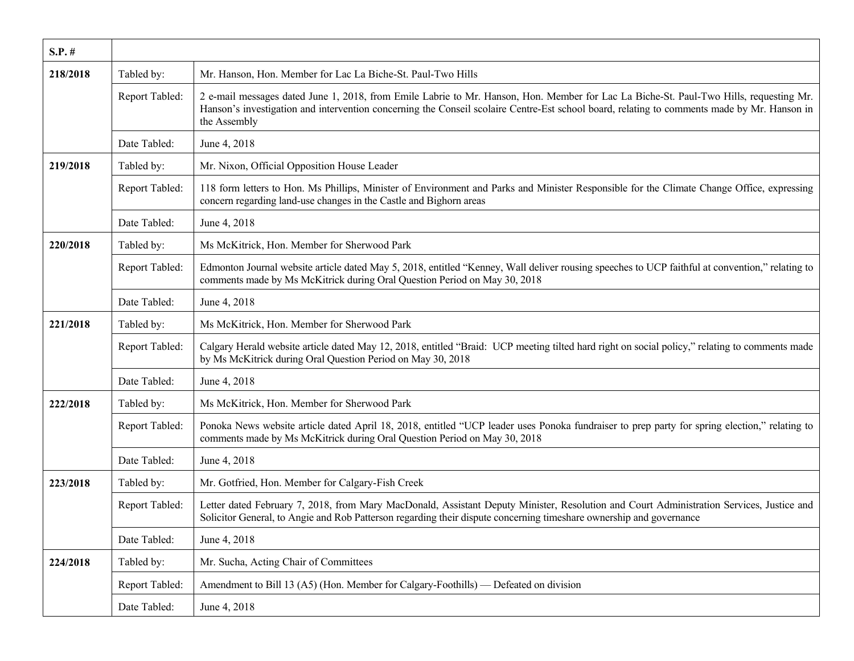| $S.P.$ # |                |                                                                                                                                                                                                                                                                                                       |
|----------|----------------|-------------------------------------------------------------------------------------------------------------------------------------------------------------------------------------------------------------------------------------------------------------------------------------------------------|
| 218/2018 | Tabled by:     | Mr. Hanson, Hon. Member for Lac La Biche-St. Paul-Two Hills                                                                                                                                                                                                                                           |
|          | Report Tabled: | 2 e-mail messages dated June 1, 2018, from Emile Labrie to Mr. Hanson, Hon. Member for Lac La Biche-St. Paul-Two Hills, requesting Mr.<br>Hanson's investigation and intervention concerning the Conseil scolaire Centre-Est school board, relating to comments made by Mr. Hanson in<br>the Assembly |
|          | Date Tabled:   | June 4, 2018                                                                                                                                                                                                                                                                                          |
| 219/2018 | Tabled by:     | Mr. Nixon, Official Opposition House Leader                                                                                                                                                                                                                                                           |
|          | Report Tabled: | 118 form letters to Hon. Ms Phillips, Minister of Environment and Parks and Minister Responsible for the Climate Change Office, expressing<br>concern regarding land-use changes in the Castle and Bighorn areas                                                                                      |
|          | Date Tabled:   | June 4, 2018                                                                                                                                                                                                                                                                                          |
| 220/2018 | Tabled by:     | Ms McKitrick, Hon. Member for Sherwood Park                                                                                                                                                                                                                                                           |
|          | Report Tabled: | Edmonton Journal website article dated May 5, 2018, entitled "Kenney, Wall deliver rousing speeches to UCP faithful at convention," relating to<br>comments made by Ms McKitrick during Oral Question Period on May 30, 2018                                                                          |
|          | Date Tabled:   | June 4, 2018                                                                                                                                                                                                                                                                                          |
| 221/2018 | Tabled by:     | Ms McKitrick, Hon. Member for Sherwood Park                                                                                                                                                                                                                                                           |
|          | Report Tabled: | Calgary Herald website article dated May 12, 2018, entitled "Braid: UCP meeting tilted hard right on social policy," relating to comments made<br>by Ms McKitrick during Oral Question Period on May 30, 2018                                                                                         |
|          | Date Tabled:   | June 4, 2018                                                                                                                                                                                                                                                                                          |
| 222/2018 | Tabled by:     | Ms McKitrick, Hon. Member for Sherwood Park                                                                                                                                                                                                                                                           |
|          | Report Tabled: | Ponoka News website article dated April 18, 2018, entitled "UCP leader uses Ponoka fundraiser to prep party for spring election," relating to<br>comments made by Ms McKitrick during Oral Question Period on May 30, 2018                                                                            |
|          | Date Tabled:   | June 4, 2018                                                                                                                                                                                                                                                                                          |
| 223/2018 | Tabled by:     | Mr. Gotfried, Hon. Member for Calgary-Fish Creek                                                                                                                                                                                                                                                      |
|          | Report Tabled: | Letter dated February 7, 2018, from Mary MacDonald, Assistant Deputy Minister, Resolution and Court Administration Services, Justice and<br>Solicitor General, to Angie and Rob Patterson regarding their dispute concerning timeshare ownership and governance                                       |
|          | Date Tabled:   | June 4, 2018                                                                                                                                                                                                                                                                                          |
| 224/2018 | Tabled by:     | Mr. Sucha, Acting Chair of Committees                                                                                                                                                                                                                                                                 |
|          | Report Tabled: | Amendment to Bill 13 (A5) (Hon. Member for Calgary-Foothills) — Defeated on division                                                                                                                                                                                                                  |
|          | Date Tabled:   | June 4, 2018                                                                                                                                                                                                                                                                                          |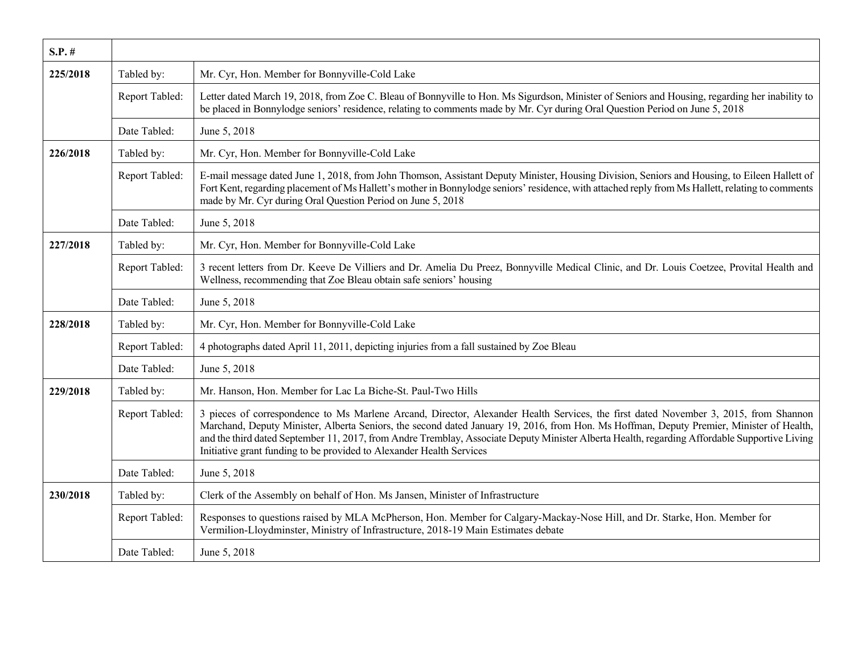| $S.P.$ # |                |                                                                                                                                                                                                                                                                                                                                                                                                                                                                                                           |
|----------|----------------|-----------------------------------------------------------------------------------------------------------------------------------------------------------------------------------------------------------------------------------------------------------------------------------------------------------------------------------------------------------------------------------------------------------------------------------------------------------------------------------------------------------|
| 225/2018 | Tabled by:     | Mr. Cyr, Hon. Member for Bonnyville-Cold Lake                                                                                                                                                                                                                                                                                                                                                                                                                                                             |
|          | Report Tabled: | Letter dated March 19, 2018, from Zoe C. Bleau of Bonnyville to Hon. Ms Sigurdson, Minister of Seniors and Housing, regarding her inability to<br>be placed in Bonnylodge seniors' residence, relating to comments made by Mr. Cyr during Oral Question Period on June 5, 2018                                                                                                                                                                                                                            |
|          | Date Tabled:   | June 5, 2018                                                                                                                                                                                                                                                                                                                                                                                                                                                                                              |
| 226/2018 | Tabled by:     | Mr. Cyr, Hon. Member for Bonnyville-Cold Lake                                                                                                                                                                                                                                                                                                                                                                                                                                                             |
|          | Report Tabled: | E-mail message dated June 1, 2018, from John Thomson, Assistant Deputy Minister, Housing Division, Seniors and Housing, to Eileen Hallett of<br>Fort Kent, regarding placement of Ms Hallett's mother in Bonnylodge seniors' residence, with attached reply from Ms Hallett, relating to comments<br>made by Mr. Cyr during Oral Question Period on June 5, 2018                                                                                                                                          |
|          | Date Tabled:   | June 5, 2018                                                                                                                                                                                                                                                                                                                                                                                                                                                                                              |
| 227/2018 | Tabled by:     | Mr. Cyr, Hon. Member for Bonnyville-Cold Lake                                                                                                                                                                                                                                                                                                                                                                                                                                                             |
|          | Report Tabled: | 3 recent letters from Dr. Keeve De Villiers and Dr. Amelia Du Preez, Bonnyville Medical Clinic, and Dr. Louis Coetzee, Provital Health and<br>Wellness, recommending that Zoe Bleau obtain safe seniors' housing                                                                                                                                                                                                                                                                                          |
|          | Date Tabled:   | June 5, 2018                                                                                                                                                                                                                                                                                                                                                                                                                                                                                              |
| 228/2018 | Tabled by:     | Mr. Cyr, Hon. Member for Bonnyville-Cold Lake                                                                                                                                                                                                                                                                                                                                                                                                                                                             |
|          | Report Tabled: | 4 photographs dated April 11, 2011, depicting injuries from a fall sustained by Zoe Bleau                                                                                                                                                                                                                                                                                                                                                                                                                 |
|          | Date Tabled:   | June 5, 2018                                                                                                                                                                                                                                                                                                                                                                                                                                                                                              |
| 229/2018 | Tabled by:     | Mr. Hanson, Hon. Member for Lac La Biche-St. Paul-Two Hills                                                                                                                                                                                                                                                                                                                                                                                                                                               |
|          | Report Tabled: | 3 pieces of correspondence to Ms Marlene Arcand, Director, Alexander Health Services, the first dated November 3, 2015, from Shannon<br>Marchand, Deputy Minister, Alberta Seniors, the second dated January 19, 2016, from Hon. Ms Hoffman, Deputy Premier, Minister of Health,<br>and the third dated September 11, 2017, from Andre Tremblay, Associate Deputy Minister Alberta Health, regarding Affordable Supportive Living<br>Initiative grant funding to be provided to Alexander Health Services |
|          | Date Tabled:   | June 5, 2018                                                                                                                                                                                                                                                                                                                                                                                                                                                                                              |
| 230/2018 | Tabled by:     | Clerk of the Assembly on behalf of Hon. Ms Jansen, Minister of Infrastructure                                                                                                                                                                                                                                                                                                                                                                                                                             |
|          | Report Tabled: | Responses to questions raised by MLA McPherson, Hon. Member for Calgary-Mackay-Nose Hill, and Dr. Starke, Hon. Member for<br>Vermilion-Lloydminster, Ministry of Infrastructure, 2018-19 Main Estimates debate                                                                                                                                                                                                                                                                                            |
|          | Date Tabled:   | June 5, 2018                                                                                                                                                                                                                                                                                                                                                                                                                                                                                              |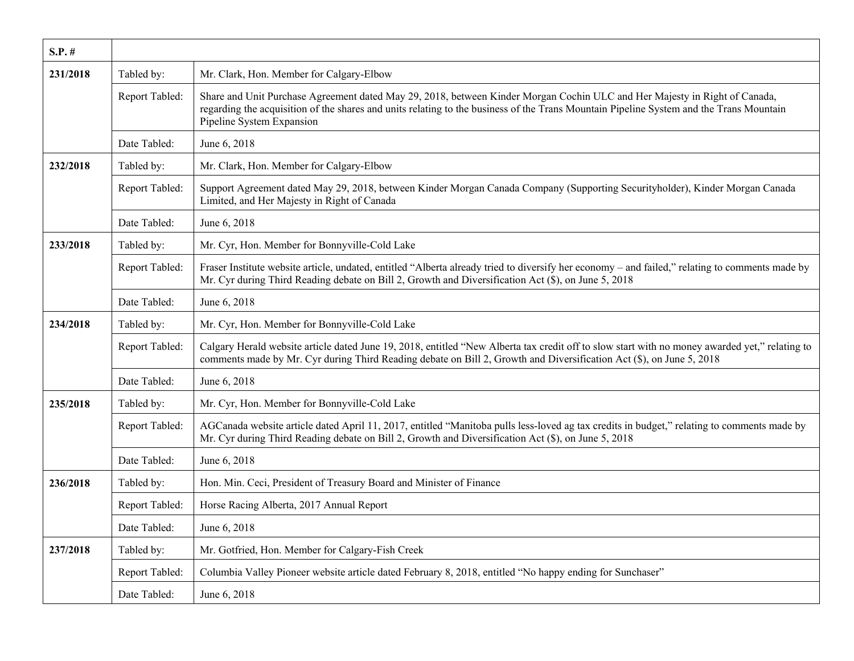| $S.P.$ # |                |                                                                                                                                                                                                                                                                                                    |
|----------|----------------|----------------------------------------------------------------------------------------------------------------------------------------------------------------------------------------------------------------------------------------------------------------------------------------------------|
| 231/2018 | Tabled by:     | Mr. Clark, Hon. Member for Calgary-Elbow                                                                                                                                                                                                                                                           |
|          | Report Tabled: | Share and Unit Purchase Agreement dated May 29, 2018, between Kinder Morgan Cochin ULC and Her Majesty in Right of Canada,<br>regarding the acquisition of the shares and units relating to the business of the Trans Mountain Pipeline System and the Trans Mountain<br>Pipeline System Expansion |
|          | Date Tabled:   | June 6, 2018                                                                                                                                                                                                                                                                                       |
| 232/2018 | Tabled by:     | Mr. Clark, Hon. Member for Calgary-Elbow                                                                                                                                                                                                                                                           |
|          | Report Tabled: | Support Agreement dated May 29, 2018, between Kinder Morgan Canada Company (Supporting Securityholder), Kinder Morgan Canada<br>Limited, and Her Majesty in Right of Canada                                                                                                                        |
|          | Date Tabled:   | June 6, 2018                                                                                                                                                                                                                                                                                       |
| 233/2018 | Tabled by:     | Mr. Cyr, Hon. Member for Bonnyville-Cold Lake                                                                                                                                                                                                                                                      |
|          | Report Tabled: | Fraser Institute website article, undated, entitled "Alberta already tried to diversify her economy – and failed," relating to comments made by<br>Mr. Cyr during Third Reading debate on Bill 2, Growth and Diversification Act (\$), on June 5, 2018                                             |
|          | Date Tabled:   | June 6, 2018                                                                                                                                                                                                                                                                                       |
| 234/2018 | Tabled by:     | Mr. Cyr, Hon. Member for Bonnyville-Cold Lake                                                                                                                                                                                                                                                      |
|          | Report Tabled: | Calgary Herald website article dated June 19, 2018, entitled "New Alberta tax credit off to slow start with no money awarded yet," relating to<br>comments made by Mr. Cyr during Third Reading debate on Bill 2, Growth and Diversification Act (\$), on June 5, 2018                             |
|          | Date Tabled:   | June 6, 2018                                                                                                                                                                                                                                                                                       |
| 235/2018 | Tabled by:     | Mr. Cyr, Hon. Member for Bonnyville-Cold Lake                                                                                                                                                                                                                                                      |
|          | Report Tabled: | AGCanada website article dated April 11, 2017, entitled "Manitoba pulls less-loved ag tax credits in budget," relating to comments made by<br>Mr. Cyr during Third Reading debate on Bill 2, Growth and Diversification Act (\$), on June 5, 2018                                                  |
|          | Date Tabled:   | June 6, 2018                                                                                                                                                                                                                                                                                       |
| 236/2018 | Tabled by:     | Hon. Min. Ceci, President of Treasury Board and Minister of Finance                                                                                                                                                                                                                                |
|          | Report Tabled: | Horse Racing Alberta, 2017 Annual Report                                                                                                                                                                                                                                                           |
|          | Date Tabled:   | June 6, 2018                                                                                                                                                                                                                                                                                       |
| 237/2018 | Tabled by:     | Mr. Gotfried, Hon. Member for Calgary-Fish Creek                                                                                                                                                                                                                                                   |
|          | Report Tabled: | Columbia Valley Pioneer website article dated February 8, 2018, entitled "No happy ending for Sunchaser"                                                                                                                                                                                           |
|          | Date Tabled:   | June 6, 2018                                                                                                                                                                                                                                                                                       |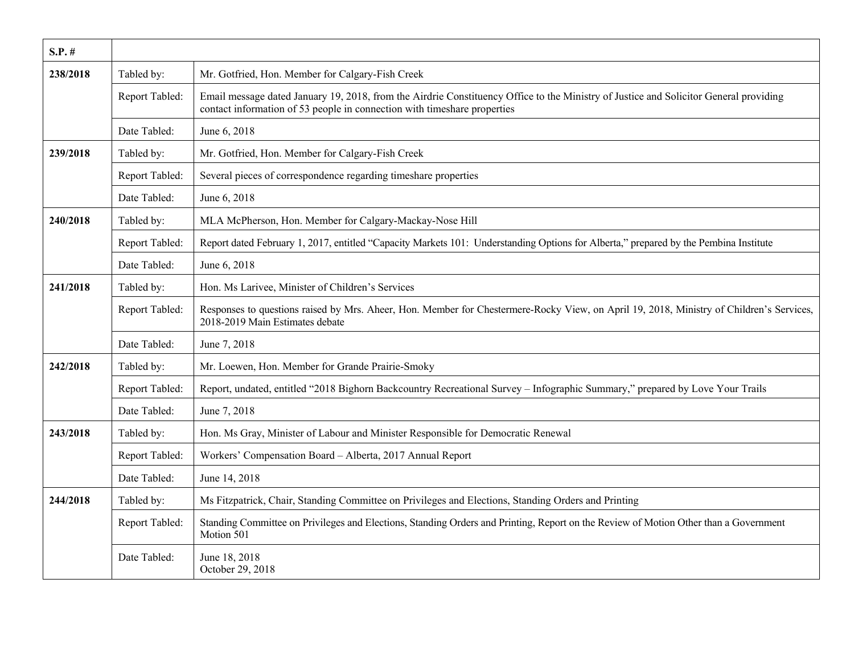| $S.P.$ # |                |                                                                                                                                                                                                                   |
|----------|----------------|-------------------------------------------------------------------------------------------------------------------------------------------------------------------------------------------------------------------|
| 238/2018 | Tabled by:     | Mr. Gotfried, Hon. Member for Calgary-Fish Creek                                                                                                                                                                  |
|          | Report Tabled: | Email message dated January 19, 2018, from the Airdrie Constituency Office to the Ministry of Justice and Solicitor General providing<br>contact information of 53 people in connection with timeshare properties |
|          | Date Tabled:   | June 6, 2018                                                                                                                                                                                                      |
| 239/2018 | Tabled by:     | Mr. Gotfried, Hon. Member for Calgary-Fish Creek                                                                                                                                                                  |
|          | Report Tabled: | Several pieces of correspondence regarding timeshare properties                                                                                                                                                   |
|          | Date Tabled:   | June 6, 2018                                                                                                                                                                                                      |
| 240/2018 | Tabled by:     | MLA McPherson, Hon. Member for Calgary-Mackay-Nose Hill                                                                                                                                                           |
|          | Report Tabled: | Report dated February 1, 2017, entitled "Capacity Markets 101: Understanding Options for Alberta," prepared by the Pembina Institute                                                                              |
|          | Date Tabled:   | June 6, 2018                                                                                                                                                                                                      |
| 241/2018 | Tabled by:     | Hon. Ms Larivee, Minister of Children's Services                                                                                                                                                                  |
|          | Report Tabled: | Responses to questions raised by Mrs. Aheer, Hon. Member for Chestermere-Rocky View, on April 19, 2018, Ministry of Children's Services,<br>2018-2019 Main Estimates debate                                       |
|          | Date Tabled:   | June 7, 2018                                                                                                                                                                                                      |
| 242/2018 | Tabled by:     | Mr. Loewen, Hon. Member for Grande Prairie-Smoky                                                                                                                                                                  |
|          | Report Tabled: | Report, undated, entitled "2018 Bighorn Backcountry Recreational Survey - Infographic Summary," prepared by Love Your Trails                                                                                      |
|          | Date Tabled:   | June 7, 2018                                                                                                                                                                                                      |
| 243/2018 | Tabled by:     | Hon. Ms Gray, Minister of Labour and Minister Responsible for Democratic Renewal                                                                                                                                  |
|          | Report Tabled: | Workers' Compensation Board - Alberta, 2017 Annual Report                                                                                                                                                         |
|          | Date Tabled:   | June 14, 2018                                                                                                                                                                                                     |
| 244/2018 | Tabled by:     | Ms Fitzpatrick, Chair, Standing Committee on Privileges and Elections, Standing Orders and Printing                                                                                                               |
|          | Report Tabled: | Standing Committee on Privileges and Elections, Standing Orders and Printing, Report on the Review of Motion Other than a Government<br>Motion 501                                                                |
|          | Date Tabled:   | June 18, 2018<br>October 29, 2018                                                                                                                                                                                 |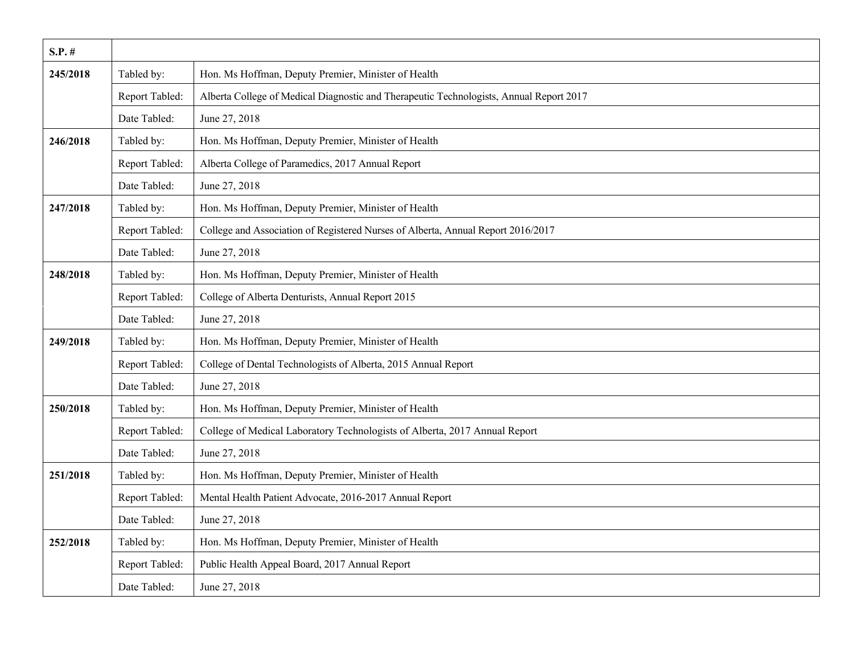| $S.P.$ # |                |                                                                                         |
|----------|----------------|-----------------------------------------------------------------------------------------|
| 245/2018 | Tabled by:     | Hon. Ms Hoffman, Deputy Premier, Minister of Health                                     |
|          | Report Tabled: | Alberta College of Medical Diagnostic and Therapeutic Technologists, Annual Report 2017 |
|          | Date Tabled:   | June 27, 2018                                                                           |
| 246/2018 | Tabled by:     | Hon. Ms Hoffman, Deputy Premier, Minister of Health                                     |
|          | Report Tabled: | Alberta College of Paramedics, 2017 Annual Report                                       |
|          | Date Tabled:   | June 27, 2018                                                                           |
| 247/2018 | Tabled by:     | Hon. Ms Hoffman, Deputy Premier, Minister of Health                                     |
|          | Report Tabled: | College and Association of Registered Nurses of Alberta, Annual Report 2016/2017        |
|          | Date Tabled:   | June 27, 2018                                                                           |
| 248/2018 | Tabled by:     | Hon. Ms Hoffman, Deputy Premier, Minister of Health                                     |
|          | Report Tabled: | College of Alberta Denturists, Annual Report 2015                                       |
|          | Date Tabled:   | June 27, 2018                                                                           |
| 249/2018 | Tabled by:     | Hon. Ms Hoffman, Deputy Premier, Minister of Health                                     |
|          | Report Tabled: | College of Dental Technologists of Alberta, 2015 Annual Report                          |
|          | Date Tabled:   | June 27, 2018                                                                           |
| 250/2018 | Tabled by:     | Hon. Ms Hoffman, Deputy Premier, Minister of Health                                     |
|          | Report Tabled: | College of Medical Laboratory Technologists of Alberta, 2017 Annual Report              |
|          | Date Tabled:   | June 27, 2018                                                                           |
| 251/2018 | Tabled by:     | Hon. Ms Hoffman, Deputy Premier, Minister of Health                                     |
|          | Report Tabled: | Mental Health Patient Advocate, 2016-2017 Annual Report                                 |
|          | Date Tabled:   | June 27, 2018                                                                           |
| 252/2018 | Tabled by:     | Hon. Ms Hoffman, Deputy Premier, Minister of Health                                     |
|          | Report Tabled: | Public Health Appeal Board, 2017 Annual Report                                          |
|          | Date Tabled:   | June 27, 2018                                                                           |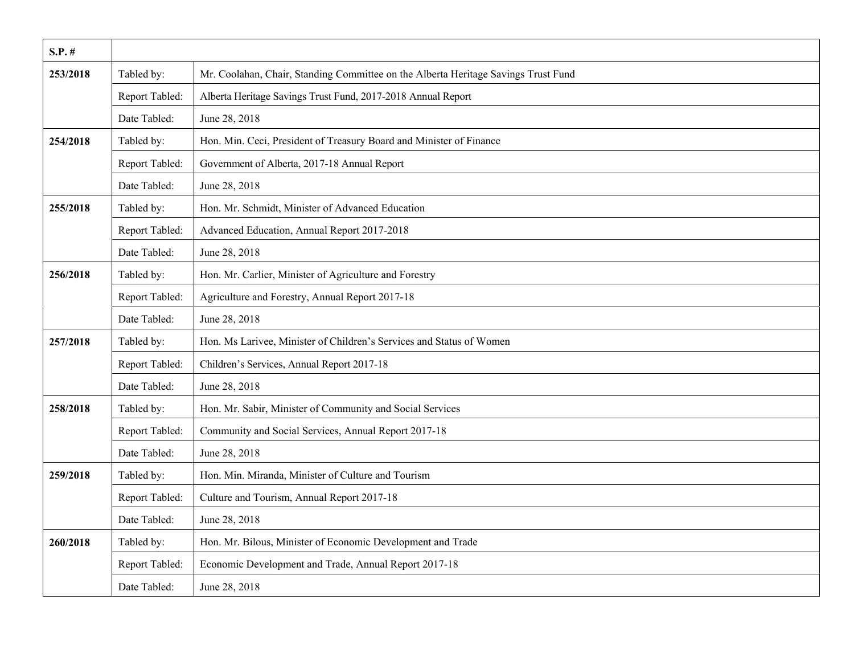| $S.P.$ # |                |                                                                                    |
|----------|----------------|------------------------------------------------------------------------------------|
| 253/2018 | Tabled by:     | Mr. Coolahan, Chair, Standing Committee on the Alberta Heritage Savings Trust Fund |
|          | Report Tabled: | Alberta Heritage Savings Trust Fund, 2017-2018 Annual Report                       |
|          | Date Tabled:   | June 28, 2018                                                                      |
| 254/2018 | Tabled by:     | Hon. Min. Ceci, President of Treasury Board and Minister of Finance                |
|          | Report Tabled: | Government of Alberta, 2017-18 Annual Report                                       |
|          | Date Tabled:   | June 28, 2018                                                                      |
| 255/2018 | Tabled by:     | Hon. Mr. Schmidt, Minister of Advanced Education                                   |
|          | Report Tabled: | Advanced Education, Annual Report 2017-2018                                        |
|          | Date Tabled:   | June 28, 2018                                                                      |
| 256/2018 | Tabled by:     | Hon. Mr. Carlier, Minister of Agriculture and Forestry                             |
|          | Report Tabled: | Agriculture and Forestry, Annual Report 2017-18                                    |
|          | Date Tabled:   | June 28, 2018                                                                      |
| 257/2018 | Tabled by:     | Hon. Ms Larivee, Minister of Children's Services and Status of Women               |
|          | Report Tabled: | Children's Services, Annual Report 2017-18                                         |
|          | Date Tabled:   | June 28, 2018                                                                      |
| 258/2018 | Tabled by:     | Hon. Mr. Sabir, Minister of Community and Social Services                          |
|          | Report Tabled: | Community and Social Services, Annual Report 2017-18                               |
|          | Date Tabled:   | June 28, 2018                                                                      |
| 259/2018 | Tabled by:     | Hon. Min. Miranda, Minister of Culture and Tourism                                 |
|          | Report Tabled: | Culture and Tourism, Annual Report 2017-18                                         |
|          | Date Tabled:   | June 28, 2018                                                                      |
| 260/2018 | Tabled by:     | Hon. Mr. Bilous, Minister of Economic Development and Trade                        |
|          | Report Tabled: | Economic Development and Trade, Annual Report 2017-18                              |
|          | Date Tabled:   | June 28, 2018                                                                      |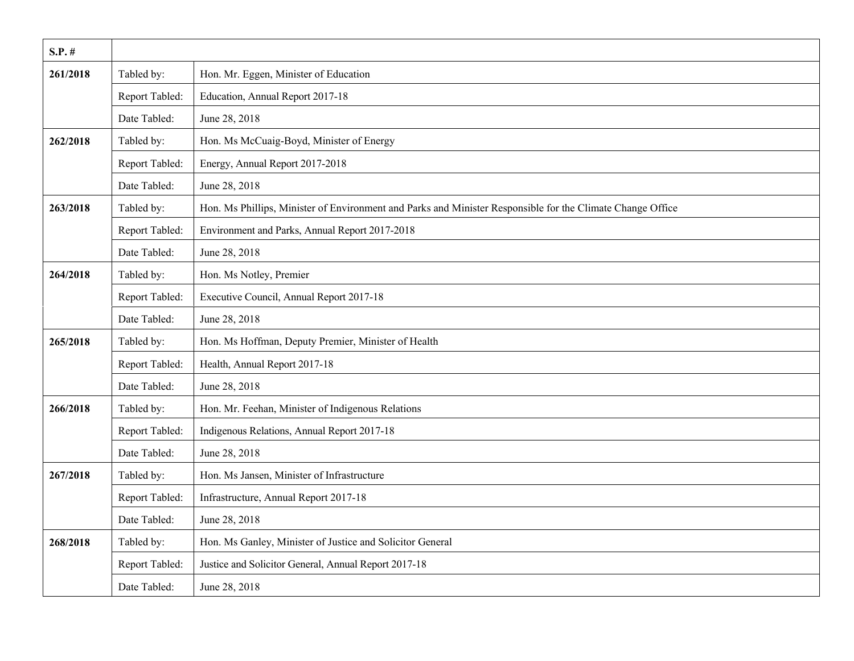| $S.P.$ # |                |                                                                                                            |
|----------|----------------|------------------------------------------------------------------------------------------------------------|
| 261/2018 | Tabled by:     | Hon. Mr. Eggen, Minister of Education                                                                      |
|          | Report Tabled: | Education, Annual Report 2017-18                                                                           |
|          | Date Tabled:   | June 28, 2018                                                                                              |
| 262/2018 | Tabled by:     | Hon. Ms McCuaig-Boyd, Minister of Energy                                                                   |
|          | Report Tabled: | Energy, Annual Report 2017-2018                                                                            |
|          | Date Tabled:   | June 28, 2018                                                                                              |
| 263/2018 | Tabled by:     | Hon. Ms Phillips, Minister of Environment and Parks and Minister Responsible for the Climate Change Office |
|          | Report Tabled: | Environment and Parks, Annual Report 2017-2018                                                             |
|          | Date Tabled:   | June 28, 2018                                                                                              |
| 264/2018 | Tabled by:     | Hon. Ms Notley, Premier                                                                                    |
|          | Report Tabled: | Executive Council, Annual Report 2017-18                                                                   |
|          | Date Tabled:   | June 28, 2018                                                                                              |
| 265/2018 | Tabled by:     | Hon. Ms Hoffman, Deputy Premier, Minister of Health                                                        |
|          | Report Tabled: | Health, Annual Report 2017-18                                                                              |
|          | Date Tabled:   | June 28, 2018                                                                                              |
| 266/2018 | Tabled by:     | Hon. Mr. Feehan, Minister of Indigenous Relations                                                          |
|          | Report Tabled: | Indigenous Relations, Annual Report 2017-18                                                                |
|          | Date Tabled:   | June 28, 2018                                                                                              |
| 267/2018 | Tabled by:     | Hon. Ms Jansen, Minister of Infrastructure                                                                 |
|          | Report Tabled: | Infrastructure, Annual Report 2017-18                                                                      |
|          | Date Tabled:   | June 28, 2018                                                                                              |
| 268/2018 | Tabled by:     | Hon. Ms Ganley, Minister of Justice and Solicitor General                                                  |
|          | Report Tabled: | Justice and Solicitor General, Annual Report 2017-18                                                       |
|          | Date Tabled:   | June 28, 2018                                                                                              |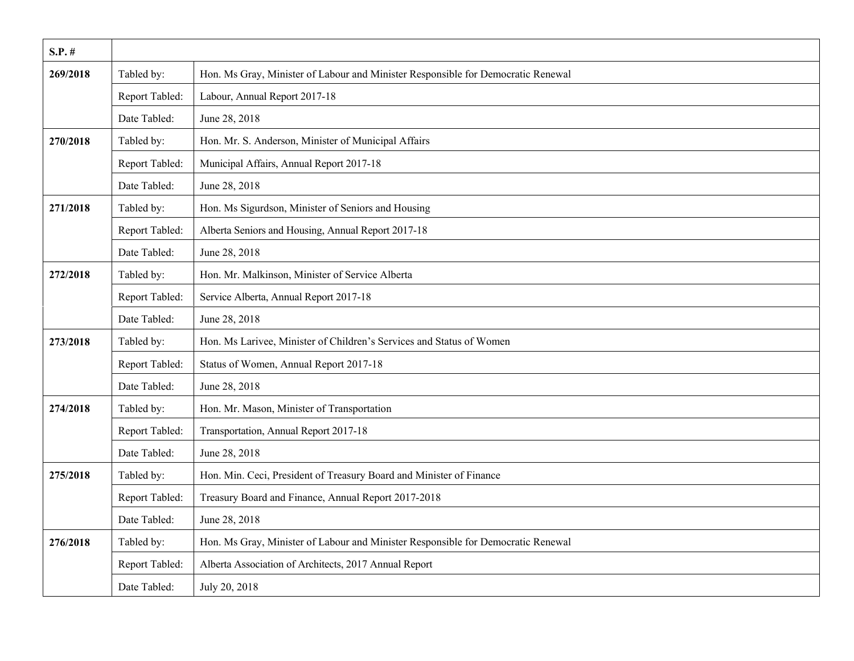| $S.P.$ # |                |                                                                                  |
|----------|----------------|----------------------------------------------------------------------------------|
| 269/2018 | Tabled by:     | Hon. Ms Gray, Minister of Labour and Minister Responsible for Democratic Renewal |
|          | Report Tabled: | Labour, Annual Report 2017-18                                                    |
|          | Date Tabled:   | June 28, 2018                                                                    |
| 270/2018 | Tabled by:     | Hon. Mr. S. Anderson, Minister of Municipal Affairs                              |
|          | Report Tabled: | Municipal Affairs, Annual Report 2017-18                                         |
|          | Date Tabled:   | June 28, 2018                                                                    |
| 271/2018 | Tabled by:     | Hon. Ms Sigurdson, Minister of Seniors and Housing                               |
|          | Report Tabled: | Alberta Seniors and Housing, Annual Report 2017-18                               |
|          | Date Tabled:   | June 28, 2018                                                                    |
| 272/2018 | Tabled by:     | Hon. Mr. Malkinson, Minister of Service Alberta                                  |
|          | Report Tabled: | Service Alberta, Annual Report 2017-18                                           |
|          | Date Tabled:   | June 28, 2018                                                                    |
| 273/2018 | Tabled by:     | Hon. Ms Larivee, Minister of Children's Services and Status of Women             |
|          | Report Tabled: | Status of Women, Annual Report 2017-18                                           |
|          | Date Tabled:   | June 28, 2018                                                                    |
| 274/2018 | Tabled by:     | Hon. Mr. Mason, Minister of Transportation                                       |
|          | Report Tabled: | Transportation, Annual Report 2017-18                                            |
|          | Date Tabled:   | June 28, 2018                                                                    |
| 275/2018 | Tabled by:     | Hon. Min. Ceci, President of Treasury Board and Minister of Finance              |
|          | Report Tabled: | Treasury Board and Finance, Annual Report 2017-2018                              |
|          | Date Tabled:   | June 28, 2018                                                                    |
| 276/2018 | Tabled by:     | Hon. Ms Gray, Minister of Labour and Minister Responsible for Democratic Renewal |
|          | Report Tabled: | Alberta Association of Architects, 2017 Annual Report                            |
|          | Date Tabled:   | July 20, 2018                                                                    |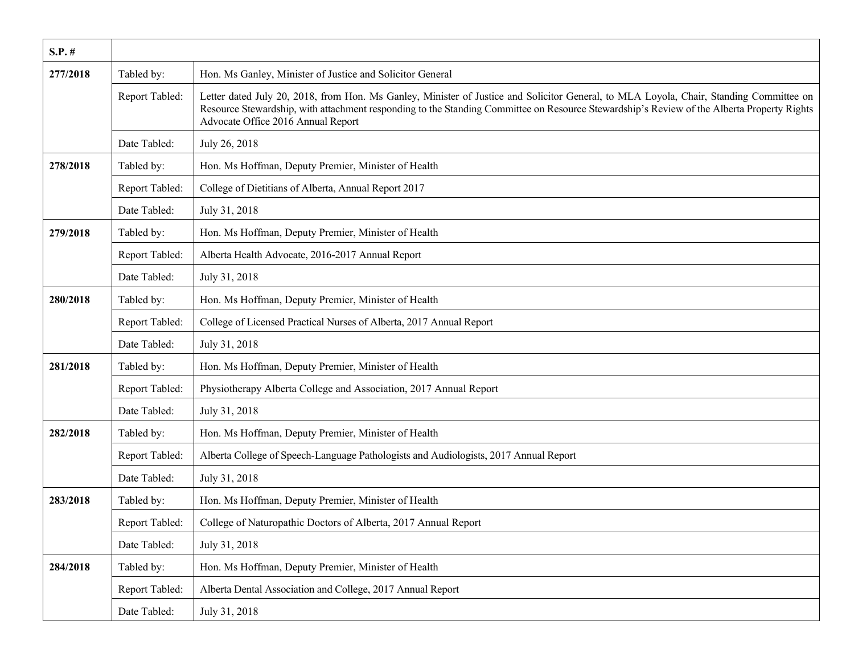| $S.P.$ # |                |                                                                                                                                                                                                                                                                                                                             |
|----------|----------------|-----------------------------------------------------------------------------------------------------------------------------------------------------------------------------------------------------------------------------------------------------------------------------------------------------------------------------|
| 277/2018 | Tabled by:     | Hon. Ms Ganley, Minister of Justice and Solicitor General                                                                                                                                                                                                                                                                   |
|          | Report Tabled: | Letter dated July 20, 2018, from Hon. Ms Ganley, Minister of Justice and Solicitor General, to MLA Loyola, Chair, Standing Committee on<br>Resource Stewardship, with attachment responding to the Standing Committee on Resource Stewardship's Review of the Alberta Property Rights<br>Advocate Office 2016 Annual Report |
|          | Date Tabled:   | July 26, 2018                                                                                                                                                                                                                                                                                                               |
| 278/2018 | Tabled by:     | Hon. Ms Hoffman, Deputy Premier, Minister of Health                                                                                                                                                                                                                                                                         |
|          | Report Tabled: | College of Dietitians of Alberta, Annual Report 2017                                                                                                                                                                                                                                                                        |
|          | Date Tabled:   | July 31, 2018                                                                                                                                                                                                                                                                                                               |
| 279/2018 | Tabled by:     | Hon. Ms Hoffman, Deputy Premier, Minister of Health                                                                                                                                                                                                                                                                         |
|          | Report Tabled: | Alberta Health Advocate, 2016-2017 Annual Report                                                                                                                                                                                                                                                                            |
|          | Date Tabled:   | July 31, 2018                                                                                                                                                                                                                                                                                                               |
| 280/2018 | Tabled by:     | Hon. Ms Hoffman, Deputy Premier, Minister of Health                                                                                                                                                                                                                                                                         |
|          | Report Tabled: | College of Licensed Practical Nurses of Alberta, 2017 Annual Report                                                                                                                                                                                                                                                         |
|          | Date Tabled:   | July 31, 2018                                                                                                                                                                                                                                                                                                               |
| 281/2018 | Tabled by:     | Hon. Ms Hoffman, Deputy Premier, Minister of Health                                                                                                                                                                                                                                                                         |
|          | Report Tabled: | Physiotherapy Alberta College and Association, 2017 Annual Report                                                                                                                                                                                                                                                           |
|          | Date Tabled:   | July 31, 2018                                                                                                                                                                                                                                                                                                               |
| 282/2018 | Tabled by:     | Hon. Ms Hoffman, Deputy Premier, Minister of Health                                                                                                                                                                                                                                                                         |
|          | Report Tabled: | Alberta College of Speech-Language Pathologists and Audiologists, 2017 Annual Report                                                                                                                                                                                                                                        |
|          | Date Tabled:   | July 31, 2018                                                                                                                                                                                                                                                                                                               |
| 283/2018 | Tabled by:     | Hon. Ms Hoffman, Deputy Premier, Minister of Health                                                                                                                                                                                                                                                                         |
|          | Report Tabled: | College of Naturopathic Doctors of Alberta, 2017 Annual Report                                                                                                                                                                                                                                                              |
|          | Date Tabled:   | July 31, 2018                                                                                                                                                                                                                                                                                                               |
| 284/2018 | Tabled by:     | Hon. Ms Hoffman, Deputy Premier, Minister of Health                                                                                                                                                                                                                                                                         |
|          | Report Tabled: | Alberta Dental Association and College, 2017 Annual Report                                                                                                                                                                                                                                                                  |
|          | Date Tabled:   | July 31, 2018                                                                                                                                                                                                                                                                                                               |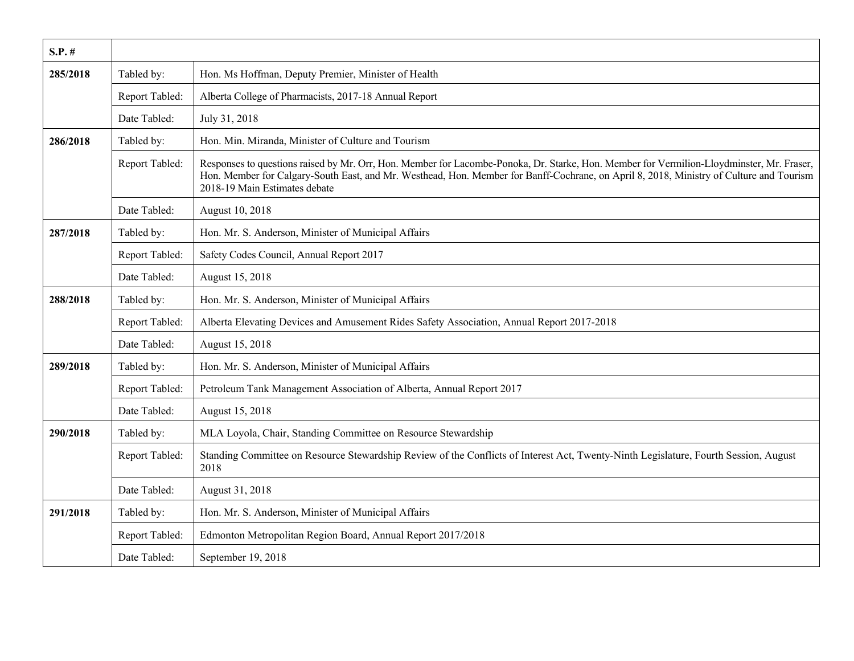| $S.P.$ # |                |                                                                                                                                                                                                                                                                                                                       |
|----------|----------------|-----------------------------------------------------------------------------------------------------------------------------------------------------------------------------------------------------------------------------------------------------------------------------------------------------------------------|
| 285/2018 | Tabled by:     | Hon. Ms Hoffman, Deputy Premier, Minister of Health                                                                                                                                                                                                                                                                   |
|          | Report Tabled: | Alberta College of Pharmacists, 2017-18 Annual Report                                                                                                                                                                                                                                                                 |
|          | Date Tabled:   | July 31, 2018                                                                                                                                                                                                                                                                                                         |
| 286/2018 | Tabled by:     | Hon. Min. Miranda, Minister of Culture and Tourism                                                                                                                                                                                                                                                                    |
|          | Report Tabled: | Responses to questions raised by Mr. Orr, Hon. Member for Lacombe-Ponoka, Dr. Starke, Hon. Member for Vermilion-Lloydminster, Mr. Fraser,<br>Hon. Member for Calgary-South East, and Mr. Westhead, Hon. Member for Banff-Cochrane, on April 8, 2018, Ministry of Culture and Tourism<br>2018-19 Main Estimates debate |
|          | Date Tabled:   | August 10, 2018                                                                                                                                                                                                                                                                                                       |
| 287/2018 | Tabled by:     | Hon. Mr. S. Anderson, Minister of Municipal Affairs                                                                                                                                                                                                                                                                   |
|          | Report Tabled: | Safety Codes Council, Annual Report 2017                                                                                                                                                                                                                                                                              |
|          | Date Tabled:   | August 15, 2018                                                                                                                                                                                                                                                                                                       |
| 288/2018 | Tabled by:     | Hon. Mr. S. Anderson, Minister of Municipal Affairs                                                                                                                                                                                                                                                                   |
|          | Report Tabled: | Alberta Elevating Devices and Amusement Rides Safety Association, Annual Report 2017-2018                                                                                                                                                                                                                             |
|          | Date Tabled:   | August 15, 2018                                                                                                                                                                                                                                                                                                       |
| 289/2018 | Tabled by:     | Hon. Mr. S. Anderson, Minister of Municipal Affairs                                                                                                                                                                                                                                                                   |
|          | Report Tabled: | Petroleum Tank Management Association of Alberta, Annual Report 2017                                                                                                                                                                                                                                                  |
|          | Date Tabled:   | August 15, 2018                                                                                                                                                                                                                                                                                                       |
| 290/2018 | Tabled by:     | MLA Loyola, Chair, Standing Committee on Resource Stewardship                                                                                                                                                                                                                                                         |
|          | Report Tabled: | Standing Committee on Resource Stewardship Review of the Conflicts of Interest Act, Twenty-Ninth Legislature, Fourth Session, August<br>2018                                                                                                                                                                          |
|          | Date Tabled:   | August 31, 2018                                                                                                                                                                                                                                                                                                       |
| 291/2018 | Tabled by:     | Hon. Mr. S. Anderson, Minister of Municipal Affairs                                                                                                                                                                                                                                                                   |
|          | Report Tabled: | Edmonton Metropolitan Region Board, Annual Report 2017/2018                                                                                                                                                                                                                                                           |
|          | Date Tabled:   | September 19, 2018                                                                                                                                                                                                                                                                                                    |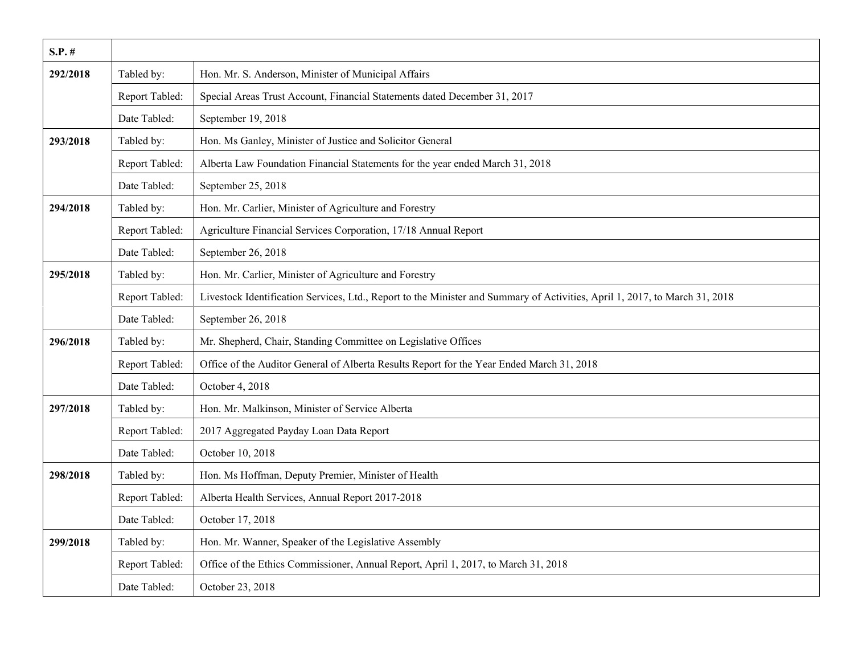| $S.P.$ # |                |                                                                                                                             |
|----------|----------------|-----------------------------------------------------------------------------------------------------------------------------|
| 292/2018 | Tabled by:     | Hon. Mr. S. Anderson, Minister of Municipal Affairs                                                                         |
|          | Report Tabled: | Special Areas Trust Account, Financial Statements dated December 31, 2017                                                   |
|          | Date Tabled:   | September 19, 2018                                                                                                          |
| 293/2018 | Tabled by:     | Hon. Ms Ganley, Minister of Justice and Solicitor General                                                                   |
|          | Report Tabled: | Alberta Law Foundation Financial Statements for the year ended March 31, 2018                                               |
|          | Date Tabled:   | September 25, 2018                                                                                                          |
| 294/2018 | Tabled by:     | Hon. Mr. Carlier, Minister of Agriculture and Forestry                                                                      |
|          | Report Tabled: | Agriculture Financial Services Corporation, 17/18 Annual Report                                                             |
|          | Date Tabled:   | September 26, 2018                                                                                                          |
| 295/2018 | Tabled by:     | Hon. Mr. Carlier, Minister of Agriculture and Forestry                                                                      |
|          | Report Tabled: | Livestock Identification Services, Ltd., Report to the Minister and Summary of Activities, April 1, 2017, to March 31, 2018 |
|          | Date Tabled:   | September 26, 2018                                                                                                          |
| 296/2018 | Tabled by:     | Mr. Shepherd, Chair, Standing Committee on Legislative Offices                                                              |
|          | Report Tabled: | Office of the Auditor General of Alberta Results Report for the Year Ended March 31, 2018                                   |
|          | Date Tabled:   | October 4, 2018                                                                                                             |
| 297/2018 | Tabled by:     | Hon. Mr. Malkinson, Minister of Service Alberta                                                                             |
|          | Report Tabled: | 2017 Aggregated Payday Loan Data Report                                                                                     |
|          | Date Tabled:   | October 10, 2018                                                                                                            |
| 298/2018 | Tabled by:     | Hon. Ms Hoffman, Deputy Premier, Minister of Health                                                                         |
|          | Report Tabled: | Alberta Health Services, Annual Report 2017-2018                                                                            |
|          | Date Tabled:   | October 17, 2018                                                                                                            |
| 299/2018 | Tabled by:     | Hon. Mr. Wanner, Speaker of the Legislative Assembly                                                                        |
|          | Report Tabled: | Office of the Ethics Commissioner, Annual Report, April 1, 2017, to March 31, 2018                                          |
|          | Date Tabled:   | October 23, 2018                                                                                                            |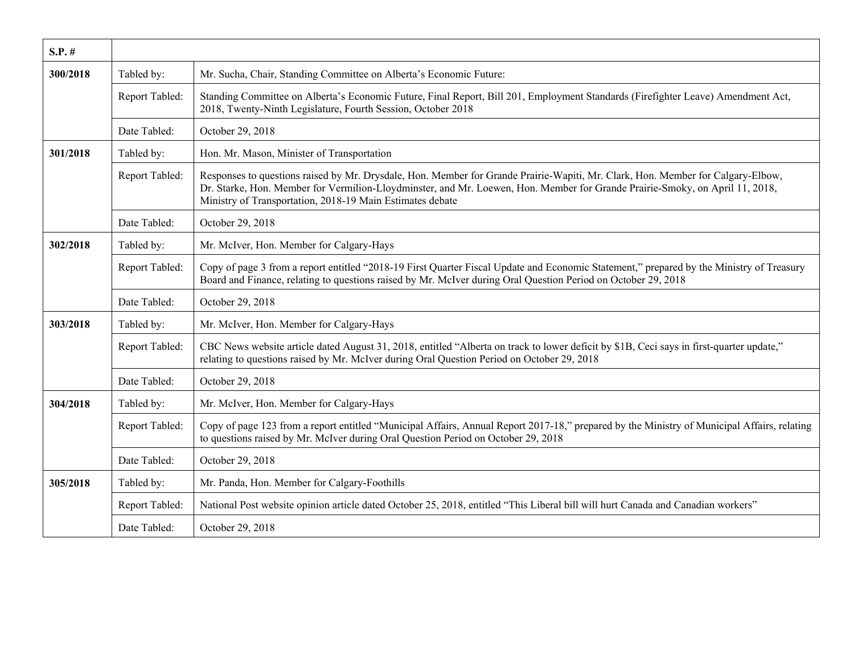| $S.P.$ # |                |                                                                                                                                                                                                                                                                                                                              |
|----------|----------------|------------------------------------------------------------------------------------------------------------------------------------------------------------------------------------------------------------------------------------------------------------------------------------------------------------------------------|
| 300/2018 | Tabled by:     | Mr. Sucha, Chair, Standing Committee on Alberta's Economic Future:                                                                                                                                                                                                                                                           |
|          | Report Tabled: | Standing Committee on Alberta's Economic Future, Final Report, Bill 201, Employment Standards (Firefighter Leave) Amendment Act,<br>2018, Twenty-Ninth Legislature, Fourth Session, October 2018                                                                                                                             |
|          | Date Tabled:   | October 29, 2018                                                                                                                                                                                                                                                                                                             |
| 301/2018 | Tabled by:     | Hon. Mr. Mason, Minister of Transportation                                                                                                                                                                                                                                                                                   |
|          | Report Tabled: | Responses to questions raised by Mr. Drysdale, Hon. Member for Grande Prairie-Wapiti, Mr. Clark, Hon. Member for Calgary-Elbow,<br>Dr. Starke, Hon. Member for Vermilion-Lloydminster, and Mr. Loewen, Hon. Member for Grande Prairie-Smoky, on April 11, 2018,<br>Ministry of Transportation, 2018-19 Main Estimates debate |
|          | Date Tabled:   | October 29, 2018                                                                                                                                                                                                                                                                                                             |
| 302/2018 | Tabled by:     | Mr. McIver, Hon. Member for Calgary-Hays                                                                                                                                                                                                                                                                                     |
|          | Report Tabled: | Copy of page 3 from a report entitled "2018-19 First Quarter Fiscal Update and Economic Statement," prepared by the Ministry of Treasury<br>Board and Finance, relating to questions raised by Mr. McIver during Oral Question Period on October 29, 2018                                                                    |
|          | Date Tabled:   | October 29, 2018                                                                                                                                                                                                                                                                                                             |
| 303/2018 | Tabled by:     | Mr. McIver, Hon. Member for Calgary-Hays                                                                                                                                                                                                                                                                                     |
|          | Report Tabled: | CBC News website article dated August 31, 2018, entitled "Alberta on track to lower deficit by \$1B, Ceci says in first-quarter update,"<br>relating to questions raised by Mr. McIver during Oral Question Period on October 29, 2018                                                                                       |
|          | Date Tabled:   | October 29, 2018                                                                                                                                                                                                                                                                                                             |
| 304/2018 | Tabled by:     | Mr. McIver, Hon. Member for Calgary-Hays                                                                                                                                                                                                                                                                                     |
|          | Report Tabled: | Copy of page 123 from a report entitled "Municipal Affairs, Annual Report 2017-18," prepared by the Ministry of Municipal Affairs, relating<br>to questions raised by Mr. McIver during Oral Question Period on October 29, 2018                                                                                             |
|          | Date Tabled:   | October 29, 2018                                                                                                                                                                                                                                                                                                             |
| 305/2018 | Tabled by:     | Mr. Panda, Hon. Member for Calgary-Foothills                                                                                                                                                                                                                                                                                 |
|          | Report Tabled: | National Post website opinion article dated October 25, 2018, entitled "This Liberal bill will hurt Canada and Canadian workers"                                                                                                                                                                                             |
|          | Date Tabled:   | October 29, 2018                                                                                                                                                                                                                                                                                                             |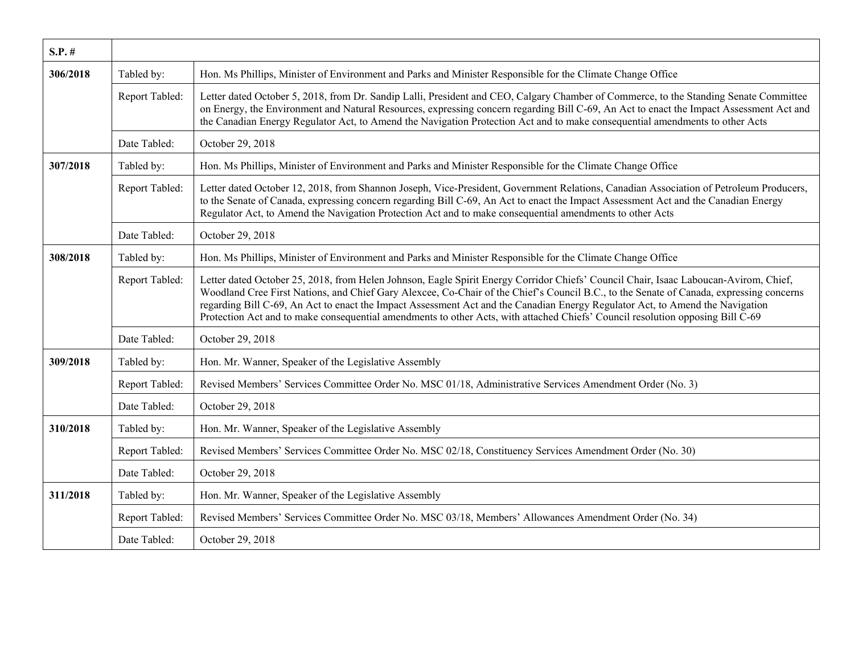| $S.P.$ # |                |                                                                                                                                                                                                                                                                                                                                                                                                                                                                                                                                                    |
|----------|----------------|----------------------------------------------------------------------------------------------------------------------------------------------------------------------------------------------------------------------------------------------------------------------------------------------------------------------------------------------------------------------------------------------------------------------------------------------------------------------------------------------------------------------------------------------------|
| 306/2018 | Tabled by:     | Hon. Ms Phillips, Minister of Environment and Parks and Minister Responsible for the Climate Change Office                                                                                                                                                                                                                                                                                                                                                                                                                                         |
|          | Report Tabled: | Letter dated October 5, 2018, from Dr. Sandip Lalli, President and CEO, Calgary Chamber of Commerce, to the Standing Senate Committee<br>on Energy, the Environment and Natural Resources, expressing concern regarding Bill C-69, An Act to enact the Impact Assessment Act and<br>the Canadian Energy Regulator Act, to Amend the Navigation Protection Act and to make consequential amendments to other Acts                                                                                                                                   |
|          | Date Tabled:   | October 29, 2018                                                                                                                                                                                                                                                                                                                                                                                                                                                                                                                                   |
| 307/2018 | Tabled by:     | Hon. Ms Phillips, Minister of Environment and Parks and Minister Responsible for the Climate Change Office                                                                                                                                                                                                                                                                                                                                                                                                                                         |
|          | Report Tabled: | Letter dated October 12, 2018, from Shannon Joseph, Vice-President, Government Relations, Canadian Association of Petroleum Producers,<br>to the Senate of Canada, expressing concern regarding Bill C-69, An Act to enact the Impact Assessment Act and the Canadian Energy<br>Regulator Act, to Amend the Navigation Protection Act and to make consequential amendments to other Acts                                                                                                                                                           |
|          | Date Tabled:   | October 29, 2018                                                                                                                                                                                                                                                                                                                                                                                                                                                                                                                                   |
| 308/2018 | Tabled by:     | Hon. Ms Phillips, Minister of Environment and Parks and Minister Responsible for the Climate Change Office                                                                                                                                                                                                                                                                                                                                                                                                                                         |
|          | Report Tabled: | Letter dated October 25, 2018, from Helen Johnson, Eagle Spirit Energy Corridor Chiefs' Council Chair, Isaac Laboucan-Avirom, Chief,<br>Woodland Cree First Nations, and Chief Gary Alexcee, Co-Chair of the Chief's Council B.C., to the Senate of Canada, expressing concerns<br>regarding Bill C-69, An Act to enact the Impact Assessment Act and the Canadian Energy Regulator Act, to Amend the Navigation<br>Protection Act and to make consequential amendments to other Acts, with attached Chiefs' Council resolution opposing Bill C-69 |
|          | Date Tabled:   | October 29, 2018                                                                                                                                                                                                                                                                                                                                                                                                                                                                                                                                   |
| 309/2018 | Tabled by:     | Hon. Mr. Wanner, Speaker of the Legislative Assembly                                                                                                                                                                                                                                                                                                                                                                                                                                                                                               |
|          | Report Tabled: | Revised Members' Services Committee Order No. MSC 01/18, Administrative Services Amendment Order (No. 3)                                                                                                                                                                                                                                                                                                                                                                                                                                           |
|          | Date Tabled:   | October 29, 2018                                                                                                                                                                                                                                                                                                                                                                                                                                                                                                                                   |
| 310/2018 | Tabled by:     | Hon. Mr. Wanner, Speaker of the Legislative Assembly                                                                                                                                                                                                                                                                                                                                                                                                                                                                                               |
|          | Report Tabled: | Revised Members' Services Committee Order No. MSC 02/18, Constituency Services Amendment Order (No. 30)                                                                                                                                                                                                                                                                                                                                                                                                                                            |
|          | Date Tabled:   | October 29, 2018                                                                                                                                                                                                                                                                                                                                                                                                                                                                                                                                   |
| 311/2018 | Tabled by:     | Hon. Mr. Wanner, Speaker of the Legislative Assembly                                                                                                                                                                                                                                                                                                                                                                                                                                                                                               |
|          | Report Tabled: | Revised Members' Services Committee Order No. MSC 03/18, Members' Allowances Amendment Order (No. 34)                                                                                                                                                                                                                                                                                                                                                                                                                                              |
|          | Date Tabled:   | October 29, 2018                                                                                                                                                                                                                                                                                                                                                                                                                                                                                                                                   |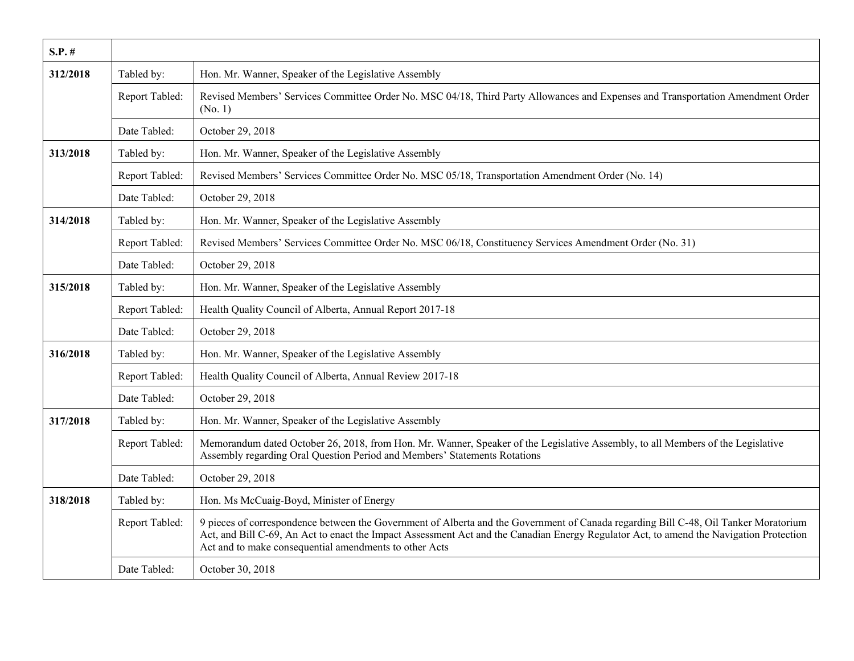| $S.P.$ # |                |                                                                                                                                                                                                                                                                                                                                           |
|----------|----------------|-------------------------------------------------------------------------------------------------------------------------------------------------------------------------------------------------------------------------------------------------------------------------------------------------------------------------------------------|
| 312/2018 | Tabled by:     | Hon. Mr. Wanner, Speaker of the Legislative Assembly                                                                                                                                                                                                                                                                                      |
|          | Report Tabled: | Revised Members' Services Committee Order No. MSC 04/18, Third Party Allowances and Expenses and Transportation Amendment Order<br>(No. 1)                                                                                                                                                                                                |
|          | Date Tabled:   | October 29, 2018                                                                                                                                                                                                                                                                                                                          |
| 313/2018 | Tabled by:     | Hon. Mr. Wanner, Speaker of the Legislative Assembly                                                                                                                                                                                                                                                                                      |
|          | Report Tabled: | Revised Members' Services Committee Order No. MSC 05/18, Transportation Amendment Order (No. 14)                                                                                                                                                                                                                                          |
|          | Date Tabled:   | October 29, 2018                                                                                                                                                                                                                                                                                                                          |
| 314/2018 | Tabled by:     | Hon. Mr. Wanner, Speaker of the Legislative Assembly                                                                                                                                                                                                                                                                                      |
|          | Report Tabled: | Revised Members' Services Committee Order No. MSC 06/18, Constituency Services Amendment Order (No. 31)                                                                                                                                                                                                                                   |
|          | Date Tabled:   | October 29, 2018                                                                                                                                                                                                                                                                                                                          |
| 315/2018 | Tabled by:     | Hon. Mr. Wanner, Speaker of the Legislative Assembly                                                                                                                                                                                                                                                                                      |
|          | Report Tabled: | Health Quality Council of Alberta, Annual Report 2017-18                                                                                                                                                                                                                                                                                  |
|          | Date Tabled:   | October 29, 2018                                                                                                                                                                                                                                                                                                                          |
| 316/2018 | Tabled by:     | Hon. Mr. Wanner, Speaker of the Legislative Assembly                                                                                                                                                                                                                                                                                      |
|          | Report Tabled: | Health Quality Council of Alberta, Annual Review 2017-18                                                                                                                                                                                                                                                                                  |
|          | Date Tabled:   | October 29, 2018                                                                                                                                                                                                                                                                                                                          |
| 317/2018 | Tabled by:     | Hon. Mr. Wanner, Speaker of the Legislative Assembly                                                                                                                                                                                                                                                                                      |
|          | Report Tabled: | Memorandum dated October 26, 2018, from Hon. Mr. Wanner, Speaker of the Legislative Assembly, to all Members of the Legislative<br>Assembly regarding Oral Question Period and Members' Statements Rotations                                                                                                                              |
|          | Date Tabled:   | October 29, 2018                                                                                                                                                                                                                                                                                                                          |
| 318/2018 | Tabled by:     | Hon. Ms McCuaig-Boyd, Minister of Energy                                                                                                                                                                                                                                                                                                  |
|          | Report Tabled: | 9 pieces of correspondence between the Government of Alberta and the Government of Canada regarding Bill C-48, Oil Tanker Moratorium<br>Act, and Bill C-69, An Act to enact the Impact Assessment Act and the Canadian Energy Regulator Act, to amend the Navigation Protection<br>Act and to make consequential amendments to other Acts |
|          | Date Tabled:   | October 30, 2018                                                                                                                                                                                                                                                                                                                          |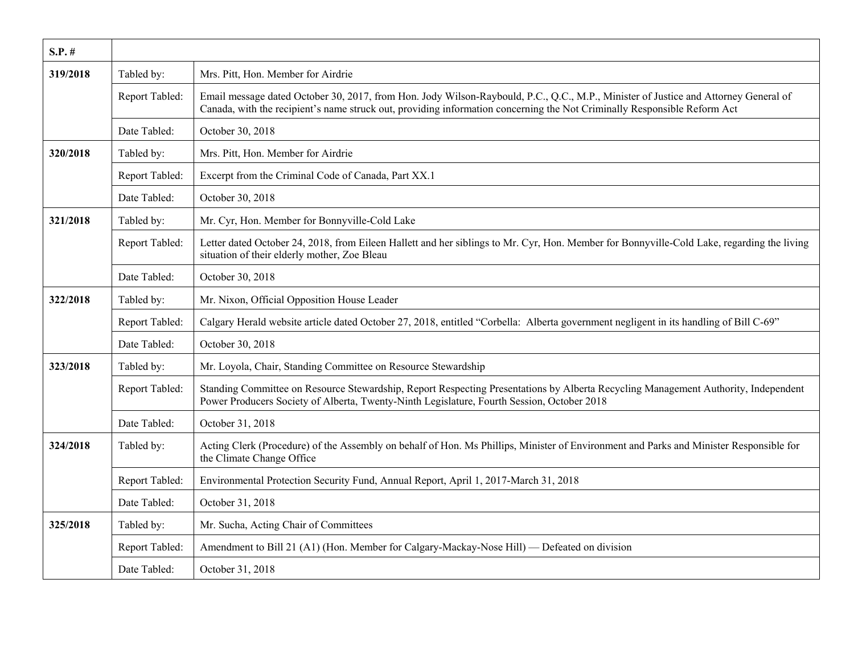| $S.P.$ # |                |                                                                                                                                                                                                                                                                 |
|----------|----------------|-----------------------------------------------------------------------------------------------------------------------------------------------------------------------------------------------------------------------------------------------------------------|
| 319/2018 | Tabled by:     | Mrs. Pitt, Hon. Member for Airdrie                                                                                                                                                                                                                              |
|          | Report Tabled: | Email message dated October 30, 2017, from Hon. Jody Wilson-Raybould, P.C., Q.C., M.P., Minister of Justice and Attorney General of<br>Canada, with the recipient's name struck out, providing information concerning the Not Criminally Responsible Reform Act |
|          | Date Tabled:   | October 30, 2018                                                                                                                                                                                                                                                |
| 320/2018 | Tabled by:     | Mrs. Pitt, Hon. Member for Airdrie                                                                                                                                                                                                                              |
|          | Report Tabled: | Excerpt from the Criminal Code of Canada, Part XX.1                                                                                                                                                                                                             |
|          | Date Tabled:   | October 30, 2018                                                                                                                                                                                                                                                |
| 321/2018 | Tabled by:     | Mr. Cyr, Hon. Member for Bonnyville-Cold Lake                                                                                                                                                                                                                   |
|          | Report Tabled: | Letter dated October 24, 2018, from Eileen Hallett and her siblings to Mr. Cyr, Hon. Member for Bonnyville-Cold Lake, regarding the living<br>situation of their elderly mother, Zoe Bleau                                                                      |
|          | Date Tabled:   | October 30, 2018                                                                                                                                                                                                                                                |
| 322/2018 | Tabled by:     | Mr. Nixon, Official Opposition House Leader                                                                                                                                                                                                                     |
|          | Report Tabled: | Calgary Herald website article dated October 27, 2018, entitled "Corbella: Alberta government negligent in its handling of Bill C-69"                                                                                                                           |
|          | Date Tabled:   | October 30, 2018                                                                                                                                                                                                                                                |
| 323/2018 | Tabled by:     | Mr. Loyola, Chair, Standing Committee on Resource Stewardship                                                                                                                                                                                                   |
|          | Report Tabled: | Standing Committee on Resource Stewardship, Report Respecting Presentations by Alberta Recycling Management Authority, Independent<br>Power Producers Society of Alberta, Twenty-Ninth Legislature, Fourth Session, October 2018                                |
|          | Date Tabled:   | October 31, 2018                                                                                                                                                                                                                                                |
| 324/2018 | Tabled by:     | Acting Clerk (Procedure) of the Assembly on behalf of Hon. Ms Phillips, Minister of Environment and Parks and Minister Responsible for<br>the Climate Change Office                                                                                             |
|          | Report Tabled: | Environmental Protection Security Fund, Annual Report, April 1, 2017-March 31, 2018                                                                                                                                                                             |
|          | Date Tabled:   | October 31, 2018                                                                                                                                                                                                                                                |
| 325/2018 | Tabled by:     | Mr. Sucha, Acting Chair of Committees                                                                                                                                                                                                                           |
|          | Report Tabled: | Amendment to Bill 21 (A1) (Hon. Member for Calgary-Mackay-Nose Hill) — Defeated on division                                                                                                                                                                     |
|          | Date Tabled:   | October 31, 2018                                                                                                                                                                                                                                                |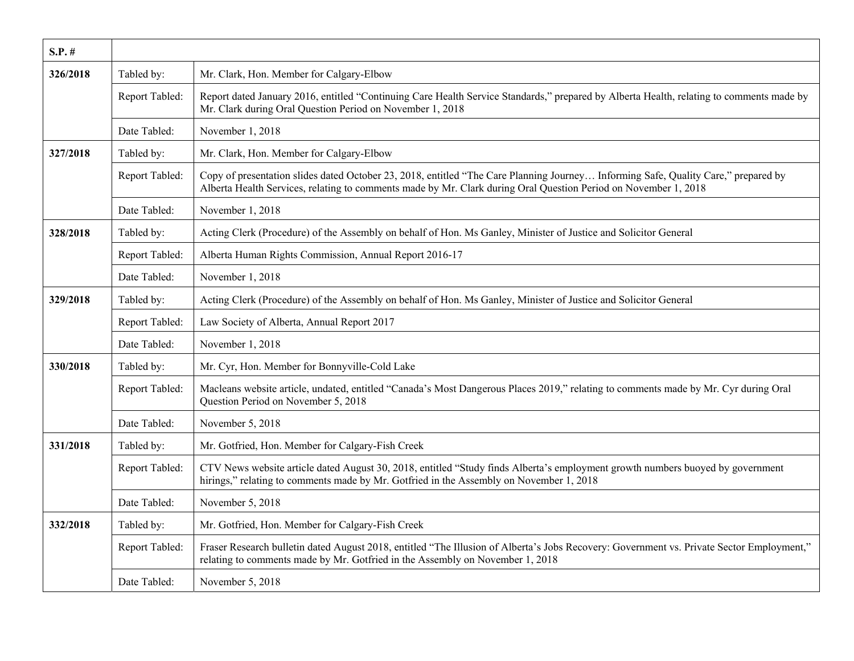| $S.P.$ # |                |                                                                                                                                                                                                                                                       |
|----------|----------------|-------------------------------------------------------------------------------------------------------------------------------------------------------------------------------------------------------------------------------------------------------|
| 326/2018 | Tabled by:     | Mr. Clark, Hon. Member for Calgary-Elbow                                                                                                                                                                                                              |
|          | Report Tabled: | Report dated January 2016, entitled "Continuing Care Health Service Standards," prepared by Alberta Health, relating to comments made by<br>Mr. Clark during Oral Question Period on November 1, 2018                                                 |
|          | Date Tabled:   | November 1, 2018                                                                                                                                                                                                                                      |
| 327/2018 | Tabled by:     | Mr. Clark, Hon. Member for Calgary-Elbow                                                                                                                                                                                                              |
|          | Report Tabled: | Copy of presentation slides dated October 23, 2018, entitled "The Care Planning Journey Informing Safe, Quality Care," prepared by<br>Alberta Health Services, relating to comments made by Mr. Clark during Oral Question Period on November 1, 2018 |
|          | Date Tabled:   | November 1, 2018                                                                                                                                                                                                                                      |
| 328/2018 | Tabled by:     | Acting Clerk (Procedure) of the Assembly on behalf of Hon. Ms Ganley, Minister of Justice and Solicitor General                                                                                                                                       |
|          | Report Tabled: | Alberta Human Rights Commission, Annual Report 2016-17                                                                                                                                                                                                |
|          | Date Tabled:   | November 1, 2018                                                                                                                                                                                                                                      |
| 329/2018 | Tabled by:     | Acting Clerk (Procedure) of the Assembly on behalf of Hon. Ms Ganley, Minister of Justice and Solicitor General                                                                                                                                       |
|          | Report Tabled: | Law Society of Alberta, Annual Report 2017                                                                                                                                                                                                            |
|          | Date Tabled:   | November 1, 2018                                                                                                                                                                                                                                      |
| 330/2018 | Tabled by:     | Mr. Cyr, Hon. Member for Bonnyville-Cold Lake                                                                                                                                                                                                         |
|          | Report Tabled: | Macleans website article, undated, entitled "Canada's Most Dangerous Places 2019," relating to comments made by Mr. Cyr during Oral<br>Question Period on November 5, 2018                                                                            |
|          | Date Tabled:   | November 5, 2018                                                                                                                                                                                                                                      |
| 331/2018 | Tabled by:     | Mr. Gotfried, Hon. Member for Calgary-Fish Creek                                                                                                                                                                                                      |
|          | Report Tabled: | CTV News website article dated August 30, 2018, entitled "Study finds Alberta's employment growth numbers buoyed by government<br>hirings," relating to comments made by Mr. Gotfried in the Assembly on November 1, 2018                             |
|          | Date Tabled:   | November 5, 2018                                                                                                                                                                                                                                      |
| 332/2018 | Tabled by:     | Mr. Gotfried, Hon. Member for Calgary-Fish Creek                                                                                                                                                                                                      |
|          | Report Tabled: | Fraser Research bulletin dated August 2018, entitled "The Illusion of Alberta's Jobs Recovery: Government vs. Private Sector Employment,"<br>relating to comments made by Mr. Gotfried in the Assembly on November 1, 2018                            |
|          | Date Tabled:   | November 5, 2018                                                                                                                                                                                                                                      |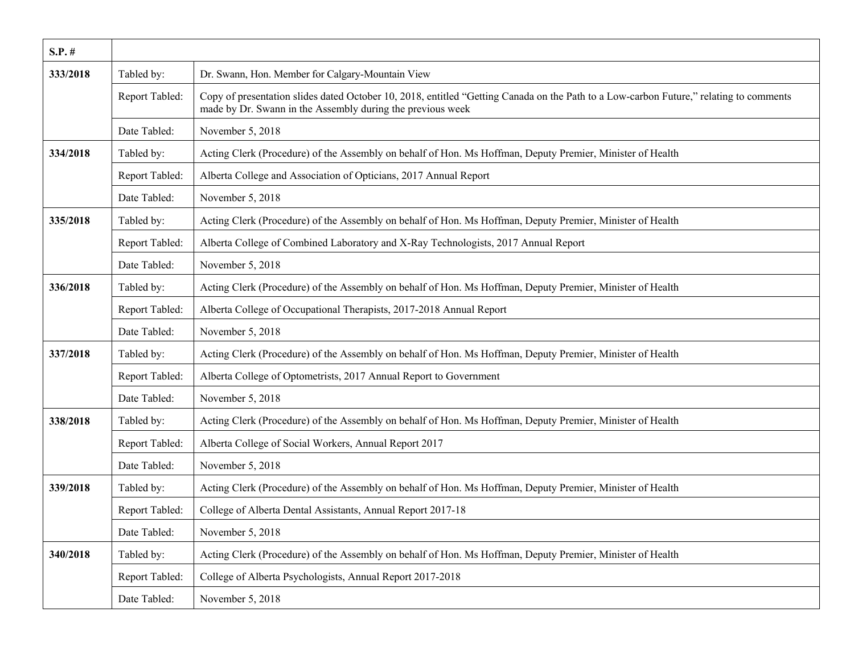| $S.P.$ # |                |                                                                                                                                                                                                      |
|----------|----------------|------------------------------------------------------------------------------------------------------------------------------------------------------------------------------------------------------|
| 333/2018 | Tabled by:     | Dr. Swann, Hon. Member for Calgary-Mountain View                                                                                                                                                     |
|          | Report Tabled: | Copy of presentation slides dated October 10, 2018, entitled "Getting Canada on the Path to a Low-carbon Future," relating to comments<br>made by Dr. Swann in the Assembly during the previous week |
|          | Date Tabled:   | November 5, 2018                                                                                                                                                                                     |
| 334/2018 | Tabled by:     | Acting Clerk (Procedure) of the Assembly on behalf of Hon. Ms Hoffman, Deputy Premier, Minister of Health                                                                                            |
|          | Report Tabled: | Alberta College and Association of Opticians, 2017 Annual Report                                                                                                                                     |
|          | Date Tabled:   | November 5, 2018                                                                                                                                                                                     |
| 335/2018 | Tabled by:     | Acting Clerk (Procedure) of the Assembly on behalf of Hon. Ms Hoffman, Deputy Premier, Minister of Health                                                                                            |
|          | Report Tabled: | Alberta College of Combined Laboratory and X-Ray Technologists, 2017 Annual Report                                                                                                                   |
|          | Date Tabled:   | November 5, 2018                                                                                                                                                                                     |
| 336/2018 | Tabled by:     | Acting Clerk (Procedure) of the Assembly on behalf of Hon. Ms Hoffman, Deputy Premier, Minister of Health                                                                                            |
|          | Report Tabled: | Alberta College of Occupational Therapists, 2017-2018 Annual Report                                                                                                                                  |
|          | Date Tabled:   | November 5, 2018                                                                                                                                                                                     |
| 337/2018 | Tabled by:     | Acting Clerk (Procedure) of the Assembly on behalf of Hon. Ms Hoffman, Deputy Premier, Minister of Health                                                                                            |
|          | Report Tabled: | Alberta College of Optometrists, 2017 Annual Report to Government                                                                                                                                    |
|          | Date Tabled:   | November 5, 2018                                                                                                                                                                                     |
| 338/2018 | Tabled by:     | Acting Clerk (Procedure) of the Assembly on behalf of Hon. Ms Hoffman, Deputy Premier, Minister of Health                                                                                            |
|          | Report Tabled: | Alberta College of Social Workers, Annual Report 2017                                                                                                                                                |
|          | Date Tabled:   | November 5, 2018                                                                                                                                                                                     |
| 339/2018 | Tabled by:     | Acting Clerk (Procedure) of the Assembly on behalf of Hon. Ms Hoffman, Deputy Premier, Minister of Health                                                                                            |
|          | Report Tabled: | College of Alberta Dental Assistants, Annual Report 2017-18                                                                                                                                          |
|          | Date Tabled:   | November 5, 2018                                                                                                                                                                                     |
| 340/2018 | Tabled by:     | Acting Clerk (Procedure) of the Assembly on behalf of Hon. Ms Hoffman, Deputy Premier, Minister of Health                                                                                            |
|          | Report Tabled: | College of Alberta Psychologists, Annual Report 2017-2018                                                                                                                                            |
|          | Date Tabled:   | November 5, 2018                                                                                                                                                                                     |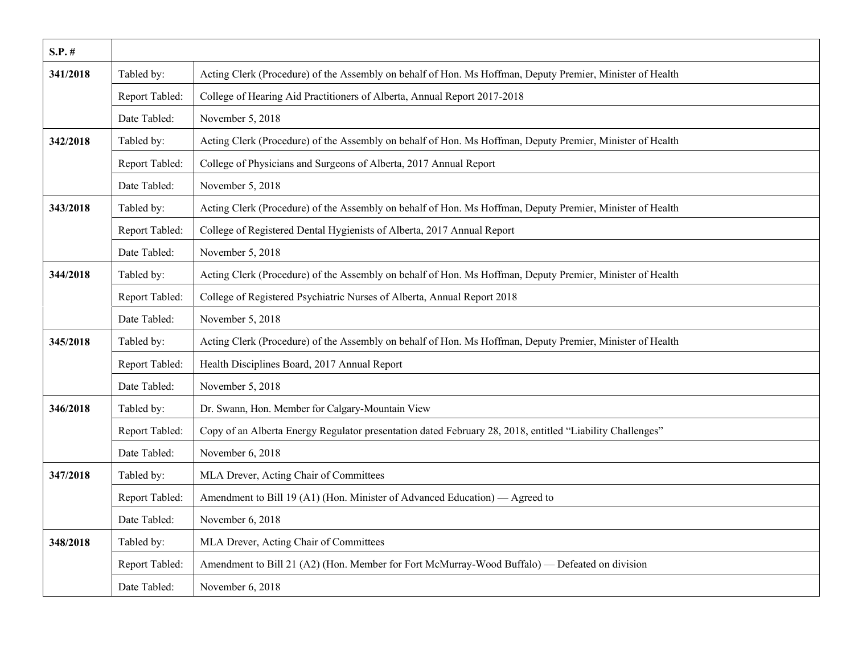| $S.P.$ # |                |                                                                                                           |
|----------|----------------|-----------------------------------------------------------------------------------------------------------|
| 341/2018 | Tabled by:     | Acting Clerk (Procedure) of the Assembly on behalf of Hon. Ms Hoffman, Deputy Premier, Minister of Health |
|          | Report Tabled: | College of Hearing Aid Practitioners of Alberta, Annual Report 2017-2018                                  |
|          | Date Tabled:   | November 5, 2018                                                                                          |
| 342/2018 | Tabled by:     | Acting Clerk (Procedure) of the Assembly on behalf of Hon. Ms Hoffman, Deputy Premier, Minister of Health |
|          | Report Tabled: | College of Physicians and Surgeons of Alberta, 2017 Annual Report                                         |
|          | Date Tabled:   | November 5, 2018                                                                                          |
| 343/2018 | Tabled by:     | Acting Clerk (Procedure) of the Assembly on behalf of Hon. Ms Hoffman, Deputy Premier, Minister of Health |
|          | Report Tabled: | College of Registered Dental Hygienists of Alberta, 2017 Annual Report                                    |
|          | Date Tabled:   | November 5, 2018                                                                                          |
| 344/2018 | Tabled by:     | Acting Clerk (Procedure) of the Assembly on behalf of Hon. Ms Hoffman, Deputy Premier, Minister of Health |
|          | Report Tabled: | College of Registered Psychiatric Nurses of Alberta, Annual Report 2018                                   |
|          | Date Tabled:   | November 5, 2018                                                                                          |
| 345/2018 | Tabled by:     | Acting Clerk (Procedure) of the Assembly on behalf of Hon. Ms Hoffman, Deputy Premier, Minister of Health |
|          | Report Tabled: | Health Disciplines Board, 2017 Annual Report                                                              |
|          | Date Tabled:   | November 5, 2018                                                                                          |
| 346/2018 | Tabled by:     | Dr. Swann, Hon. Member for Calgary-Mountain View                                                          |
|          | Report Tabled: | Copy of an Alberta Energy Regulator presentation dated February 28, 2018, entitled "Liability Challenges" |
|          | Date Tabled:   | November 6, 2018                                                                                          |
| 347/2018 | Tabled by:     | MLA Drever, Acting Chair of Committees                                                                    |
|          | Report Tabled: | Amendment to Bill 19 (A1) (Hon. Minister of Advanced Education) — Agreed to                               |
|          | Date Tabled:   | November 6, 2018                                                                                          |
| 348/2018 | Tabled by:     | MLA Drever, Acting Chair of Committees                                                                    |
|          | Report Tabled: | Amendment to Bill 21 (A2) (Hon. Member for Fort McMurray-Wood Buffalo) — Defeated on division             |
|          | Date Tabled:   | November 6, 2018                                                                                          |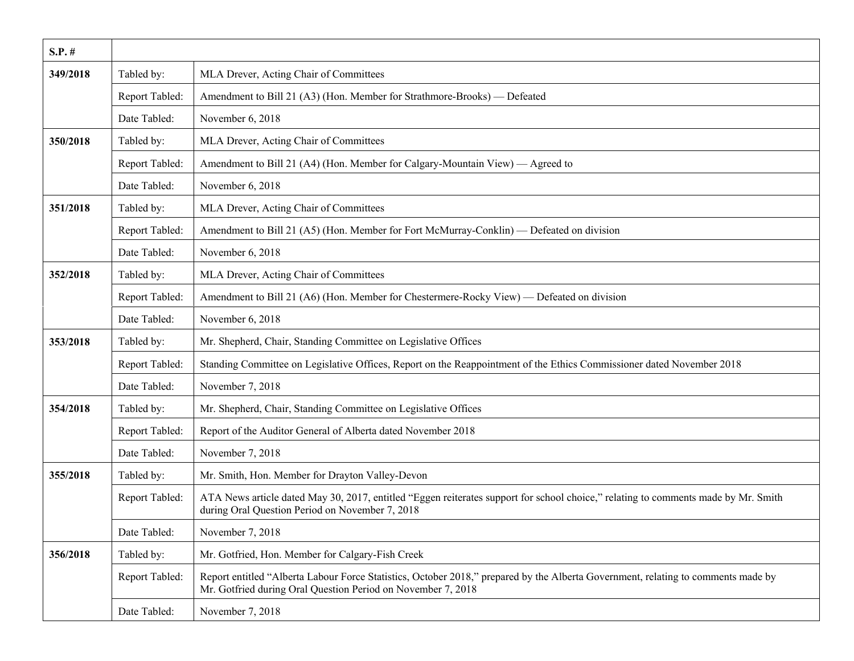| $S.P.$ # |                |                                                                                                                                                                                                   |
|----------|----------------|---------------------------------------------------------------------------------------------------------------------------------------------------------------------------------------------------|
| 349/2018 | Tabled by:     | MLA Drever, Acting Chair of Committees                                                                                                                                                            |
|          | Report Tabled: | Amendment to Bill 21 (A3) (Hon. Member for Strathmore-Brooks) — Defeated                                                                                                                          |
|          | Date Tabled:   | November 6, 2018                                                                                                                                                                                  |
| 350/2018 | Tabled by:     | MLA Drever, Acting Chair of Committees                                                                                                                                                            |
|          | Report Tabled: | Amendment to Bill 21 (A4) (Hon. Member for Calgary-Mountain View) — Agreed to                                                                                                                     |
|          | Date Tabled:   | November 6, 2018                                                                                                                                                                                  |
| 351/2018 | Tabled by:     | MLA Drever, Acting Chair of Committees                                                                                                                                                            |
|          | Report Tabled: | Amendment to Bill 21 (A5) (Hon. Member for Fort McMurray-Conklin) — Defeated on division                                                                                                          |
|          | Date Tabled:   | November 6, 2018                                                                                                                                                                                  |
| 352/2018 | Tabled by:     | MLA Drever, Acting Chair of Committees                                                                                                                                                            |
|          | Report Tabled: | Amendment to Bill 21 (A6) (Hon. Member for Chestermere-Rocky View) — Defeated on division                                                                                                         |
|          | Date Tabled:   | November 6, 2018                                                                                                                                                                                  |
| 353/2018 | Tabled by:     | Mr. Shepherd, Chair, Standing Committee on Legislative Offices                                                                                                                                    |
|          | Report Tabled: | Standing Committee on Legislative Offices, Report on the Reappointment of the Ethics Commissioner dated November 2018                                                                             |
|          | Date Tabled:   | November 7, 2018                                                                                                                                                                                  |
| 354/2018 | Tabled by:     | Mr. Shepherd, Chair, Standing Committee on Legislative Offices                                                                                                                                    |
|          | Report Tabled: | Report of the Auditor General of Alberta dated November 2018                                                                                                                                      |
|          | Date Tabled:   | November 7, 2018                                                                                                                                                                                  |
| 355/2018 | Tabled by:     | Mr. Smith, Hon. Member for Drayton Valley-Devon                                                                                                                                                   |
|          | Report Tabled: | ATA News article dated May 30, 2017, entitled "Eggen reiterates support for school choice," relating to comments made by Mr. Smith<br>during Oral Question Period on November 7, 2018             |
|          | Date Tabled:   | November 7, 2018                                                                                                                                                                                  |
| 356/2018 | Tabled by:     | Mr. Gotfried, Hon. Member for Calgary-Fish Creek                                                                                                                                                  |
|          | Report Tabled: | Report entitled "Alberta Labour Force Statistics, October 2018," prepared by the Alberta Government, relating to comments made by<br>Mr. Gotfried during Oral Question Period on November 7, 2018 |
|          | Date Tabled:   | November 7, 2018                                                                                                                                                                                  |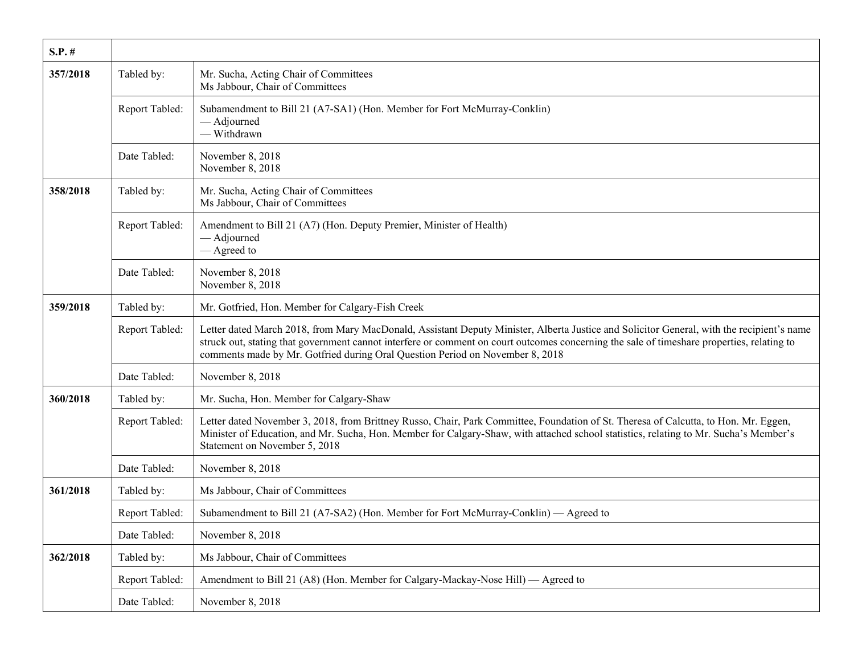| $S.P.$ # |                |                                                                                                                                                                                                                                                                                                                                                                          |
|----------|----------------|--------------------------------------------------------------------------------------------------------------------------------------------------------------------------------------------------------------------------------------------------------------------------------------------------------------------------------------------------------------------------|
| 357/2018 | Tabled by:     | Mr. Sucha, Acting Chair of Committees<br>Ms Jabbour, Chair of Committees                                                                                                                                                                                                                                                                                                 |
|          | Report Tabled: | Subamendment to Bill 21 (A7-SA1) (Hon. Member for Fort McMurray-Conklin)<br>- Adjourned<br>- Withdrawn                                                                                                                                                                                                                                                                   |
|          | Date Tabled:   | November 8, 2018<br>November 8, 2018                                                                                                                                                                                                                                                                                                                                     |
| 358/2018 | Tabled by:     | Mr. Sucha, Acting Chair of Committees<br>Ms Jabbour, Chair of Committees                                                                                                                                                                                                                                                                                                 |
|          | Report Tabled: | Amendment to Bill 21 (A7) (Hon. Deputy Premier, Minister of Health)<br>- Adjourned<br>— Agreed to                                                                                                                                                                                                                                                                        |
|          | Date Tabled:   | November 8, 2018<br>November 8, 2018                                                                                                                                                                                                                                                                                                                                     |
| 359/2018 | Tabled by:     | Mr. Gotfried, Hon. Member for Calgary-Fish Creek                                                                                                                                                                                                                                                                                                                         |
|          | Report Tabled: | Letter dated March 2018, from Mary MacDonald, Assistant Deputy Minister, Alberta Justice and Solicitor General, with the recipient's name<br>struck out, stating that government cannot interfere or comment on court outcomes concerning the sale of timeshare properties, relating to<br>comments made by Mr. Gotfried during Oral Question Period on November 8, 2018 |
|          | Date Tabled:   | November 8, 2018                                                                                                                                                                                                                                                                                                                                                         |
| 360/2018 | Tabled by:     | Mr. Sucha, Hon. Member for Calgary-Shaw                                                                                                                                                                                                                                                                                                                                  |
|          | Report Tabled: | Letter dated November 3, 2018, from Brittney Russo, Chair, Park Committee, Foundation of St. Theresa of Calcutta, to Hon. Mr. Eggen,<br>Minister of Education, and Mr. Sucha, Hon. Member for Calgary-Shaw, with attached school statistics, relating to Mr. Sucha's Member's<br>Statement on November 5, 2018                                                           |
|          | Date Tabled:   | November 8, 2018                                                                                                                                                                                                                                                                                                                                                         |
| 361/2018 | Tabled by:     | Ms Jabbour, Chair of Committees                                                                                                                                                                                                                                                                                                                                          |
|          | Report Tabled: | Subamendment to Bill 21 (A7-SA2) (Hon. Member for Fort McMurray-Conklin) — Agreed to                                                                                                                                                                                                                                                                                     |
|          | Date Tabled:   | November 8, 2018                                                                                                                                                                                                                                                                                                                                                         |
| 362/2018 | Tabled by:     | Ms Jabbour, Chair of Committees                                                                                                                                                                                                                                                                                                                                          |
|          | Report Tabled: | Amendment to Bill 21 (A8) (Hon. Member for Calgary-Mackay-Nose Hill) — Agreed to                                                                                                                                                                                                                                                                                         |
|          | Date Tabled:   | November 8, 2018                                                                                                                                                                                                                                                                                                                                                         |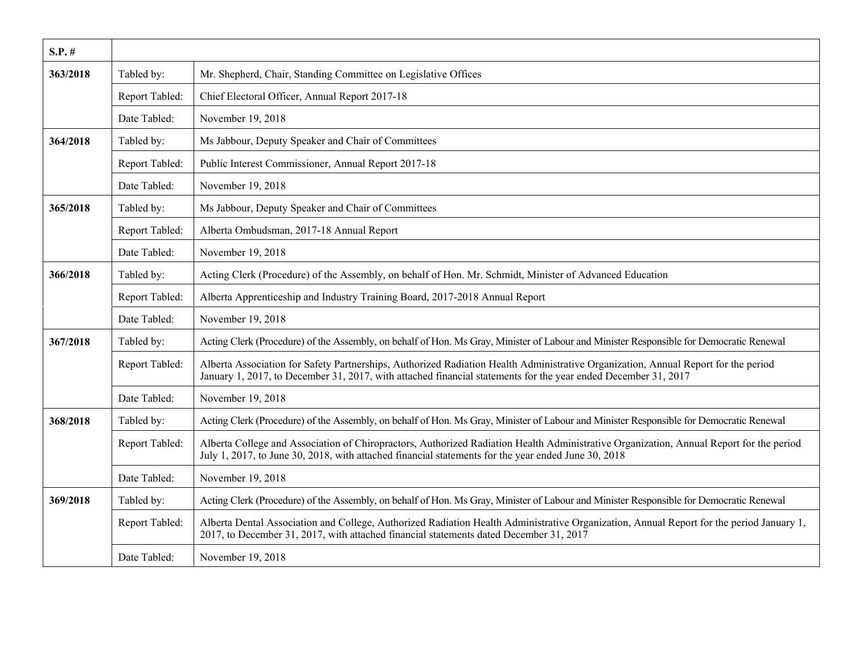| $S.P.$ # |                |                                                                                                                                                                                                                                                      |
|----------|----------------|------------------------------------------------------------------------------------------------------------------------------------------------------------------------------------------------------------------------------------------------------|
| 363/2018 | Tabled by:     | Mr. Shepherd, Chair, Standing Committee on Legislative Offices                                                                                                                                                                                       |
|          | Report Tabled: | Chief Electoral Officer, Annual Report 2017-18                                                                                                                                                                                                       |
|          | Date Tabled:   | November 19, 2018                                                                                                                                                                                                                                    |
| 364/2018 | Tabled by:     | Ms Jabbour, Deputy Speaker and Chair of Committees                                                                                                                                                                                                   |
|          | Report Tabled: | Public Interest Commissioner, Annual Report 2017-18                                                                                                                                                                                                  |
|          | Date Tabled:   | November 19, 2018                                                                                                                                                                                                                                    |
| 365/2018 | Tabled by:     | Ms Jabbour, Deputy Speaker and Chair of Committees                                                                                                                                                                                                   |
|          | Report Tabled: | Alberta Ombudsman, 2017-18 Annual Report                                                                                                                                                                                                             |
|          | Date Tabled:   | November 19, 2018                                                                                                                                                                                                                                    |
| 366/2018 | Tabled by:     | Acting Clerk (Procedure) of the Assembly, on behalf of Hon. Mr. Schmidt, Minister of Advanced Education                                                                                                                                              |
|          | Report Tabled: | Alberta Apprenticeship and Industry Training Board, 2017-2018 Annual Report                                                                                                                                                                          |
|          | Date Tabled:   | November 19, 2018                                                                                                                                                                                                                                    |
| 367/2018 | Tabled by:     | Acting Clerk (Procedure) of the Assembly, on behalf of Hon. Ms Gray, Minister of Labour and Minister Responsible for Democratic Renewal                                                                                                              |
|          | Report Tabled: | Alberta Association for Safety Partnerships, Authorized Radiation Health Administrative Organization, Annual Report for the period<br>January 1, 2017, to December 31, 2017, with attached financial statements for the year ended December 31, 2017 |
|          | Date Tabled:   | November 19, 2018                                                                                                                                                                                                                                    |
| 368/2018 | Tabled by:     | Acting Clerk (Procedure) of the Assembly, on behalf of Hon. Ms Gray, Minister of Labour and Minister Responsible for Democratic Renewal                                                                                                              |
|          | Report Tabled: | Alberta College and Association of Chiropractors, Authorized Radiation Health Administrative Organization, Annual Report for the period<br>July 1, 2017, to June 30, 2018, with attached financial statements for the year ended June 30, 2018       |
|          | Date Tabled:   | November 19, 2018                                                                                                                                                                                                                                    |
| 369/2018 | Tabled by:     | Acting Clerk (Procedure) of the Assembly, on behalf of Hon. Ms Gray, Minister of Labour and Minister Responsible for Democratic Renewal                                                                                                              |
|          | Report Tabled: | Alberta Dental Association and College, Authorized Radiation Health Administrative Organization, Annual Report for the period January 1,<br>2017, to December 31, 2017, with attached financial statements dated December 31, 2017                   |
|          | Date Tabled:   | November 19, 2018                                                                                                                                                                                                                                    |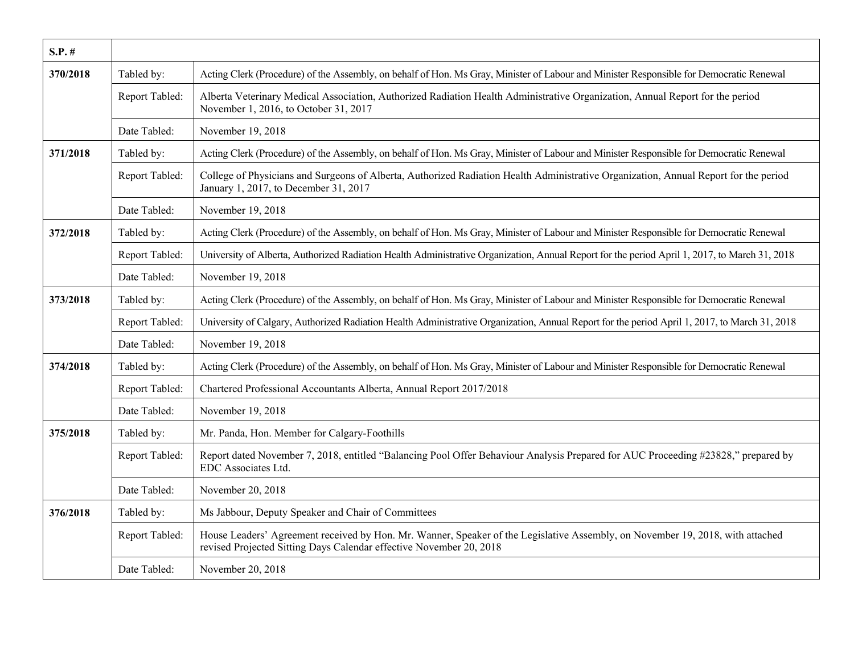| $S.P.$ # |                |                                                                                                                                                                                                       |
|----------|----------------|-------------------------------------------------------------------------------------------------------------------------------------------------------------------------------------------------------|
| 370/2018 | Tabled by:     | Acting Clerk (Procedure) of the Assembly, on behalf of Hon. Ms Gray, Minister of Labour and Minister Responsible for Democratic Renewal                                                               |
|          | Report Tabled: | Alberta Veterinary Medical Association, Authorized Radiation Health Administrative Organization, Annual Report for the period<br>November 1, 2016, to October 31, 2017                                |
|          | Date Tabled:   | November 19, 2018                                                                                                                                                                                     |
| 371/2018 | Tabled by:     | Acting Clerk (Procedure) of the Assembly, on behalf of Hon. Ms Gray, Minister of Labour and Minister Responsible for Democratic Renewal                                                               |
|          | Report Tabled: | College of Physicians and Surgeons of Alberta, Authorized Radiation Health Administrative Organization, Annual Report for the period<br>January 1, 2017, to December 31, 2017                         |
|          | Date Tabled:   | November 19, 2018                                                                                                                                                                                     |
| 372/2018 | Tabled by:     | Acting Clerk (Procedure) of the Assembly, on behalf of Hon. Ms Gray, Minister of Labour and Minister Responsible for Democratic Renewal                                                               |
|          | Report Tabled: | University of Alberta, Authorized Radiation Health Administrative Organization, Annual Report for the period April 1, 2017, to March 31, 2018                                                         |
|          | Date Tabled:   | November 19, 2018                                                                                                                                                                                     |
| 373/2018 | Tabled by:     | Acting Clerk (Procedure) of the Assembly, on behalf of Hon. Ms Gray, Minister of Labour and Minister Responsible for Democratic Renewal                                                               |
|          | Report Tabled: | University of Calgary, Authorized Radiation Health Administrative Organization, Annual Report for the period April 1, 2017, to March 31, 2018                                                         |
|          | Date Tabled:   | November 19, 2018                                                                                                                                                                                     |
| 374/2018 | Tabled by:     | Acting Clerk (Procedure) of the Assembly, on behalf of Hon. Ms Gray, Minister of Labour and Minister Responsible for Democratic Renewal                                                               |
|          | Report Tabled: | Chartered Professional Accountants Alberta, Annual Report 2017/2018                                                                                                                                   |
|          | Date Tabled:   | November 19, 2018                                                                                                                                                                                     |
| 375/2018 | Tabled by:     | Mr. Panda, Hon. Member for Calgary-Foothills                                                                                                                                                          |
|          | Report Tabled: | Report dated November 7, 2018, entitled "Balancing Pool Offer Behaviour Analysis Prepared for AUC Proceeding #23828," prepared by<br>EDC Associates Ltd.                                              |
|          | Date Tabled:   | November 20, 2018                                                                                                                                                                                     |
| 376/2018 | Tabled by:     | Ms Jabbour, Deputy Speaker and Chair of Committees                                                                                                                                                    |
|          | Report Tabled: | House Leaders' Agreement received by Hon. Mr. Wanner, Speaker of the Legislative Assembly, on November 19, 2018, with attached<br>revised Projected Sitting Days Calendar effective November 20, 2018 |
|          | Date Tabled:   | November 20, 2018                                                                                                                                                                                     |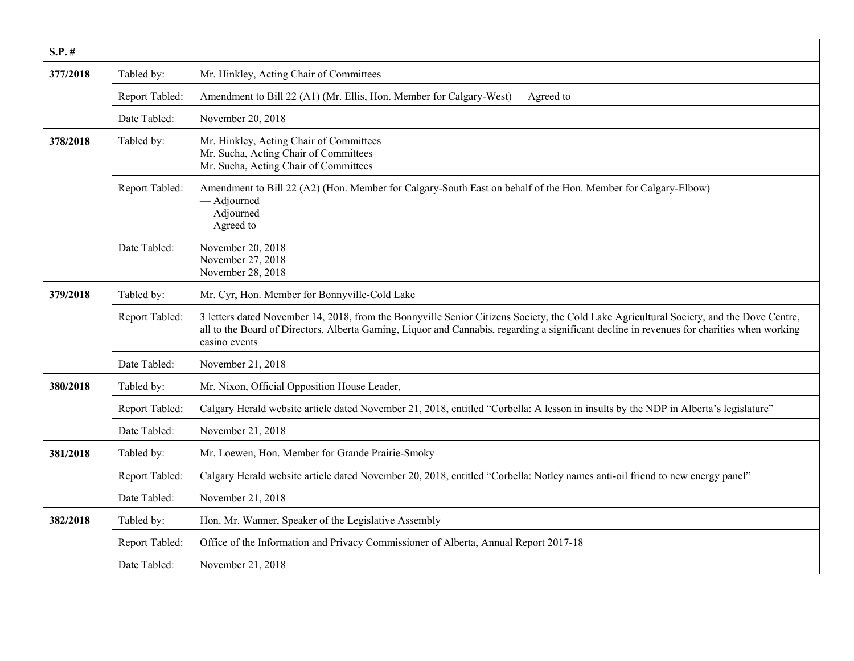| $S.P.$ # |                |                                                                                                                                                                                                                                                                                                         |
|----------|----------------|---------------------------------------------------------------------------------------------------------------------------------------------------------------------------------------------------------------------------------------------------------------------------------------------------------|
| 377/2018 | Tabled by:     | Mr. Hinkley, Acting Chair of Committees                                                                                                                                                                                                                                                                 |
|          | Report Tabled: | Amendment to Bill 22 (A1) (Mr. Ellis, Hon. Member for Calgary-West) — Agreed to                                                                                                                                                                                                                         |
|          | Date Tabled:   | November 20, 2018                                                                                                                                                                                                                                                                                       |
| 378/2018 | Tabled by:     | Mr. Hinkley, Acting Chair of Committees<br>Mr. Sucha, Acting Chair of Committees<br>Mr. Sucha, Acting Chair of Committees                                                                                                                                                                               |
|          | Report Tabled: | Amendment to Bill 22 (A2) (Hon. Member for Calgary-South East on behalf of the Hon. Member for Calgary-Elbow)<br>- Adjourned<br>- Adjourned<br>- Agreed to                                                                                                                                              |
|          | Date Tabled:   | November 20, 2018<br>November 27, 2018<br>November 28, 2018                                                                                                                                                                                                                                             |
| 379/2018 | Tabled by:     | Mr. Cyr, Hon. Member for Bonnyville-Cold Lake                                                                                                                                                                                                                                                           |
|          | Report Tabled: | 3 letters dated November 14, 2018, from the Bonnyville Senior Citizens Society, the Cold Lake Agricultural Society, and the Dove Centre,<br>all to the Board of Directors, Alberta Gaming, Liquor and Cannabis, regarding a significant decline in revenues for charities when working<br>casino events |
|          | Date Tabled:   | November 21, 2018                                                                                                                                                                                                                                                                                       |
| 380/2018 | Tabled by:     | Mr. Nixon, Official Opposition House Leader,                                                                                                                                                                                                                                                            |
|          | Report Tabled: | Calgary Herald website article dated November 21, 2018, entitled "Corbella: A lesson in insults by the NDP in Alberta's legislature"                                                                                                                                                                    |
|          | Date Tabled:   | November 21, 2018                                                                                                                                                                                                                                                                                       |
| 381/2018 | Tabled by:     | Mr. Loewen, Hon. Member for Grande Prairie-Smoky                                                                                                                                                                                                                                                        |
|          | Report Tabled: | Calgary Herald website article dated November 20, 2018, entitled "Corbella: Notley names anti-oil friend to new energy panel"                                                                                                                                                                           |
|          | Date Tabled:   | November 21, 2018                                                                                                                                                                                                                                                                                       |
| 382/2018 | Tabled by:     | Hon. Mr. Wanner, Speaker of the Legislative Assembly                                                                                                                                                                                                                                                    |
|          | Report Tabled: | Office of the Information and Privacy Commissioner of Alberta, Annual Report 2017-18                                                                                                                                                                                                                    |
|          | Date Tabled:   | November 21, 2018                                                                                                                                                                                                                                                                                       |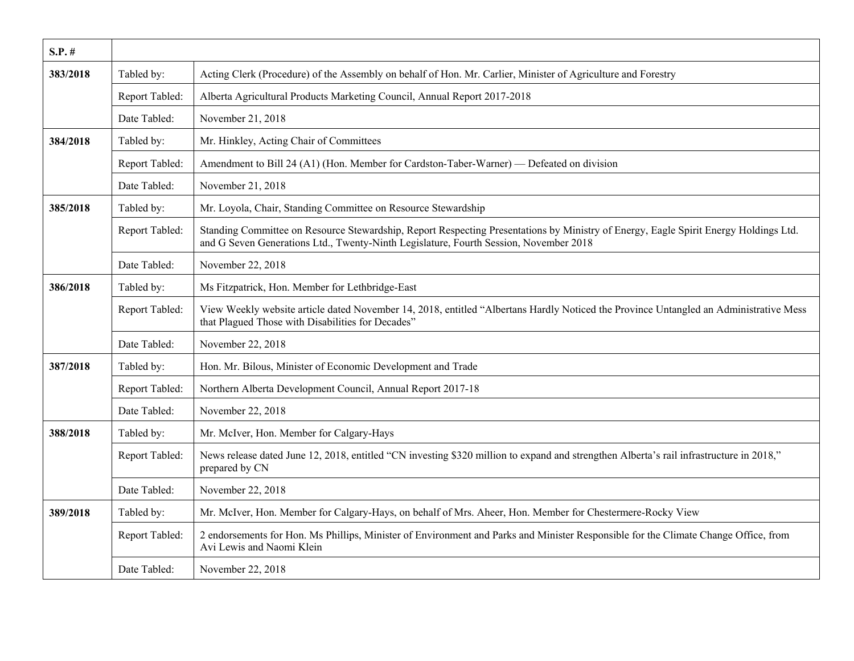| $S.P.$ # |                |                                                                                                                                                                                                                               |
|----------|----------------|-------------------------------------------------------------------------------------------------------------------------------------------------------------------------------------------------------------------------------|
| 383/2018 | Tabled by:     | Acting Clerk (Procedure) of the Assembly on behalf of Hon. Mr. Carlier, Minister of Agriculture and Forestry                                                                                                                  |
|          | Report Tabled: | Alberta Agricultural Products Marketing Council, Annual Report 2017-2018                                                                                                                                                      |
|          | Date Tabled:   | November 21, 2018                                                                                                                                                                                                             |
| 384/2018 | Tabled by:     | Mr. Hinkley, Acting Chair of Committees                                                                                                                                                                                       |
|          | Report Tabled: | Amendment to Bill 24 (A1) (Hon. Member for Cardston-Taber-Warner) — Defeated on division                                                                                                                                      |
|          | Date Tabled:   | November 21, 2018                                                                                                                                                                                                             |
| 385/2018 | Tabled by:     | Mr. Loyola, Chair, Standing Committee on Resource Stewardship                                                                                                                                                                 |
|          | Report Tabled: | Standing Committee on Resource Stewardship, Report Respecting Presentations by Ministry of Energy, Eagle Spirit Energy Holdings Ltd.<br>and G Seven Generations Ltd., Twenty-Ninth Legislature, Fourth Session, November 2018 |
|          | Date Tabled:   | November 22, 2018                                                                                                                                                                                                             |
| 386/2018 | Tabled by:     | Ms Fitzpatrick, Hon. Member for Lethbridge-East                                                                                                                                                                               |
|          | Report Tabled: | View Weekly website article dated November 14, 2018, entitled "Albertans Hardly Noticed the Province Untangled an Administrative Mess<br>that Plagued Those with Disabilities for Decades"                                    |
|          | Date Tabled:   | November 22, 2018                                                                                                                                                                                                             |
| 387/2018 | Tabled by:     | Hon. Mr. Bilous, Minister of Economic Development and Trade                                                                                                                                                                   |
|          | Report Tabled: | Northern Alberta Development Council, Annual Report 2017-18                                                                                                                                                                   |
|          | Date Tabled:   | November 22, 2018                                                                                                                                                                                                             |
| 388/2018 | Tabled by:     | Mr. McIver, Hon. Member for Calgary-Hays                                                                                                                                                                                      |
|          | Report Tabled: | News release dated June 12, 2018, entitled "CN investing \$320 million to expand and strengthen Alberta's rail infrastructure in 2018,"<br>prepared by CN                                                                     |
|          | Date Tabled:   | November 22, 2018                                                                                                                                                                                                             |
| 389/2018 | Tabled by:     | Mr. McIver, Hon. Member for Calgary-Hays, on behalf of Mrs. Aheer, Hon. Member for Chestermere-Rocky View                                                                                                                     |
|          | Report Tabled: | 2 endorsements for Hon. Ms Phillips, Minister of Environment and Parks and Minister Responsible for the Climate Change Office, from<br>Avi Lewis and Naomi Klein                                                              |
|          | Date Tabled:   | November 22, 2018                                                                                                                                                                                                             |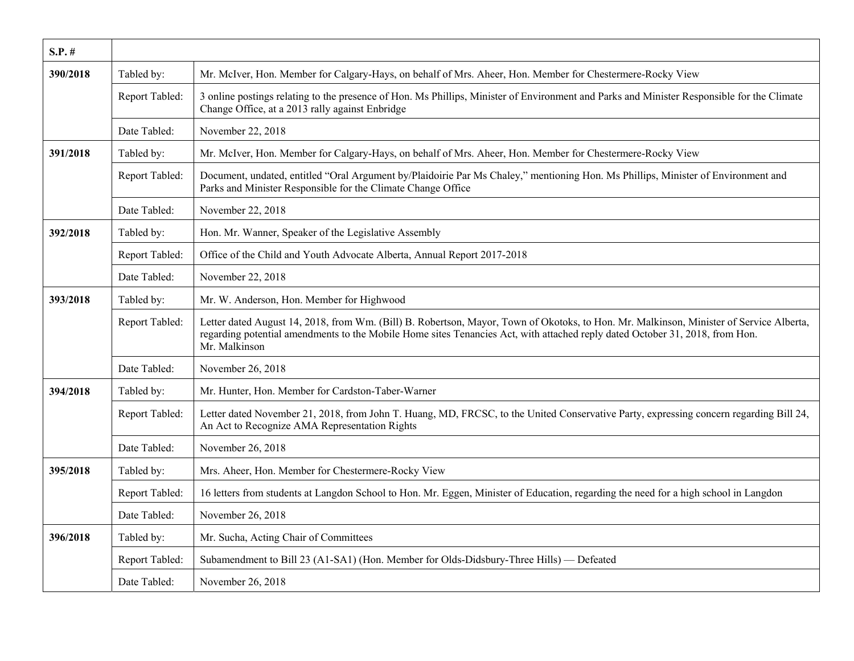| $S.P.$ # |                |                                                                                                                                                                                                                                                                                          |
|----------|----------------|------------------------------------------------------------------------------------------------------------------------------------------------------------------------------------------------------------------------------------------------------------------------------------------|
| 390/2018 | Tabled by:     | Mr. McIver, Hon. Member for Calgary-Hays, on behalf of Mrs. Aheer, Hon. Member for Chestermere-Rocky View                                                                                                                                                                                |
|          | Report Tabled: | 3 online postings relating to the presence of Hon. Ms Phillips, Minister of Environment and Parks and Minister Responsible for the Climate<br>Change Office, at a 2013 rally against Enbridge                                                                                            |
|          | Date Tabled:   | November 22, 2018                                                                                                                                                                                                                                                                        |
| 391/2018 | Tabled by:     | Mr. McIver, Hon. Member for Calgary-Hays, on behalf of Mrs. Aheer, Hon. Member for Chestermere-Rocky View                                                                                                                                                                                |
|          | Report Tabled: | Document, undated, entitled "Oral Argument by/Plaidoirie Par Ms Chaley," mentioning Hon. Ms Phillips, Minister of Environment and<br>Parks and Minister Responsible for the Climate Change Office                                                                                        |
|          | Date Tabled:   | November 22, 2018                                                                                                                                                                                                                                                                        |
| 392/2018 | Tabled by:     | Hon. Mr. Wanner, Speaker of the Legislative Assembly                                                                                                                                                                                                                                     |
|          | Report Tabled: | Office of the Child and Youth Advocate Alberta, Annual Report 2017-2018                                                                                                                                                                                                                  |
|          | Date Tabled:   | November 22, 2018                                                                                                                                                                                                                                                                        |
| 393/2018 | Tabled by:     | Mr. W. Anderson, Hon. Member for Highwood                                                                                                                                                                                                                                                |
|          | Report Tabled: | Letter dated August 14, 2018, from Wm. (Bill) B. Robertson, Mayor, Town of Okotoks, to Hon. Mr. Malkinson, Minister of Service Alberta,<br>regarding potential amendments to the Mobile Home sites Tenancies Act, with attached reply dated October 31, 2018, from Hon.<br>Mr. Malkinson |
|          | Date Tabled:   | November 26, 2018                                                                                                                                                                                                                                                                        |
| 394/2018 | Tabled by:     | Mr. Hunter, Hon. Member for Cardston-Taber-Warner                                                                                                                                                                                                                                        |
|          | Report Tabled: | Letter dated November 21, 2018, from John T. Huang, MD, FRCSC, to the United Conservative Party, expressing concern regarding Bill 24,<br>An Act to Recognize AMA Representation Rights                                                                                                  |
|          | Date Tabled:   | November 26, 2018                                                                                                                                                                                                                                                                        |
| 395/2018 | Tabled by:     | Mrs. Aheer, Hon. Member for Chestermere-Rocky View                                                                                                                                                                                                                                       |
|          | Report Tabled: | 16 letters from students at Langdon School to Hon. Mr. Eggen, Minister of Education, regarding the need for a high school in Langdon                                                                                                                                                     |
|          | Date Tabled:   | November 26, 2018                                                                                                                                                                                                                                                                        |
| 396/2018 | Tabled by:     | Mr. Sucha, Acting Chair of Committees                                                                                                                                                                                                                                                    |
|          | Report Tabled: | Subamendment to Bill 23 (A1-SA1) (Hon. Member for Olds-Didsbury-Three Hills) — Defeated                                                                                                                                                                                                  |
|          | Date Tabled:   | November 26, 2018                                                                                                                                                                                                                                                                        |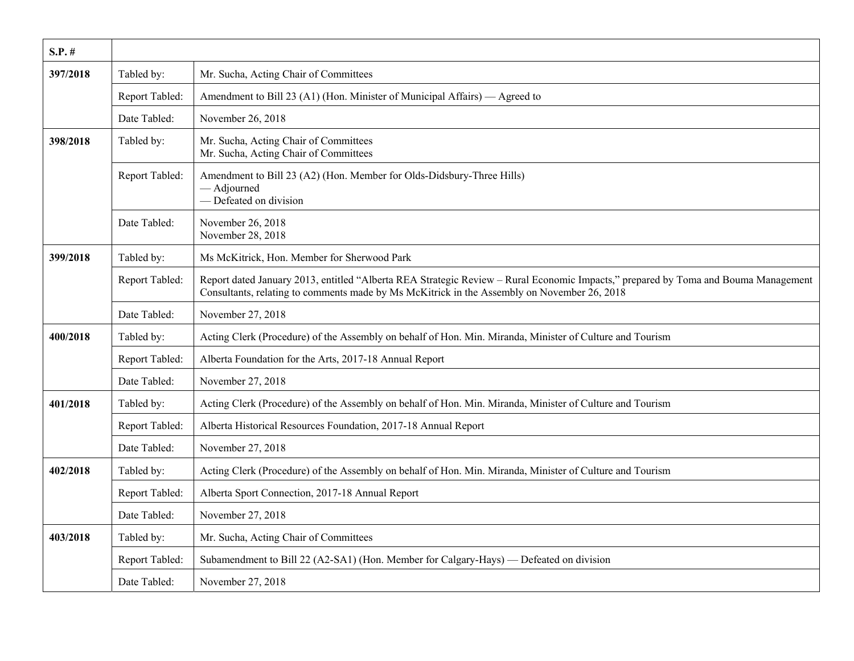| $S.P.$ # |                |                                                                                                                                                                                                                                   |
|----------|----------------|-----------------------------------------------------------------------------------------------------------------------------------------------------------------------------------------------------------------------------------|
| 397/2018 | Tabled by:     | Mr. Sucha, Acting Chair of Committees                                                                                                                                                                                             |
|          | Report Tabled: | Amendment to Bill 23 (A1) (Hon. Minister of Municipal Affairs) — Agreed to                                                                                                                                                        |
|          | Date Tabled:   | November 26, 2018                                                                                                                                                                                                                 |
| 398/2018 | Tabled by:     | Mr. Sucha, Acting Chair of Committees<br>Mr. Sucha, Acting Chair of Committees                                                                                                                                                    |
|          | Report Tabled: | Amendment to Bill 23 (A2) (Hon. Member for Olds-Didsbury-Three Hills)<br>- Adjourned<br>- Defeated on division                                                                                                                    |
|          | Date Tabled:   | November 26, 2018<br>November 28, 2018                                                                                                                                                                                            |
| 399/2018 | Tabled by:     | Ms McKitrick, Hon. Member for Sherwood Park                                                                                                                                                                                       |
|          | Report Tabled: | Report dated January 2013, entitled "Alberta REA Strategic Review – Rural Economic Impacts," prepared by Toma and Bouma Management<br>Consultants, relating to comments made by Ms McKitrick in the Assembly on November 26, 2018 |
|          | Date Tabled:   | November 27, 2018                                                                                                                                                                                                                 |
| 400/2018 | Tabled by:     | Acting Clerk (Procedure) of the Assembly on behalf of Hon. Min. Miranda, Minister of Culture and Tourism                                                                                                                          |
|          | Report Tabled: | Alberta Foundation for the Arts, 2017-18 Annual Report                                                                                                                                                                            |
|          | Date Tabled:   | November 27, 2018                                                                                                                                                                                                                 |
| 401/2018 | Tabled by:     | Acting Clerk (Procedure) of the Assembly on behalf of Hon. Min. Miranda, Minister of Culture and Tourism                                                                                                                          |
|          | Report Tabled: | Alberta Historical Resources Foundation, 2017-18 Annual Report                                                                                                                                                                    |
|          | Date Tabled:   | November 27, 2018                                                                                                                                                                                                                 |
| 402/2018 | Tabled by:     | Acting Clerk (Procedure) of the Assembly on behalf of Hon. Min. Miranda, Minister of Culture and Tourism                                                                                                                          |
|          | Report Tabled: | Alberta Sport Connection, 2017-18 Annual Report                                                                                                                                                                                   |
|          | Date Tabled:   | November 27, 2018                                                                                                                                                                                                                 |
| 403/2018 | Tabled by:     | Mr. Sucha, Acting Chair of Committees                                                                                                                                                                                             |
|          | Report Tabled: | Subamendment to Bill 22 (A2-SA1) (Hon. Member for Calgary-Hays) — Defeated on division                                                                                                                                            |
|          | Date Tabled:   | November 27, 2018                                                                                                                                                                                                                 |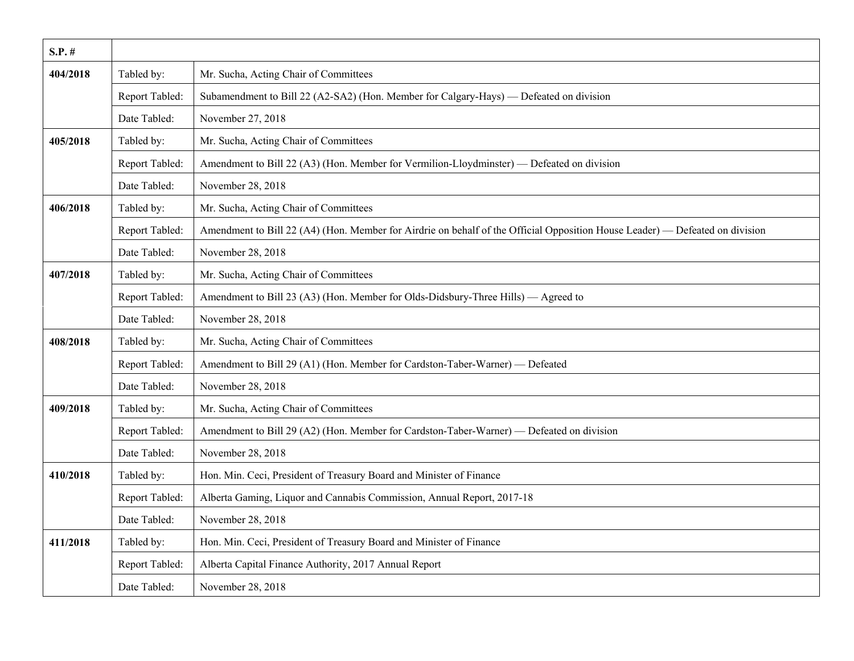| $S.P.$ # |                |                                                                                                                              |
|----------|----------------|------------------------------------------------------------------------------------------------------------------------------|
| 404/2018 | Tabled by:     | Mr. Sucha, Acting Chair of Committees                                                                                        |
|          | Report Tabled: | Subamendment to Bill 22 (A2-SA2) (Hon. Member for Calgary-Hays) — Defeated on division                                       |
|          | Date Tabled:   | November 27, 2018                                                                                                            |
| 405/2018 | Tabled by:     | Mr. Sucha, Acting Chair of Committees                                                                                        |
|          | Report Tabled: | Amendment to Bill 22 (A3) (Hon. Member for Vermilion-Lloydminster) — Defeated on division                                    |
|          | Date Tabled:   | November 28, 2018                                                                                                            |
| 406/2018 | Tabled by:     | Mr. Sucha, Acting Chair of Committees                                                                                        |
|          | Report Tabled: | Amendment to Bill 22 (A4) (Hon. Member for Airdrie on behalf of the Official Opposition House Leader) — Defeated on division |
|          | Date Tabled:   | November 28, 2018                                                                                                            |
| 407/2018 | Tabled by:     | Mr. Sucha, Acting Chair of Committees                                                                                        |
|          | Report Tabled: | Amendment to Bill 23 (A3) (Hon. Member for Olds-Didsbury-Three Hills) — Agreed to                                            |
|          | Date Tabled:   | November 28, 2018                                                                                                            |
| 408/2018 | Tabled by:     | Mr. Sucha, Acting Chair of Committees                                                                                        |
|          | Report Tabled: | Amendment to Bill 29 (A1) (Hon. Member for Cardston-Taber-Warner) — Defeated                                                 |
|          | Date Tabled:   | November 28, 2018                                                                                                            |
| 409/2018 | Tabled by:     | Mr. Sucha, Acting Chair of Committees                                                                                        |
|          | Report Tabled: | Amendment to Bill 29 (A2) (Hon. Member for Cardston-Taber-Warner) — Defeated on division                                     |
|          | Date Tabled:   | November 28, 2018                                                                                                            |
| 410/2018 | Tabled by:     | Hon. Min. Ceci, President of Treasury Board and Minister of Finance                                                          |
|          | Report Tabled: | Alberta Gaming, Liquor and Cannabis Commission, Annual Report, 2017-18                                                       |
|          | Date Tabled:   | November 28, 2018                                                                                                            |
| 411/2018 | Tabled by:     | Hon. Min. Ceci, President of Treasury Board and Minister of Finance                                                          |
|          | Report Tabled: | Alberta Capital Finance Authority, 2017 Annual Report                                                                        |
|          | Date Tabled:   | November 28, 2018                                                                                                            |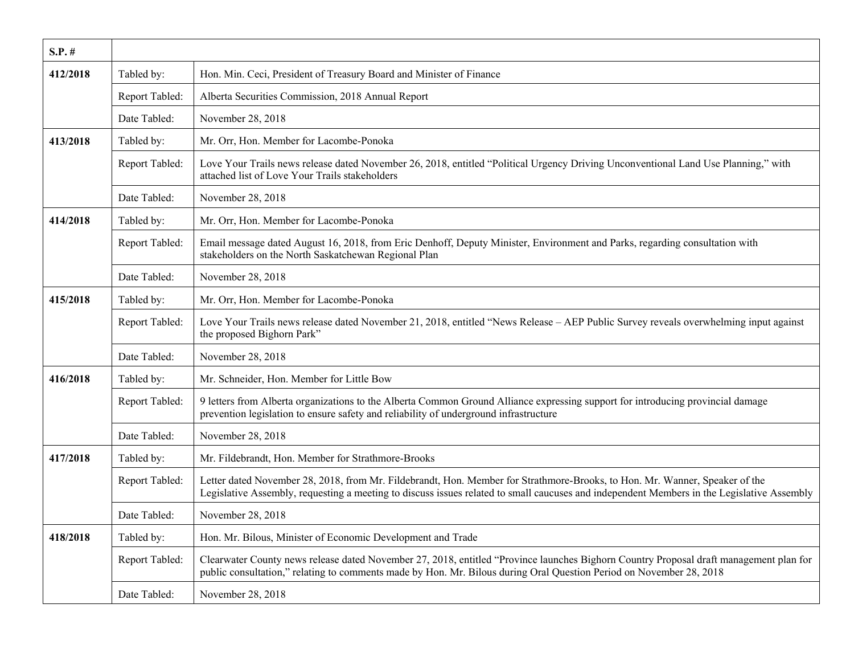| $S.P.$ # |                |                                                                                                                                                                                                                                                                           |
|----------|----------------|---------------------------------------------------------------------------------------------------------------------------------------------------------------------------------------------------------------------------------------------------------------------------|
| 412/2018 | Tabled by:     | Hon. Min. Ceci, President of Treasury Board and Minister of Finance                                                                                                                                                                                                       |
|          | Report Tabled: | Alberta Securities Commission, 2018 Annual Report                                                                                                                                                                                                                         |
|          | Date Tabled:   | November 28, 2018                                                                                                                                                                                                                                                         |
| 413/2018 | Tabled by:     | Mr. Orr, Hon. Member for Lacombe-Ponoka                                                                                                                                                                                                                                   |
|          | Report Tabled: | Love Your Trails news release dated November 26, 2018, entitled "Political Urgency Driving Unconventional Land Use Planning," with<br>attached list of Love Your Trails stakeholders                                                                                      |
|          | Date Tabled:   | November 28, 2018                                                                                                                                                                                                                                                         |
| 414/2018 | Tabled by:     | Mr. Orr, Hon. Member for Lacombe-Ponoka                                                                                                                                                                                                                                   |
|          | Report Tabled: | Email message dated August 16, 2018, from Eric Denhoff, Deputy Minister, Environment and Parks, regarding consultation with<br>stakeholders on the North Saskatchewan Regional Plan                                                                                       |
|          | Date Tabled:   | November 28, 2018                                                                                                                                                                                                                                                         |
| 415/2018 | Tabled by:     | Mr. Orr, Hon. Member for Lacombe-Ponoka                                                                                                                                                                                                                                   |
|          | Report Tabled: | Love Your Trails news release dated November 21, 2018, entitled "News Release - AEP Public Survey reveals overwhelming input against<br>the proposed Bighorn Park"                                                                                                        |
|          | Date Tabled:   | November 28, 2018                                                                                                                                                                                                                                                         |
| 416/2018 | Tabled by:     | Mr. Schneider, Hon. Member for Little Bow                                                                                                                                                                                                                                 |
|          | Report Tabled: | 9 letters from Alberta organizations to the Alberta Common Ground Alliance expressing support for introducing provincial damage<br>prevention legislation to ensure safety and reliability of underground infrastructure                                                  |
|          | Date Tabled:   | November 28, 2018                                                                                                                                                                                                                                                         |
| 417/2018 | Tabled by:     | Mr. Fildebrandt, Hon. Member for Strathmore-Brooks                                                                                                                                                                                                                        |
|          | Report Tabled: | Letter dated November 28, 2018, from Mr. Fildebrandt, Hon. Member for Strathmore-Brooks, to Hon. Mr. Wanner, Speaker of the<br>Legislative Assembly, requesting a meeting to discuss issues related to small caucuses and independent Members in the Legislative Assembly |
|          | Date Tabled:   | November 28, 2018                                                                                                                                                                                                                                                         |
| 418/2018 | Tabled by:     | Hon. Mr. Bilous, Minister of Economic Development and Trade                                                                                                                                                                                                               |
|          | Report Tabled: | Clearwater County news release dated November 27, 2018, entitled "Province launches Bighorn Country Proposal draft management plan for<br>public consultation," relating to comments made by Hon. Mr. Bilous during Oral Question Period on November 28, 2018             |
|          | Date Tabled:   | November 28, 2018                                                                                                                                                                                                                                                         |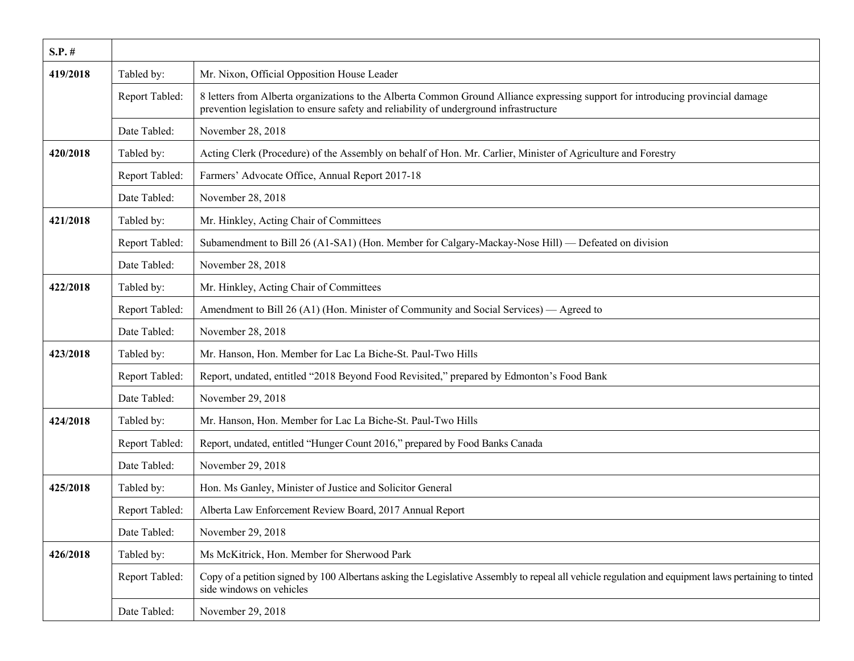| $S.P.$ # |                |                                                                                                                                                                                                                          |
|----------|----------------|--------------------------------------------------------------------------------------------------------------------------------------------------------------------------------------------------------------------------|
| 419/2018 | Tabled by:     | Mr. Nixon, Official Opposition House Leader                                                                                                                                                                              |
|          | Report Tabled: | 8 letters from Alberta organizations to the Alberta Common Ground Alliance expressing support for introducing provincial damage<br>prevention legislation to ensure safety and reliability of underground infrastructure |
|          | Date Tabled:   | November 28, 2018                                                                                                                                                                                                        |
| 420/2018 | Tabled by:     | Acting Clerk (Procedure) of the Assembly on behalf of Hon. Mr. Carlier, Minister of Agriculture and Forestry                                                                                                             |
|          | Report Tabled: | Farmers' Advocate Office, Annual Report 2017-18                                                                                                                                                                          |
|          | Date Tabled:   | November 28, 2018                                                                                                                                                                                                        |
| 421/2018 | Tabled by:     | Mr. Hinkley, Acting Chair of Committees                                                                                                                                                                                  |
|          | Report Tabled: | Subamendment to Bill 26 (A1-SA1) (Hon. Member for Calgary-Mackay-Nose Hill) — Defeated on division                                                                                                                       |
|          | Date Tabled:   | November 28, 2018                                                                                                                                                                                                        |
| 422/2018 | Tabled by:     | Mr. Hinkley, Acting Chair of Committees                                                                                                                                                                                  |
|          | Report Tabled: | Amendment to Bill 26 (A1) (Hon. Minister of Community and Social Services) — Agreed to                                                                                                                                   |
|          | Date Tabled:   | November 28, 2018                                                                                                                                                                                                        |
| 423/2018 | Tabled by:     | Mr. Hanson, Hon. Member for Lac La Biche-St. Paul-Two Hills                                                                                                                                                              |
|          | Report Tabled: | Report, undated, entitled "2018 Beyond Food Revisited," prepared by Edmonton's Food Bank                                                                                                                                 |
|          | Date Tabled:   | November 29, 2018                                                                                                                                                                                                        |
| 424/2018 | Tabled by:     | Mr. Hanson, Hon. Member for Lac La Biche-St. Paul-Two Hills                                                                                                                                                              |
|          | Report Tabled: | Report, undated, entitled "Hunger Count 2016," prepared by Food Banks Canada                                                                                                                                             |
|          | Date Tabled:   | November 29, 2018                                                                                                                                                                                                        |
| 425/2018 | Tabled by:     | Hon. Ms Ganley, Minister of Justice and Solicitor General                                                                                                                                                                |
|          | Report Tabled: | Alberta Law Enforcement Review Board, 2017 Annual Report                                                                                                                                                                 |
|          | Date Tabled:   | November 29, 2018                                                                                                                                                                                                        |
| 426/2018 | Tabled by:     | Ms McKitrick, Hon. Member for Sherwood Park                                                                                                                                                                              |
|          | Report Tabled: | Copy of a petition signed by 100 Albertans asking the Legislative Assembly to repeal all vehicle regulation and equipment laws pertaining to tinted<br>side windows on vehicles                                          |
|          | Date Tabled:   | November 29, 2018                                                                                                                                                                                                        |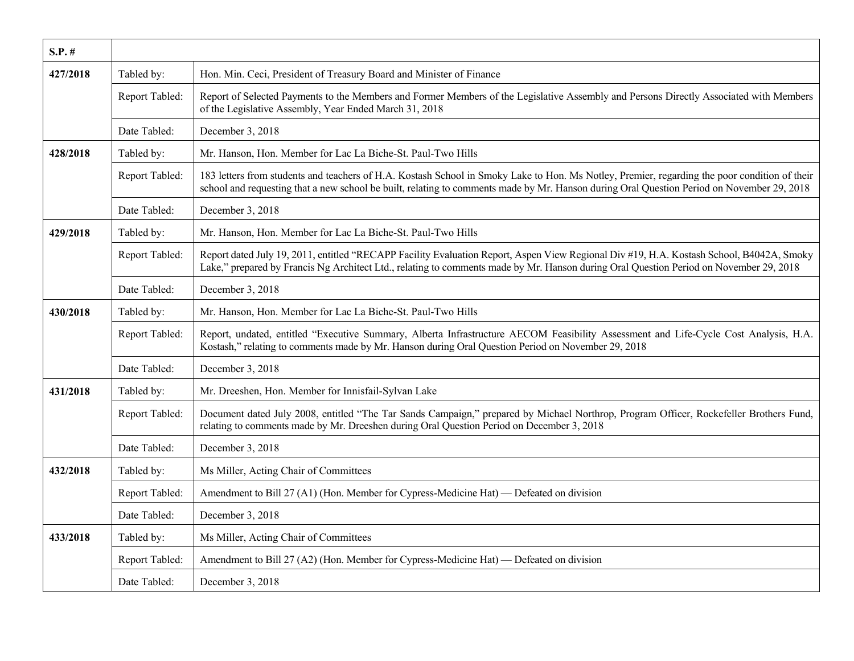| $S.P.$ # |                |                                                                                                                                                                                                                                                                                             |
|----------|----------------|---------------------------------------------------------------------------------------------------------------------------------------------------------------------------------------------------------------------------------------------------------------------------------------------|
| 427/2018 | Tabled by:     | Hon. Min. Ceci, President of Treasury Board and Minister of Finance                                                                                                                                                                                                                         |
|          | Report Tabled: | Report of Selected Payments to the Members and Former Members of the Legislative Assembly and Persons Directly Associated with Members<br>of the Legislative Assembly, Year Ended March 31, 2018                                                                                            |
|          | Date Tabled:   | December 3, 2018                                                                                                                                                                                                                                                                            |
| 428/2018 | Tabled by:     | Mr. Hanson, Hon. Member for Lac La Biche-St. Paul-Two Hills                                                                                                                                                                                                                                 |
|          | Report Tabled: | 183 letters from students and teachers of H.A. Kostash School in Smoky Lake to Hon. Ms Notley, Premier, regarding the poor condition of their<br>school and requesting that a new school be built, relating to comments made by Mr. Hanson during Oral Question Period on November 29, 2018 |
|          | Date Tabled:   | December 3, 2018                                                                                                                                                                                                                                                                            |
| 429/2018 | Tabled by:     | Mr. Hanson, Hon. Member for Lac La Biche-St. Paul-Two Hills                                                                                                                                                                                                                                 |
|          | Report Tabled: | Report dated July 19, 2011, entitled "RECAPP Facility Evaluation Report, Aspen View Regional Div #19, H.A. Kostash School, B4042A, Smoky<br>Lake," prepared by Francis Ng Architect Ltd., relating to comments made by Mr. Hanson during Oral Question Period on November 29, 2018          |
|          | Date Tabled:   | December 3, 2018                                                                                                                                                                                                                                                                            |
| 430/2018 | Tabled by:     | Mr. Hanson, Hon. Member for Lac La Biche-St. Paul-Two Hills                                                                                                                                                                                                                                 |
|          | Report Tabled: | Report, undated, entitled "Executive Summary, Alberta Infrastructure AECOM Feasibility Assessment and Life-Cycle Cost Analysis, H.A.<br>Kostash," relating to comments made by Mr. Hanson during Oral Question Period on November 29, 2018                                                  |
|          | Date Tabled:   | December 3, 2018                                                                                                                                                                                                                                                                            |
| 431/2018 | Tabled by:     | Mr. Dreeshen, Hon. Member for Innisfail-Sylvan Lake                                                                                                                                                                                                                                         |
|          | Report Tabled: | Document dated July 2008, entitled "The Tar Sands Campaign," prepared by Michael Northrop, Program Officer, Rockefeller Brothers Fund,<br>relating to comments made by Mr. Dreeshen during Oral Question Period on December 3, 2018                                                         |
|          | Date Tabled:   | December 3, 2018                                                                                                                                                                                                                                                                            |
| 432/2018 | Tabled by:     | Ms Miller, Acting Chair of Committees                                                                                                                                                                                                                                                       |
|          | Report Tabled: | Amendment to Bill 27 (A1) (Hon. Member for Cypress-Medicine Hat) — Defeated on division                                                                                                                                                                                                     |
|          | Date Tabled:   | December 3, 2018                                                                                                                                                                                                                                                                            |
| 433/2018 | Tabled by:     | Ms Miller, Acting Chair of Committees                                                                                                                                                                                                                                                       |
|          | Report Tabled: | Amendment to Bill 27 (A2) (Hon. Member for Cypress-Medicine Hat) — Defeated on division                                                                                                                                                                                                     |
|          | Date Tabled:   | December 3, 2018                                                                                                                                                                                                                                                                            |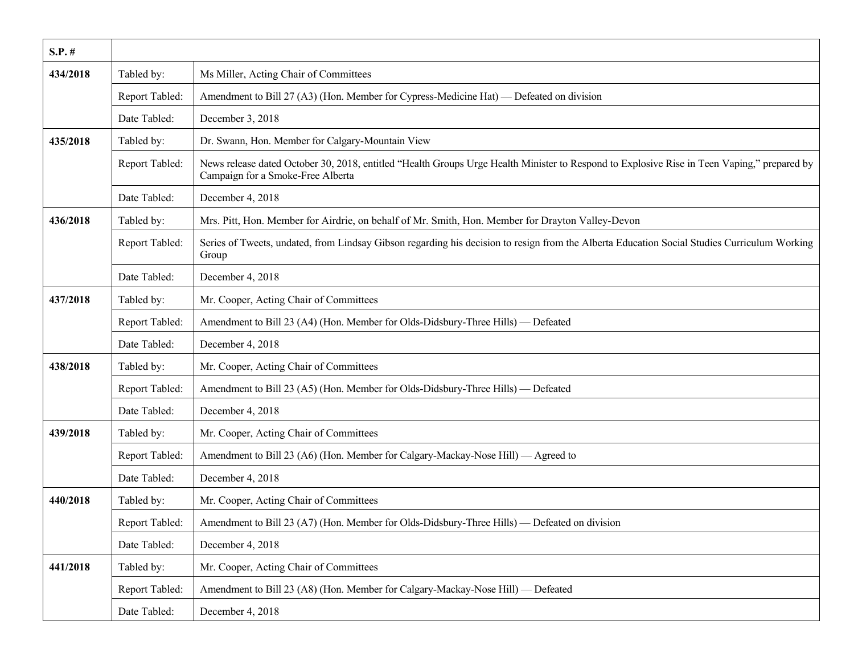| $S.P.$ # |                |                                                                                                                                                                                  |
|----------|----------------|----------------------------------------------------------------------------------------------------------------------------------------------------------------------------------|
| 434/2018 | Tabled by:     | Ms Miller, Acting Chair of Committees                                                                                                                                            |
|          | Report Tabled: | Amendment to Bill 27 (A3) (Hon. Member for Cypress-Medicine Hat) — Defeated on division                                                                                          |
|          | Date Tabled:   | December 3, 2018                                                                                                                                                                 |
| 435/2018 | Tabled by:     | Dr. Swann, Hon. Member for Calgary-Mountain View                                                                                                                                 |
|          | Report Tabled: | News release dated October 30, 2018, entitled "Health Groups Urge Health Minister to Respond to Explosive Rise in Teen Vaping," prepared by<br>Campaign for a Smoke-Free Alberta |
|          | Date Tabled:   | December 4, 2018                                                                                                                                                                 |
| 436/2018 | Tabled by:     | Mrs. Pitt, Hon. Member for Airdrie, on behalf of Mr. Smith, Hon. Member for Drayton Valley-Devon                                                                                 |
|          | Report Tabled: | Series of Tweets, undated, from Lindsay Gibson regarding his decision to resign from the Alberta Education Social Studies Curriculum Working<br>Group                            |
|          | Date Tabled:   | December 4, 2018                                                                                                                                                                 |
| 437/2018 | Tabled by:     | Mr. Cooper, Acting Chair of Committees                                                                                                                                           |
|          | Report Tabled: | Amendment to Bill 23 (A4) (Hon. Member for Olds-Didsbury-Three Hills) — Defeated                                                                                                 |
|          | Date Tabled:   | December 4, 2018                                                                                                                                                                 |
| 438/2018 | Tabled by:     | Mr. Cooper, Acting Chair of Committees                                                                                                                                           |
|          | Report Tabled: | Amendment to Bill 23 (A5) (Hon. Member for Olds-Didsbury-Three Hills) — Defeated                                                                                                 |
|          | Date Tabled:   | December 4, 2018                                                                                                                                                                 |
| 439/2018 | Tabled by:     | Mr. Cooper, Acting Chair of Committees                                                                                                                                           |
|          | Report Tabled: | Amendment to Bill 23 (A6) (Hon. Member for Calgary-Mackay-Nose Hill) — Agreed to                                                                                                 |
|          | Date Tabled:   | December 4, 2018                                                                                                                                                                 |
| 440/2018 | Tabled by:     | Mr. Cooper, Acting Chair of Committees                                                                                                                                           |
|          | Report Tabled: | Amendment to Bill 23 (A7) (Hon. Member for Olds-Didsbury-Three Hills) — Defeated on division                                                                                     |
|          | Date Tabled:   | December 4, 2018                                                                                                                                                                 |
| 441/2018 | Tabled by:     | Mr. Cooper, Acting Chair of Committees                                                                                                                                           |
|          | Report Tabled: | Amendment to Bill 23 (A8) (Hon. Member for Calgary-Mackay-Nose Hill) — Defeated                                                                                                  |
|          | Date Tabled:   | December 4, 2018                                                                                                                                                                 |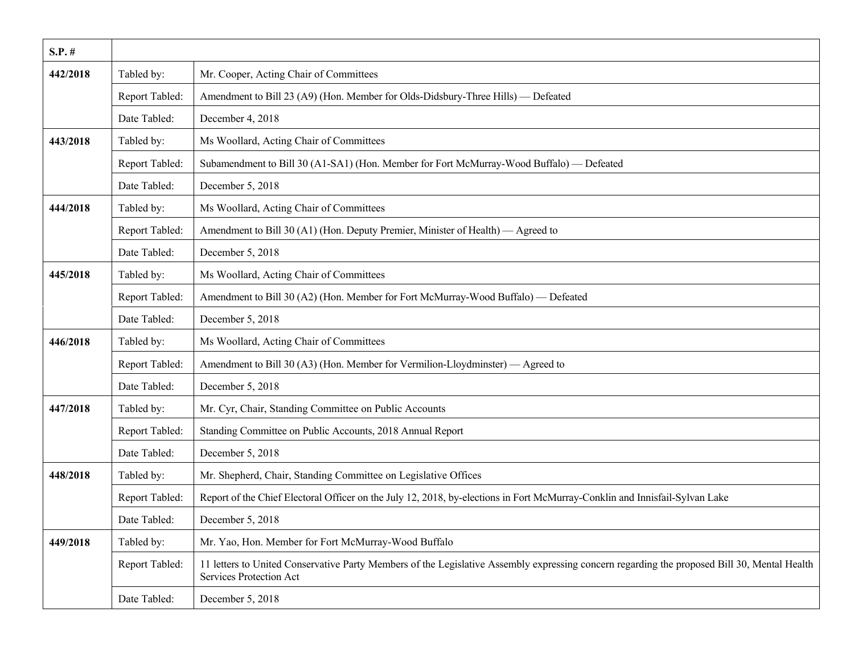| $S.P.$ # |                |                                                                                                                                                                                |
|----------|----------------|--------------------------------------------------------------------------------------------------------------------------------------------------------------------------------|
| 442/2018 | Tabled by:     | Mr. Cooper, Acting Chair of Committees                                                                                                                                         |
|          | Report Tabled: | Amendment to Bill 23 (A9) (Hon. Member for Olds-Didsbury-Three Hills) — Defeated                                                                                               |
|          | Date Tabled:   | December 4, 2018                                                                                                                                                               |
| 443/2018 | Tabled by:     | Ms Woollard, Acting Chair of Committees                                                                                                                                        |
|          | Report Tabled: | Subamendment to Bill 30 (A1-SA1) (Hon. Member for Fort McMurray-Wood Buffalo) — Defeated                                                                                       |
|          | Date Tabled:   | December 5, 2018                                                                                                                                                               |
| 444/2018 | Tabled by:     | Ms Woollard, Acting Chair of Committees                                                                                                                                        |
|          | Report Tabled: | Amendment to Bill 30 (A1) (Hon. Deputy Premier, Minister of Health) — Agreed to                                                                                                |
|          | Date Tabled:   | December 5, 2018                                                                                                                                                               |
| 445/2018 | Tabled by:     | Ms Woollard, Acting Chair of Committees                                                                                                                                        |
|          | Report Tabled: | Amendment to Bill 30 (A2) (Hon. Member for Fort McMurray-Wood Buffalo) - Defeated                                                                                              |
|          | Date Tabled:   | December 5, 2018                                                                                                                                                               |
| 446/2018 | Tabled by:     | Ms Woollard, Acting Chair of Committees                                                                                                                                        |
|          | Report Tabled: | Amendment to Bill 30 (A3) (Hon. Member for Vermilion-Lloydminster) — Agreed to                                                                                                 |
|          | Date Tabled:   | December 5, 2018                                                                                                                                                               |
| 447/2018 | Tabled by:     | Mr. Cyr, Chair, Standing Committee on Public Accounts                                                                                                                          |
|          | Report Tabled: | Standing Committee on Public Accounts, 2018 Annual Report                                                                                                                      |
|          | Date Tabled:   | December 5, 2018                                                                                                                                                               |
| 448/2018 | Tabled by:     | Mr. Shepherd, Chair, Standing Committee on Legislative Offices                                                                                                                 |
|          | Report Tabled: | Report of the Chief Electoral Officer on the July 12, 2018, by-elections in Fort McMurray-Conklin and Innisfail-Sylvan Lake                                                    |
|          | Date Tabled:   | December 5, 2018                                                                                                                                                               |
| 449/2018 | Tabled by:     | Mr. Yao, Hon. Member for Fort McMurray-Wood Buffalo                                                                                                                            |
|          | Report Tabled: | 11 letters to United Conservative Party Members of the Legislative Assembly expressing concern regarding the proposed Bill 30, Mental Health<br><b>Services Protection Act</b> |
|          | Date Tabled:   | December 5, 2018                                                                                                                                                               |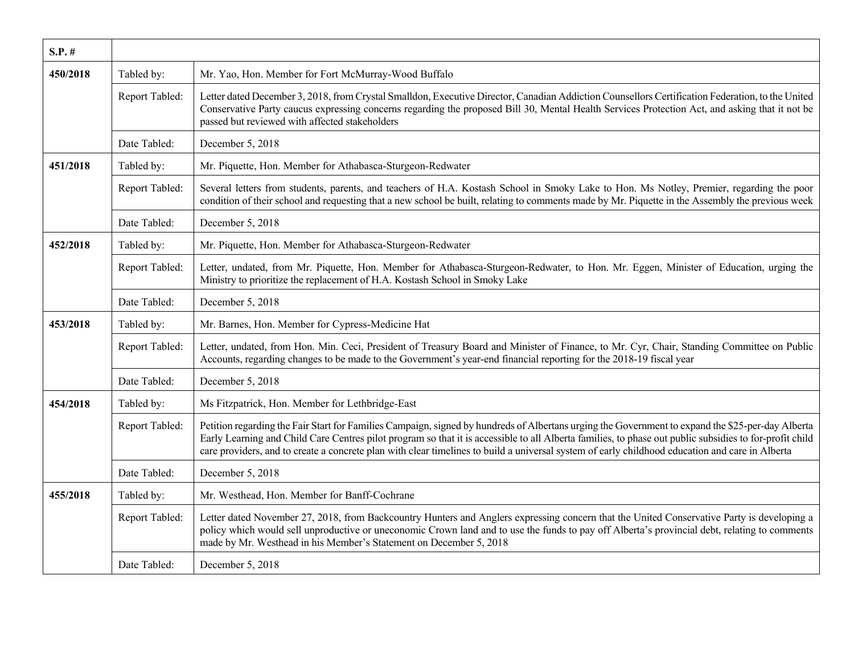| $S.P.$ # |                |                                                                                                                                                                                                                                                                                                                                                                                                                                                                 |
|----------|----------------|-----------------------------------------------------------------------------------------------------------------------------------------------------------------------------------------------------------------------------------------------------------------------------------------------------------------------------------------------------------------------------------------------------------------------------------------------------------------|
| 450/2018 | Tabled by:     | Mr. Yao, Hon. Member for Fort McMurray-Wood Buffalo                                                                                                                                                                                                                                                                                                                                                                                                             |
|          | Report Tabled: | Letter dated December 3, 2018, from Crystal Smalldon, Executive Director, Canadian Addiction Counsellors Certification Federation, to the United<br>Conservative Party caucus expressing concerns regarding the proposed Bill 30, Mental Health Services Protection Act, and asking that it not be<br>passed but reviewed with affected stakeholders                                                                                                            |
|          | Date Tabled:   | December 5, 2018                                                                                                                                                                                                                                                                                                                                                                                                                                                |
| 451/2018 | Tabled by:     | Mr. Piquette, Hon. Member for Athabasca-Sturgeon-Redwater                                                                                                                                                                                                                                                                                                                                                                                                       |
|          | Report Tabled: | Several letters from students, parents, and teachers of H.A. Kostash School in Smoky Lake to Hon. Ms Notley, Premier, regarding the poor<br>condition of their school and requesting that a new school be built, relating to comments made by Mr. Piquette in the Assembly the previous week                                                                                                                                                                    |
|          | Date Tabled:   | December 5, 2018                                                                                                                                                                                                                                                                                                                                                                                                                                                |
| 452/2018 | Tabled by:     | Mr. Piquette, Hon. Member for Athabasca-Sturgeon-Redwater                                                                                                                                                                                                                                                                                                                                                                                                       |
|          | Report Tabled: | Letter, undated, from Mr. Piquette, Hon. Member for Athabasca-Sturgeon-Redwater, to Hon. Mr. Eggen, Minister of Education, urging the<br>Ministry to prioritize the replacement of H.A. Kostash School in Smoky Lake                                                                                                                                                                                                                                            |
|          | Date Tabled:   | December 5, 2018                                                                                                                                                                                                                                                                                                                                                                                                                                                |
| 453/2018 | Tabled by:     | Mr. Barnes, Hon. Member for Cypress-Medicine Hat                                                                                                                                                                                                                                                                                                                                                                                                                |
|          | Report Tabled: | Letter, undated, from Hon. Min. Ceci, President of Treasury Board and Minister of Finance, to Mr. Cyr, Chair, Standing Committee on Public<br>Accounts, regarding changes to be made to the Government's year-end financial reporting for the 2018-19 fiscal year                                                                                                                                                                                               |
|          | Date Tabled:   | December 5, 2018                                                                                                                                                                                                                                                                                                                                                                                                                                                |
| 454/2018 | Tabled by:     | Ms Fitzpatrick, Hon. Member for Lethbridge-East                                                                                                                                                                                                                                                                                                                                                                                                                 |
|          | Report Tabled: | Petition regarding the Fair Start for Families Campaign, signed by hundreds of Albertans urging the Government to expand the \$25-per-day Alberta<br>Early Learning and Child Care Centres pilot program so that it is accessible to all Alberta families, to phase out public subsidies to for-profit child<br>care providers, and to create a concrete plan with clear timelines to build a universal system of early childhood education and care in Alberta |
|          | Date Tabled:   | December 5, 2018                                                                                                                                                                                                                                                                                                                                                                                                                                                |
| 455/2018 | Tabled by:     | Mr. Westhead, Hon. Member for Banff-Cochrane                                                                                                                                                                                                                                                                                                                                                                                                                    |
|          | Report Tabled: | Letter dated November 27, 2018, from Backcountry Hunters and Anglers expressing concern that the United Conservative Party is developing a<br>policy which would sell unproductive or uneconomic Crown land and to use the funds to pay off Alberta's provincial debt, relating to comments<br>made by Mr. Westhead in his Member's Statement on December 5, 2018                                                                                               |
|          | Date Tabled:   | December 5, 2018                                                                                                                                                                                                                                                                                                                                                                                                                                                |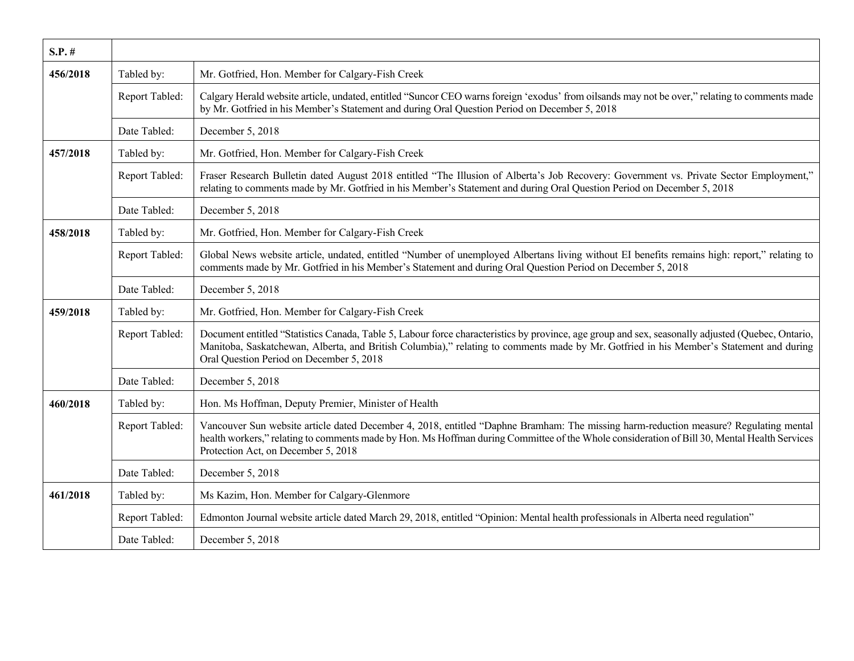| $S.P.$ # |                |                                                                                                                                                                                                                                                                                                                                          |
|----------|----------------|------------------------------------------------------------------------------------------------------------------------------------------------------------------------------------------------------------------------------------------------------------------------------------------------------------------------------------------|
| 456/2018 | Tabled by:     | Mr. Gotfried, Hon. Member for Calgary-Fish Creek                                                                                                                                                                                                                                                                                         |
|          | Report Tabled: | Calgary Herald website article, undated, entitled "Suncor CEO warns foreign 'exodus' from oilsands may not be over," relating to comments made<br>by Mr. Gotfried in his Member's Statement and during Oral Question Period on December 5, 2018                                                                                          |
|          | Date Tabled:   | December 5, 2018                                                                                                                                                                                                                                                                                                                         |
| 457/2018 | Tabled by:     | Mr. Gotfried, Hon. Member for Calgary-Fish Creek                                                                                                                                                                                                                                                                                         |
|          | Report Tabled: | Fraser Research Bulletin dated August 2018 entitled "The Illusion of Alberta's Job Recovery: Government vs. Private Sector Employment,"<br>relating to comments made by Mr. Gotfried in his Member's Statement and during Oral Question Period on December 5, 2018                                                                       |
|          | Date Tabled:   | December 5, 2018                                                                                                                                                                                                                                                                                                                         |
| 458/2018 | Tabled by:     | Mr. Gotfried, Hon. Member for Calgary-Fish Creek                                                                                                                                                                                                                                                                                         |
|          | Report Tabled: | Global News website article, undated, entitled "Number of unemployed Albertans living without EI benefits remains high: report," relating to<br>comments made by Mr. Gotfried in his Member's Statement and during Oral Question Period on December 5, 2018                                                                              |
|          | Date Tabled:   | December 5, 2018                                                                                                                                                                                                                                                                                                                         |
| 459/2018 | Tabled by:     | Mr. Gotfried, Hon. Member for Calgary-Fish Creek                                                                                                                                                                                                                                                                                         |
|          | Report Tabled: | Document entitled "Statistics Canada, Table 5, Labour force characteristics by province, age group and sex, seasonally adjusted (Quebec, Ontario,<br>Manitoba, Saskatchewan, Alberta, and British Columbia)," relating to comments made by Mr. Gotfried in his Member's Statement and during<br>Oral Question Period on December 5, 2018 |
|          | Date Tabled:   | December 5, 2018                                                                                                                                                                                                                                                                                                                         |
| 460/2018 | Tabled by:     | Hon. Ms Hoffman, Deputy Premier, Minister of Health                                                                                                                                                                                                                                                                                      |
|          | Report Tabled: | Vancouver Sun website article dated December 4, 2018, entitled "Daphne Bramham: The missing harm-reduction measure? Regulating mental<br>health workers," relating to comments made by Hon. Ms Hoffman during Committee of the Whole consideration of Bill 30, Mental Health Services<br>Protection Act, on December 5, 2018             |
|          | Date Tabled:   | December 5, 2018                                                                                                                                                                                                                                                                                                                         |
| 461/2018 | Tabled by:     | Ms Kazim, Hon. Member for Calgary-Glenmore                                                                                                                                                                                                                                                                                               |
|          | Report Tabled: | Edmonton Journal website article dated March 29, 2018, entitled "Opinion: Mental health professionals in Alberta need regulation"                                                                                                                                                                                                        |
|          | Date Tabled:   | December 5, 2018                                                                                                                                                                                                                                                                                                                         |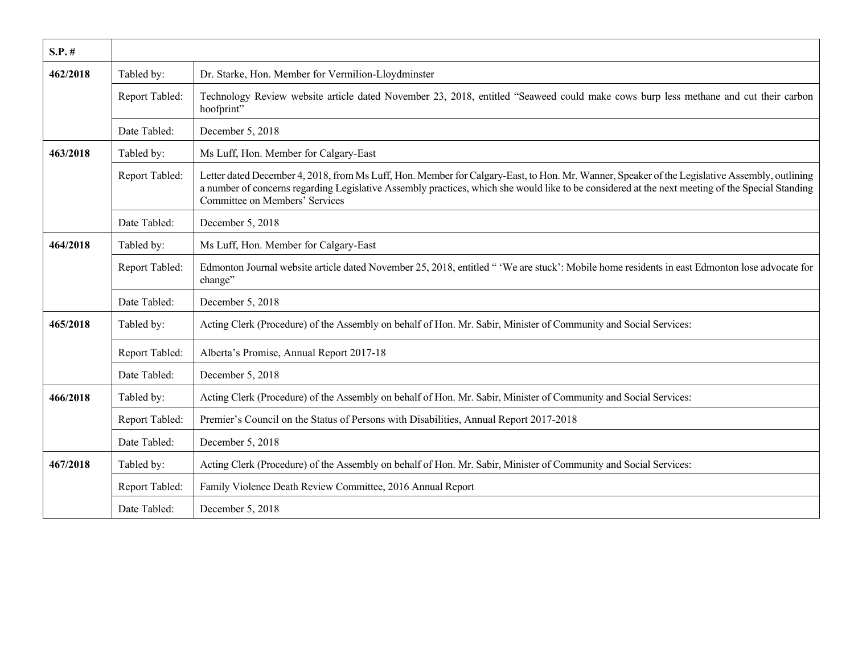| $S.P.$ # |                |                                                                                                                                                                                                                                                                                                                                     |
|----------|----------------|-------------------------------------------------------------------------------------------------------------------------------------------------------------------------------------------------------------------------------------------------------------------------------------------------------------------------------------|
| 462/2018 | Tabled by:     | Dr. Starke, Hon. Member for Vermilion-Lloydminster                                                                                                                                                                                                                                                                                  |
|          | Report Tabled: | Technology Review website article dated November 23, 2018, entitled "Seaweed could make cows burp less methane and cut their carbon<br>hoofprint"                                                                                                                                                                                   |
|          | Date Tabled:   | December 5, 2018                                                                                                                                                                                                                                                                                                                    |
| 463/2018 | Tabled by:     | Ms Luff, Hon. Member for Calgary-East                                                                                                                                                                                                                                                                                               |
|          | Report Tabled: | Letter dated December 4, 2018, from Ms Luff, Hon. Member for Calgary-East, to Hon. Mr. Wanner, Speaker of the Legislative Assembly, outlining<br>a number of concerns regarding Legislative Assembly practices, which she would like to be considered at the next meeting of the Special Standing<br>Committee on Members' Services |
|          | Date Tabled:   | December 5, 2018                                                                                                                                                                                                                                                                                                                    |
| 464/2018 | Tabled by:     | Ms Luff, Hon. Member for Calgary-East                                                                                                                                                                                                                                                                                               |
|          | Report Tabled: | Edmonton Journal website article dated November 25, 2018, entitled " 'We are stuck': Mobile home residents in east Edmonton lose advocate for<br>change"                                                                                                                                                                            |
|          | Date Tabled:   | December 5, 2018                                                                                                                                                                                                                                                                                                                    |
| 465/2018 | Tabled by:     | Acting Clerk (Procedure) of the Assembly on behalf of Hon. Mr. Sabir, Minister of Community and Social Services:                                                                                                                                                                                                                    |
|          | Report Tabled: | Alberta's Promise, Annual Report 2017-18                                                                                                                                                                                                                                                                                            |
|          | Date Tabled:   | December 5, 2018                                                                                                                                                                                                                                                                                                                    |
| 466/2018 | Tabled by:     | Acting Clerk (Procedure) of the Assembly on behalf of Hon. Mr. Sabir, Minister of Community and Social Services:                                                                                                                                                                                                                    |
|          | Report Tabled: | Premier's Council on the Status of Persons with Disabilities, Annual Report 2017-2018                                                                                                                                                                                                                                               |
|          | Date Tabled:   | December 5, 2018                                                                                                                                                                                                                                                                                                                    |
| 467/2018 | Tabled by:     | Acting Clerk (Procedure) of the Assembly on behalf of Hon. Mr. Sabir, Minister of Community and Social Services:                                                                                                                                                                                                                    |
|          | Report Tabled: | Family Violence Death Review Committee, 2016 Annual Report                                                                                                                                                                                                                                                                          |
|          | Date Tabled:   | December 5, 2018                                                                                                                                                                                                                                                                                                                    |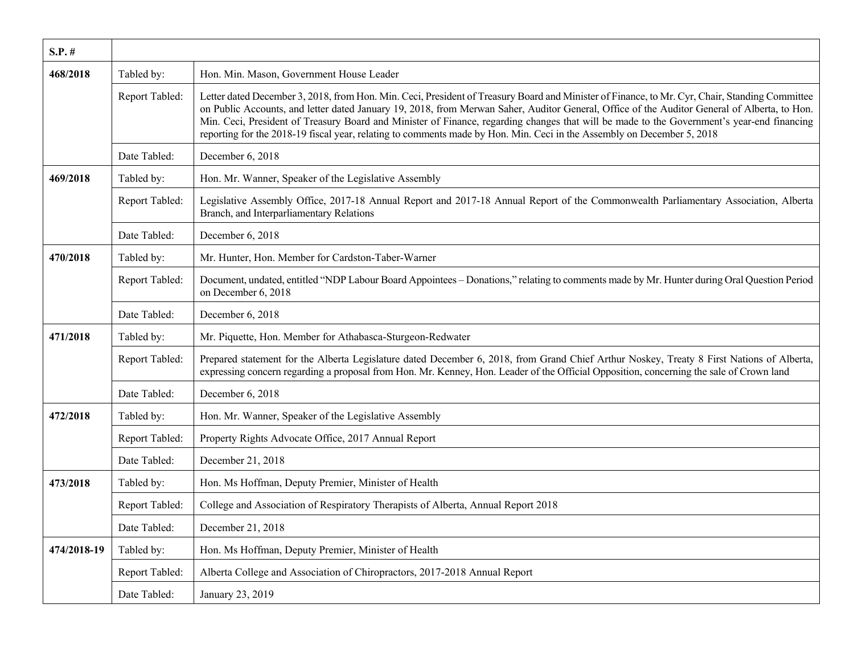| $S.P.$ #    |                |                                                                                                                                                                                                                                                                                                                                                                                                                                                                                                                                                                        |
|-------------|----------------|------------------------------------------------------------------------------------------------------------------------------------------------------------------------------------------------------------------------------------------------------------------------------------------------------------------------------------------------------------------------------------------------------------------------------------------------------------------------------------------------------------------------------------------------------------------------|
| 468/2018    | Tabled by:     | Hon. Min. Mason, Government House Leader                                                                                                                                                                                                                                                                                                                                                                                                                                                                                                                               |
|             | Report Tabled: | Letter dated December 3, 2018, from Hon. Min. Ceci, President of Treasury Board and Minister of Finance, to Mr. Cyr, Chair, Standing Committee<br>on Public Accounts, and letter dated January 19, 2018, from Merwan Saher, Auditor General, Office of the Auditor General of Alberta, to Hon.<br>Min. Ceci, President of Treasury Board and Minister of Finance, regarding changes that will be made to the Government's year-end financing<br>reporting for the 2018-19 fiscal year, relating to comments made by Hon. Min. Ceci in the Assembly on December 5, 2018 |
|             | Date Tabled:   | December 6, 2018                                                                                                                                                                                                                                                                                                                                                                                                                                                                                                                                                       |
| 469/2018    | Tabled by:     | Hon. Mr. Wanner, Speaker of the Legislative Assembly                                                                                                                                                                                                                                                                                                                                                                                                                                                                                                                   |
|             | Report Tabled: | Legislative Assembly Office, 2017-18 Annual Report and 2017-18 Annual Report of the Commonwealth Parliamentary Association, Alberta<br>Branch, and Interparliamentary Relations                                                                                                                                                                                                                                                                                                                                                                                        |
|             | Date Tabled:   | December 6, 2018                                                                                                                                                                                                                                                                                                                                                                                                                                                                                                                                                       |
| 470/2018    | Tabled by:     | Mr. Hunter, Hon. Member for Cardston-Taber-Warner                                                                                                                                                                                                                                                                                                                                                                                                                                                                                                                      |
|             | Report Tabled: | Document, undated, entitled "NDP Labour Board Appointees - Donations," relating to comments made by Mr. Hunter during Oral Question Period<br>on December 6, 2018                                                                                                                                                                                                                                                                                                                                                                                                      |
|             | Date Tabled:   | December 6, 2018                                                                                                                                                                                                                                                                                                                                                                                                                                                                                                                                                       |
| 471/2018    | Tabled by:     | Mr. Piquette, Hon. Member for Athabasca-Sturgeon-Redwater                                                                                                                                                                                                                                                                                                                                                                                                                                                                                                              |
|             | Report Tabled: | Prepared statement for the Alberta Legislature dated December 6, 2018, from Grand Chief Arthur Noskey, Treaty 8 First Nations of Alberta,<br>expressing concern regarding a proposal from Hon. Mr. Kenney, Hon. Leader of the Official Opposition, concerning the sale of Crown land                                                                                                                                                                                                                                                                                   |
|             | Date Tabled:   | December 6, 2018                                                                                                                                                                                                                                                                                                                                                                                                                                                                                                                                                       |
| 472/2018    | Tabled by:     | Hon. Mr. Wanner, Speaker of the Legislative Assembly                                                                                                                                                                                                                                                                                                                                                                                                                                                                                                                   |
|             | Report Tabled: | Property Rights Advocate Office, 2017 Annual Report                                                                                                                                                                                                                                                                                                                                                                                                                                                                                                                    |
|             | Date Tabled:   | December 21, 2018                                                                                                                                                                                                                                                                                                                                                                                                                                                                                                                                                      |
| 473/2018    | Tabled by:     | Hon. Ms Hoffman, Deputy Premier, Minister of Health                                                                                                                                                                                                                                                                                                                                                                                                                                                                                                                    |
|             | Report Tabled: | College and Association of Respiratory Therapists of Alberta, Annual Report 2018                                                                                                                                                                                                                                                                                                                                                                                                                                                                                       |
|             | Date Tabled:   | December 21, 2018                                                                                                                                                                                                                                                                                                                                                                                                                                                                                                                                                      |
| 474/2018-19 | Tabled by:     | Hon. Ms Hoffman, Deputy Premier, Minister of Health                                                                                                                                                                                                                                                                                                                                                                                                                                                                                                                    |
|             | Report Tabled: | Alberta College and Association of Chiropractors, 2017-2018 Annual Report                                                                                                                                                                                                                                                                                                                                                                                                                                                                                              |
|             | Date Tabled:   | January 23, 2019                                                                                                                                                                                                                                                                                                                                                                                                                                                                                                                                                       |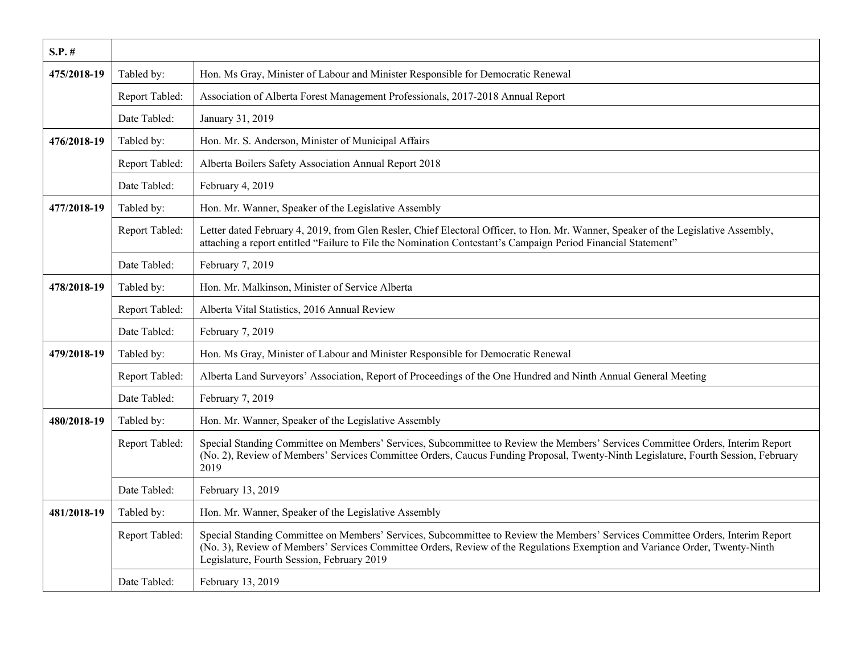| $S.P.$ #    |                |                                                                                                                                                                                                                                                                                                             |
|-------------|----------------|-------------------------------------------------------------------------------------------------------------------------------------------------------------------------------------------------------------------------------------------------------------------------------------------------------------|
| 475/2018-19 | Tabled by:     | Hon. Ms Gray, Minister of Labour and Minister Responsible for Democratic Renewal                                                                                                                                                                                                                            |
|             | Report Tabled: | Association of Alberta Forest Management Professionals, 2017-2018 Annual Report                                                                                                                                                                                                                             |
|             | Date Tabled:   | January 31, 2019                                                                                                                                                                                                                                                                                            |
| 476/2018-19 | Tabled by:     | Hon. Mr. S. Anderson, Minister of Municipal Affairs                                                                                                                                                                                                                                                         |
|             | Report Tabled: | Alberta Boilers Safety Association Annual Report 2018                                                                                                                                                                                                                                                       |
|             | Date Tabled:   | February 4, 2019                                                                                                                                                                                                                                                                                            |
| 477/2018-19 | Tabled by:     | Hon. Mr. Wanner, Speaker of the Legislative Assembly                                                                                                                                                                                                                                                        |
|             | Report Tabled: | Letter dated February 4, 2019, from Glen Resler, Chief Electoral Officer, to Hon. Mr. Wanner, Speaker of the Legislative Assembly,<br>attaching a report entitled "Failure to File the Nomination Contestant's Campaign Period Financial Statement"                                                         |
|             | Date Tabled:   | February 7, 2019                                                                                                                                                                                                                                                                                            |
| 478/2018-19 | Tabled by:     | Hon. Mr. Malkinson, Minister of Service Alberta                                                                                                                                                                                                                                                             |
|             | Report Tabled: | Alberta Vital Statistics, 2016 Annual Review                                                                                                                                                                                                                                                                |
|             | Date Tabled:   | February 7, 2019                                                                                                                                                                                                                                                                                            |
| 479/2018-19 | Tabled by:     | Hon. Ms Gray, Minister of Labour and Minister Responsible for Democratic Renewal                                                                                                                                                                                                                            |
|             | Report Tabled: | Alberta Land Surveyors' Association, Report of Proceedings of the One Hundred and Ninth Annual General Meeting                                                                                                                                                                                              |
|             | Date Tabled:   | February 7, 2019                                                                                                                                                                                                                                                                                            |
| 480/2018-19 | Tabled by:     | Hon. Mr. Wanner, Speaker of the Legislative Assembly                                                                                                                                                                                                                                                        |
|             | Report Tabled: | Special Standing Committee on Members' Services, Subcommittee to Review the Members' Services Committee Orders, Interim Report<br>(No. 2), Review of Members' Services Committee Orders, Caucus Funding Proposal, Twenty-Ninth Legislature, Fourth Session, February<br>2019                                |
|             | Date Tabled:   | February 13, 2019                                                                                                                                                                                                                                                                                           |
| 481/2018-19 | Tabled by:     | Hon. Mr. Wanner, Speaker of the Legislative Assembly                                                                                                                                                                                                                                                        |
|             | Report Tabled: | Special Standing Committee on Members' Services, Subcommittee to Review the Members' Services Committee Orders, Interim Report<br>(No. 3), Review of Members' Services Committee Orders, Review of the Regulations Exemption and Variance Order, Twenty-Ninth<br>Legislature, Fourth Session, February 2019 |
|             | Date Tabled:   | February 13, 2019                                                                                                                                                                                                                                                                                           |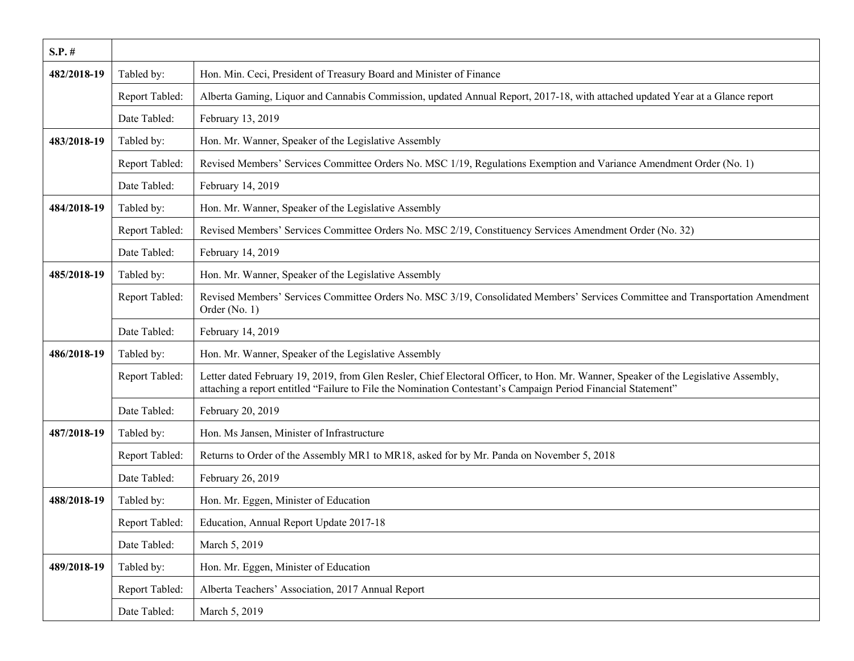| $S.P.$ #    |                |                                                                                                                                                                                                                                                      |
|-------------|----------------|------------------------------------------------------------------------------------------------------------------------------------------------------------------------------------------------------------------------------------------------------|
| 482/2018-19 | Tabled by:     | Hon. Min. Ceci, President of Treasury Board and Minister of Finance                                                                                                                                                                                  |
|             | Report Tabled: | Alberta Gaming, Liquor and Cannabis Commission, updated Annual Report, 2017-18, with attached updated Year at a Glance report                                                                                                                        |
|             | Date Tabled:   | February 13, 2019                                                                                                                                                                                                                                    |
| 483/2018-19 | Tabled by:     | Hon. Mr. Wanner, Speaker of the Legislative Assembly                                                                                                                                                                                                 |
|             | Report Tabled: | Revised Members' Services Committee Orders No. MSC 1/19, Regulations Exemption and Variance Amendment Order (No. 1)                                                                                                                                  |
|             | Date Tabled:   | February 14, 2019                                                                                                                                                                                                                                    |
| 484/2018-19 | Tabled by:     | Hon. Mr. Wanner, Speaker of the Legislative Assembly                                                                                                                                                                                                 |
|             | Report Tabled: | Revised Members' Services Committee Orders No. MSC 2/19, Constituency Services Amendment Order (No. 32)                                                                                                                                              |
|             | Date Tabled:   | February 14, 2019                                                                                                                                                                                                                                    |
| 485/2018-19 | Tabled by:     | Hon. Mr. Wanner, Speaker of the Legislative Assembly                                                                                                                                                                                                 |
|             | Report Tabled: | Revised Members' Services Committee Orders No. MSC 3/19, Consolidated Members' Services Committee and Transportation Amendment<br>Order (No. 1)                                                                                                      |
|             | Date Tabled:   | February 14, 2019                                                                                                                                                                                                                                    |
| 486/2018-19 | Tabled by:     | Hon. Mr. Wanner, Speaker of the Legislative Assembly                                                                                                                                                                                                 |
|             | Report Tabled: | Letter dated February 19, 2019, from Glen Resler, Chief Electoral Officer, to Hon. Mr. Wanner, Speaker of the Legislative Assembly,<br>attaching a report entitled "Failure to File the Nomination Contestant's Campaign Period Financial Statement" |
|             | Date Tabled:   | February 20, 2019                                                                                                                                                                                                                                    |
| 487/2018-19 | Tabled by:     | Hon. Ms Jansen, Minister of Infrastructure                                                                                                                                                                                                           |
|             | Report Tabled: | Returns to Order of the Assembly MR1 to MR18, asked for by Mr. Panda on November 5, 2018                                                                                                                                                             |
|             | Date Tabled:   | February 26, 2019                                                                                                                                                                                                                                    |
| 488/2018-19 | Tabled by:     | Hon. Mr. Eggen, Minister of Education                                                                                                                                                                                                                |
|             | Report Tabled: | Education, Annual Report Update 2017-18                                                                                                                                                                                                              |
|             | Date Tabled:   | March 5, 2019                                                                                                                                                                                                                                        |
| 489/2018-19 | Tabled by:     | Hon. Mr. Eggen, Minister of Education                                                                                                                                                                                                                |
|             | Report Tabled: | Alberta Teachers' Association, 2017 Annual Report                                                                                                                                                                                                    |
|             | Date Tabled:   | March 5, 2019                                                                                                                                                                                                                                        |